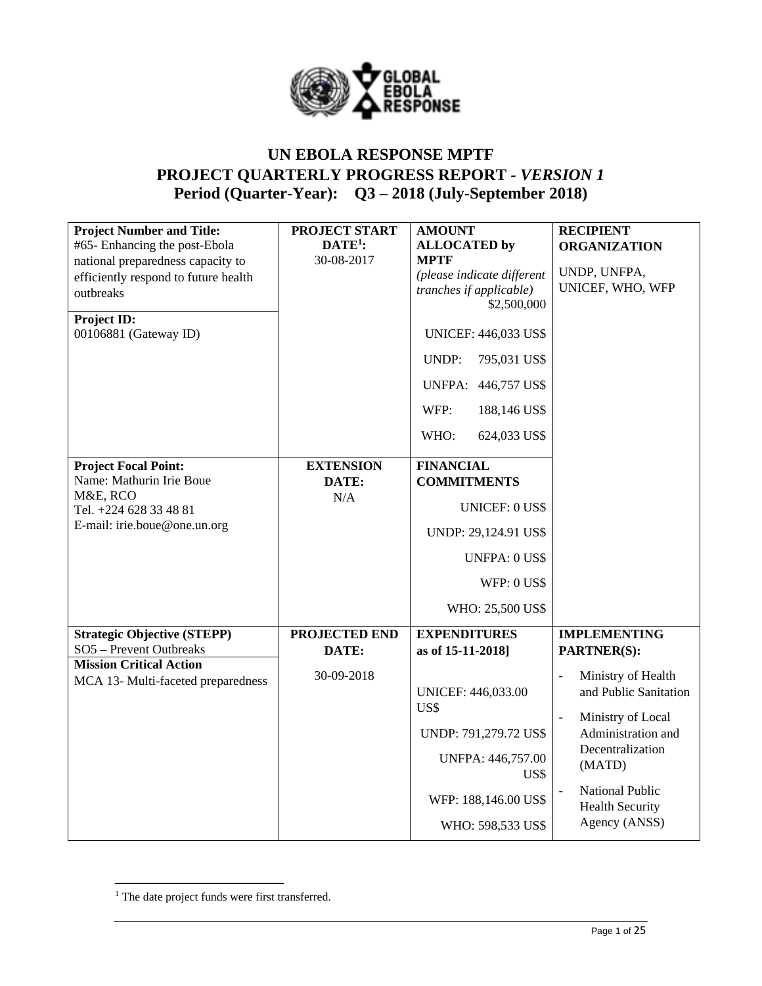

# **UN EBOLA RESPONSE MPTF PROJECT QUARTERLY PROGRESS REPORT** *- VERSION 1* **Period (Quarter-Year): Q3 – 2018 (July-September 2018)**

| <b>Project Number and Title:</b><br>#65- Enhancing the post-Ebola<br>national preparedness capacity to<br>efficiently respond to future health<br>outbreaks<br>Project ID:<br>00106881 (Gateway ID) | <b>PROJECT START</b><br>$\mathbf{DATE}^1$ :<br>30-08-2017 | <b>AMOUNT</b><br><b>ALLOCATED by</b><br><b>MPTF</b><br>(please indicate different<br>tranches if applicable)<br>\$2,500,000<br><b>UNICEF: 446,033 US\$</b><br>UNDP:<br>795,031 US\$<br>446,757 US\$<br>UNFPA:<br>WFP:<br>188,146 US\$<br>WHO:<br>624,033 US\$ | <b>RECIPIENT</b><br><b>ORGANIZATION</b><br>UNDP, UNFPA,<br>UNICEF, WHO, WFP                                                                                                                                       |
|-----------------------------------------------------------------------------------------------------------------------------------------------------------------------------------------------------|-----------------------------------------------------------|---------------------------------------------------------------------------------------------------------------------------------------------------------------------------------------------------------------------------------------------------------------|-------------------------------------------------------------------------------------------------------------------------------------------------------------------------------------------------------------------|
| <b>Project Focal Point:</b><br>Name: Mathurin Irie Boue<br>M&E, RCO<br>Tel. +224 628 33 48 81<br>E-mail: irie.boue@one.un.org                                                                       | <b>EXTENSION</b><br>DATE:<br>N/A                          | <b>FINANCIAL</b><br><b>COMMITMENTS</b><br><b>UNICEF: 0 US\$</b><br>UNDP: 29,124.91 US\$<br><b>UNFPA: 0 US\$</b><br>WFP: 0 US\$<br>WHO: 25,500 US\$                                                                                                            |                                                                                                                                                                                                                   |
| <b>Strategic Objective (STEPP)</b><br>SO5 - Prevent Outbreaks                                                                                                                                       | PROJECTED END<br>DATE:                                    | <b>EXPENDITURES</b><br>as of 15-11-2018]                                                                                                                                                                                                                      | <b>IMPLEMENTING</b><br><b>PARTNER(S):</b>                                                                                                                                                                         |
| <b>Mission Critical Action</b><br>MCA 13- Multi-faceted preparedness                                                                                                                                | 30-09-2018                                                | <b>UNICEF: 446,033.00</b><br>US\$<br>UNDP: 791,279.72 US\$<br>UNFPA: 446,757.00<br>US\$<br>WFP: 188,146.00 US\$<br>WHO: 598,533 US\$                                                                                                                          | Ministry of Health<br>Ĭ.<br>and Public Sanitation<br>Ministry of Local<br>$\blacksquare$<br>Administration and<br>Decentralization<br>(MATD)<br><b>National Public</b><br><b>Health Security</b><br>Agency (ANSS) |

<sup>&</sup>lt;sup>1</sup> The date project funds were first transferred.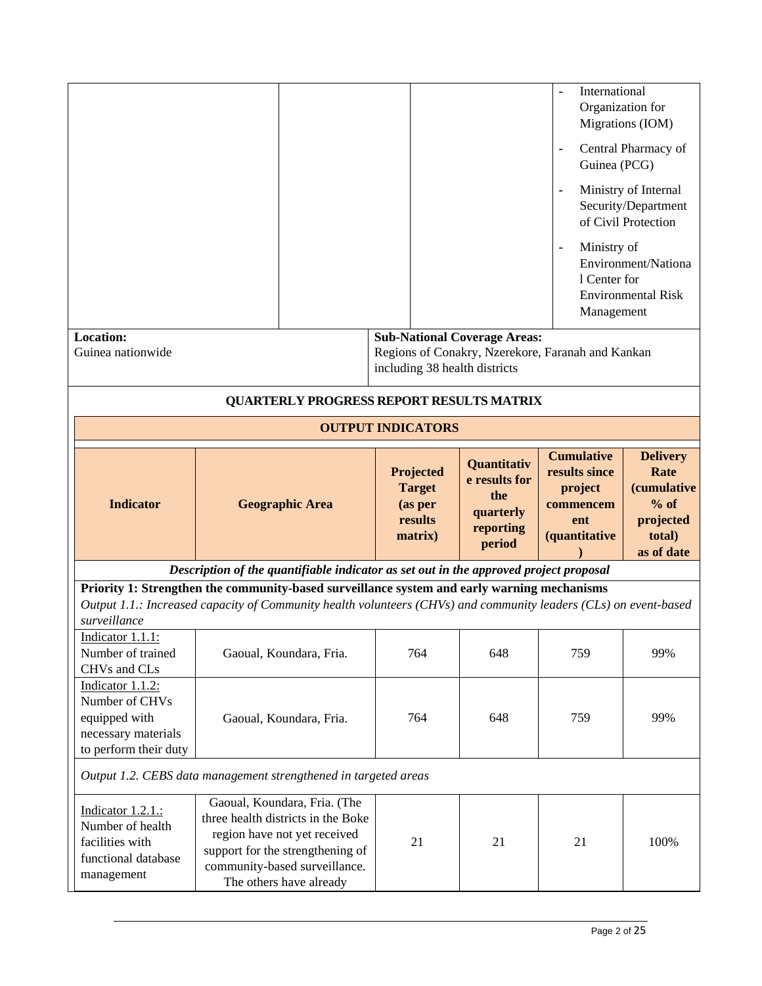|                                                                                                                                                                                                                 |                                                                                       |                                                                                          |                                                                         | International<br>Organization for<br>Guinea (PCG)<br>Ministry of<br>$\blacksquare$<br>1 Center for<br>Management | Migrations (IOM)<br>Central Pharmacy of<br>Ministry of Internal<br>Security/Department<br>of Civil Protection<br>Environment/Nationa<br><b>Environmental Risk</b> |  |
|-----------------------------------------------------------------------------------------------------------------------------------------------------------------------------------------------------------------|---------------------------------------------------------------------------------------|------------------------------------------------------------------------------------------|-------------------------------------------------------------------------|------------------------------------------------------------------------------------------------------------------|-------------------------------------------------------------------------------------------------------------------------------------------------------------------|--|
| <b>Location:</b><br>Guinea nationwide                                                                                                                                                                           |                                                                                       | <b>Sub-National Coverage Areas:</b><br>Regions of Conakry, Nzerekore, Faranah and Kankan |                                                                         |                                                                                                                  |                                                                                                                                                                   |  |
|                                                                                                                                                                                                                 |                                                                                       | including 38 health districts                                                            |                                                                         |                                                                                                                  |                                                                                                                                                                   |  |
|                                                                                                                                                                                                                 | <b>QUARTERLY PROGRESS REPORT RESULTS MATRIX</b>                                       |                                                                                          |                                                                         |                                                                                                                  |                                                                                                                                                                   |  |
|                                                                                                                                                                                                                 |                                                                                       | <b>OUTPUT INDICATORS</b>                                                                 |                                                                         |                                                                                                                  |                                                                                                                                                                   |  |
| <b>Indicator</b>                                                                                                                                                                                                | <b>Geographic Area</b>                                                                | Projected<br><b>Target</b><br>(as per<br>results<br>matrix)                              | Quantitativ<br>e results for<br>the<br>quarterly<br>reporting<br>period | <b>Cumulative</b><br>results since<br>project<br>commencem<br>ent<br>(quantitative                               | <b>Delivery</b><br>Rate<br><i>(cumulative</i><br>$%$ of<br>projected<br>total)<br>as of date                                                                      |  |
|                                                                                                                                                                                                                 | Description of the quantifiable indicator as set out in the approved project proposal |                                                                                          |                                                                         |                                                                                                                  |                                                                                                                                                                   |  |
| Priority 1: Strengthen the community-based surveillance system and early warning mechanisms<br>Output 1.1.: Increased capacity of Community health volunteers (CHVs) and community leaders (CLs) on event-based |                                                                                       |                                                                                          |                                                                         |                                                                                                                  |                                                                                                                                                                   |  |
| surveillance                                                                                                                                                                                                    |                                                                                       |                                                                                          |                                                                         |                                                                                                                  |                                                                                                                                                                   |  |
| Indicator 1.1.1:<br>Number of trained<br>CHVs and CLs                                                                                                                                                           | Gaoual, Koundara, Fria.                                                               | 764                                                                                      | 648                                                                     | 759                                                                                                              | 99%                                                                                                                                                               |  |
| Indicator 1.1.2:<br>Number of CHVs<br>equipped with<br>necessary materials<br>to perform their duty                                                                                                             | Gaoual, Koundara, Fria.                                                               | 764                                                                                      | 648                                                                     | 759                                                                                                              | 99%                                                                                                                                                               |  |
|                                                                                                                                                                                                                 | Output 1.2. CEBS data management strengthened in targeted areas                       |                                                                                          |                                                                         |                                                                                                                  |                                                                                                                                                                   |  |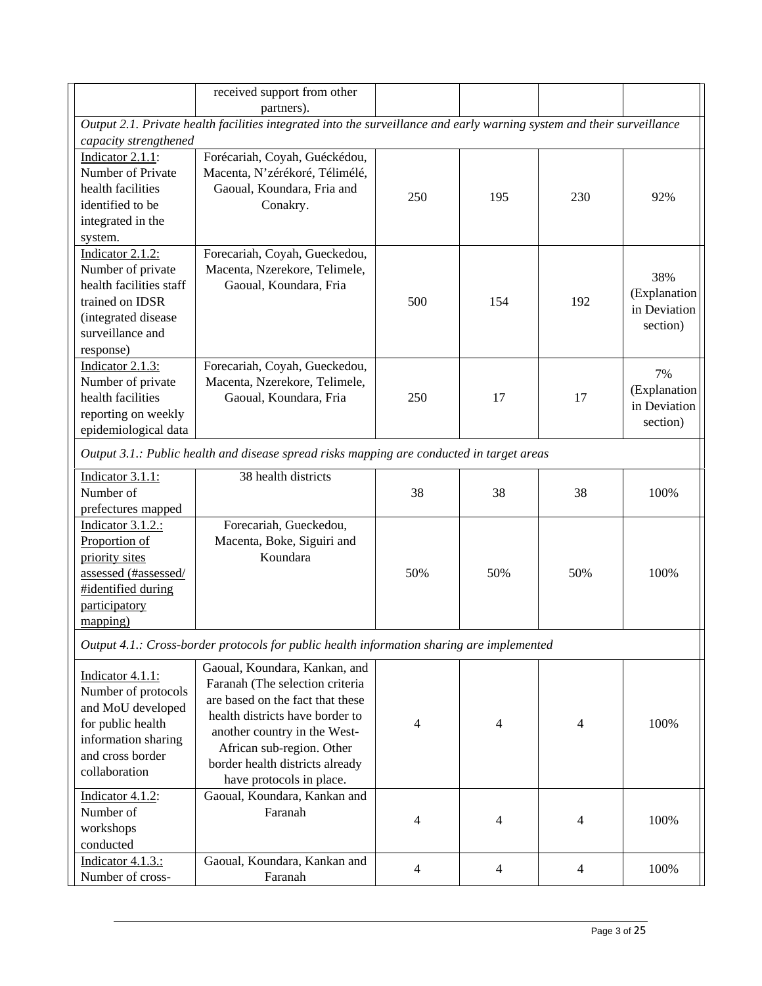|                             | received support from other<br>partners).                                                                              |                |                |                |              |
|-----------------------------|------------------------------------------------------------------------------------------------------------------------|----------------|----------------|----------------|--------------|
|                             | Output 2.1. Private health facilities integrated into the surveillance and early warning system and their surveillance |                |                |                |              |
| capacity strengthened       |                                                                                                                        |                |                |                |              |
| Indicator 2.1.1:            | Forécariah, Coyah, Guéckédou,                                                                                          |                |                |                |              |
| Number of Private           | Macenta, N'zérékoré, Télimélé,                                                                                         |                |                |                |              |
| health facilities           | Gaoual, Koundara, Fria and                                                                                             |                |                |                |              |
| identified to be            | Conakry.                                                                                                               | 250            | 195            | 230            | 92%          |
| integrated in the           |                                                                                                                        |                |                |                |              |
|                             |                                                                                                                        |                |                |                |              |
| system.<br>Indicator 2.1.2: |                                                                                                                        |                |                |                |              |
|                             | Forecariah, Coyah, Gueckedou,                                                                                          |                |                |                |              |
| Number of private           | Macenta, Nzerekore, Telimele,                                                                                          |                |                |                | 38%          |
| health facilities staff     | Gaoual, Koundara, Fria                                                                                                 |                |                |                | (Explanation |
| trained on IDSR             |                                                                                                                        | 500            | 154            | 192            | in Deviation |
| (integrated disease         |                                                                                                                        |                |                |                | section)     |
| surveillance and            |                                                                                                                        |                |                |                |              |
| response)                   |                                                                                                                        |                |                |                |              |
| Indicator 2.1.3:            | Forecariah, Coyah, Gueckedou,                                                                                          |                |                |                | 7%           |
| Number of private           | Macenta, Nzerekore, Telimele,                                                                                          |                |                |                | (Explanation |
| health facilities           | Gaoual, Koundara, Fria                                                                                                 | 250            | 17             | 17             | in Deviation |
| reporting on weekly         |                                                                                                                        |                |                |                | section)     |
| epidemiological data        |                                                                                                                        |                |                |                |              |
|                             | Output 3.1.: Public health and disease spread risks mapping are conducted in target areas                              |                |                |                |              |
| Indicator 3.1.1:            | 38 health districts                                                                                                    |                |                |                |              |
| Number of                   |                                                                                                                        | 38             | 38             | 38             | 100%         |
| prefectures mapped          |                                                                                                                        |                |                |                |              |
| Indicator 3.1.2.:           | Forecariah, Gueckedou,                                                                                                 |                |                |                |              |
| Proportion of               | Macenta, Boke, Siguiri and                                                                                             |                |                |                |              |
| priority sites              | Koundara                                                                                                               |                |                |                |              |
| assessed (#assessed/        |                                                                                                                        | 50%            | 50%            | 50%            | 100%         |
| #identified during          |                                                                                                                        |                |                |                |              |
| participatory               |                                                                                                                        |                |                |                |              |
| mapping)                    |                                                                                                                        |                |                |                |              |
|                             | Output 4.1.: Cross-border protocols for public health information sharing are implemented                              |                |                |                |              |
|                             | Gaoual, Koundara, Kankan, and                                                                                          |                |                |                |              |
| Indicator 4.1.1:            | Faranah (The selection criteria                                                                                        |                |                |                |              |
| Number of protocols         | are based on the fact that these                                                                                       |                |                |                |              |
| and MoU developed           | health districts have border to                                                                                        |                |                |                |              |
| for public health           | another country in the West-                                                                                           | 4              | $\overline{4}$ | 4              | 100%         |
| information sharing         | African sub-region. Other                                                                                              |                |                |                |              |
| and cross border            | border health districts already                                                                                        |                |                |                |              |
| collaboration               | have protocols in place.                                                                                               |                |                |                |              |
| Indicator $4.1.2$ :         | Gaoual, Koundara, Kankan and                                                                                           |                |                |                |              |
| Number of                   | Faranah                                                                                                                |                |                |                |              |
| workshops                   |                                                                                                                        | $\overline{4}$ | $\overline{4}$ | $\overline{4}$ | 100%         |
| conducted                   |                                                                                                                        |                |                |                |              |
|                             |                                                                                                                        |                |                |                |              |
| Indicator 4.1.3.:           | Gaoual, Koundara, Kankan and                                                                                           | $\overline{4}$ | $\overline{4}$ | $\overline{4}$ | 100%         |
| Number of cross-            | Faranah                                                                                                                |                |                |                |              |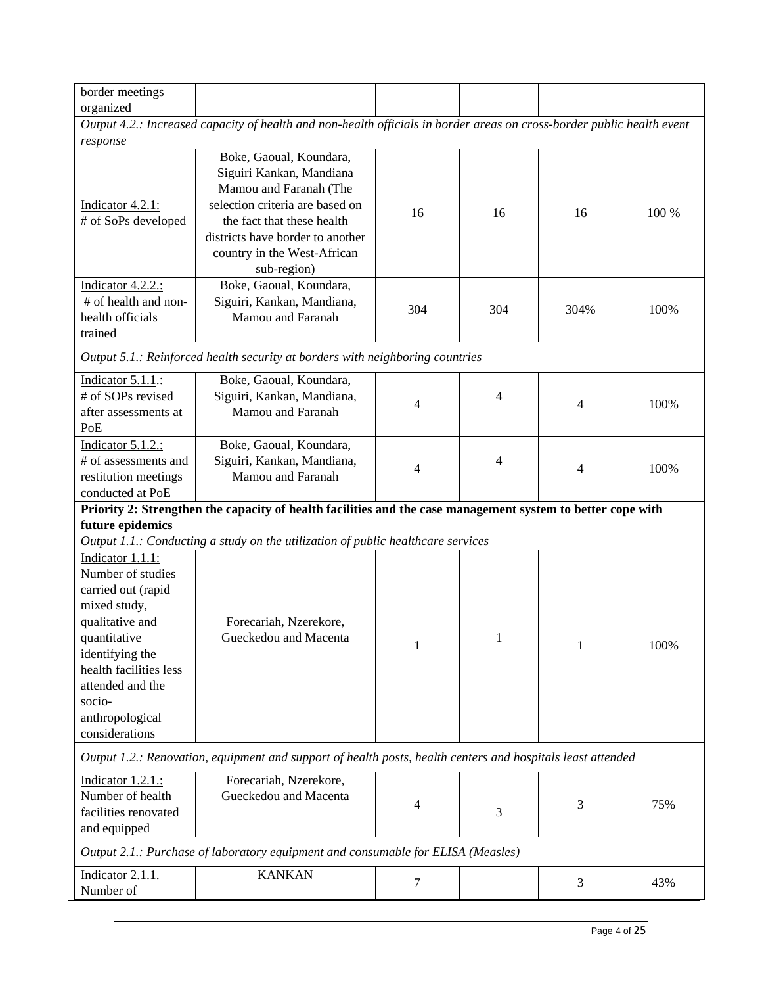| border meetings                                                                                                                                                                                                                |                                                                                                                                                                                                                                  |        |     |      |       |  |  |  |  |
|--------------------------------------------------------------------------------------------------------------------------------------------------------------------------------------------------------------------------------|----------------------------------------------------------------------------------------------------------------------------------------------------------------------------------------------------------------------------------|--------|-----|------|-------|--|--|--|--|
| organized                                                                                                                                                                                                                      |                                                                                                                                                                                                                                  |        |     |      |       |  |  |  |  |
|                                                                                                                                                                                                                                | Output 4.2.: Increased capacity of health and non-health officials in border areas on cross-border public health event                                                                                                           |        |     |      |       |  |  |  |  |
| response                                                                                                                                                                                                                       |                                                                                                                                                                                                                                  |        |     |      |       |  |  |  |  |
| Indicator 4.2.1:<br># of SoPs developed                                                                                                                                                                                        | Boke, Gaoual, Koundara,<br>Siguiri Kankan, Mandiana<br>Mamou and Faranah (The<br>selection criteria are based on<br>the fact that these health<br>districts have border to another<br>country in the West-African<br>sub-region) | 16     | 16  | 16   | 100 % |  |  |  |  |
| Indicator 4.2.2.:<br># of health and non-<br>health officials<br>trained                                                                                                                                                       | Boke, Gaoual, Koundara,<br>Siguiri, Kankan, Mandiana,<br>Mamou and Faranah                                                                                                                                                       | 304    | 304 | 304% | 100%  |  |  |  |  |
|                                                                                                                                                                                                                                | Output 5.1.: Reinforced health security at borders with neighboring countries                                                                                                                                                    |        |     |      |       |  |  |  |  |
| Indicator 5.1.1.:<br># of SOPs revised<br>after assessments at<br>PoE                                                                                                                                                          | Boke, Gaoual, Koundara,<br>Siguiri, Kankan, Mandiana,<br>Mamou and Faranah                                                                                                                                                       | 4      | 4   | 4    | 100%  |  |  |  |  |
| Indicator 5.1.2.:<br># of assessments and<br>restitution meetings<br>conducted at PoE                                                                                                                                          | Boke, Gaoual, Koundara,<br>Siguiri, Kankan, Mandiana,<br>Mamou and Faranah                                                                                                                                                       | 4      | 4   | 4    | 100%  |  |  |  |  |
|                                                                                                                                                                                                                                | Priority 2: Strengthen the capacity of health facilities and the case management system to better cope with                                                                                                                      |        |     |      |       |  |  |  |  |
| future epidemics                                                                                                                                                                                                               |                                                                                                                                                                                                                                  |        |     |      |       |  |  |  |  |
|                                                                                                                                                                                                                                | Output 1.1.: Conducting a study on the utilization of public healthcare services                                                                                                                                                 |        |     |      |       |  |  |  |  |
| Indicator 1.1.1:<br>Number of studies<br>carried out (rapid<br>mixed study,<br>qualitative and<br>quantitative<br>identifying the<br>health facilities less<br>attended and the<br>socio-<br>anthropological<br>considerations | Forecariah, Nzerekore,<br>Gueckedou and Macenta                                                                                                                                                                                  | 1      | 1   | 1    | 100%  |  |  |  |  |
|                                                                                                                                                                                                                                | Output 1.2.: Renovation, equipment and support of health posts, health centers and hospitals least attended                                                                                                                      |        |     |      |       |  |  |  |  |
| Indicator 1.2.1.:<br>Number of health<br>facilities renovated<br>and equipped                                                                                                                                                  | Forecariah, Nzerekore,<br>Gueckedou and Macenta                                                                                                                                                                                  | 4      | 3   | 3    | 75%   |  |  |  |  |
|                                                                                                                                                                                                                                | Output 2.1.: Purchase of laboratory equipment and consumable for ELISA (Measles)                                                                                                                                                 |        |     |      |       |  |  |  |  |
| Indicator 2.1.1.<br>Number of                                                                                                                                                                                                  | <b>KANKAN</b>                                                                                                                                                                                                                    | $\tau$ |     | 3    | 43%   |  |  |  |  |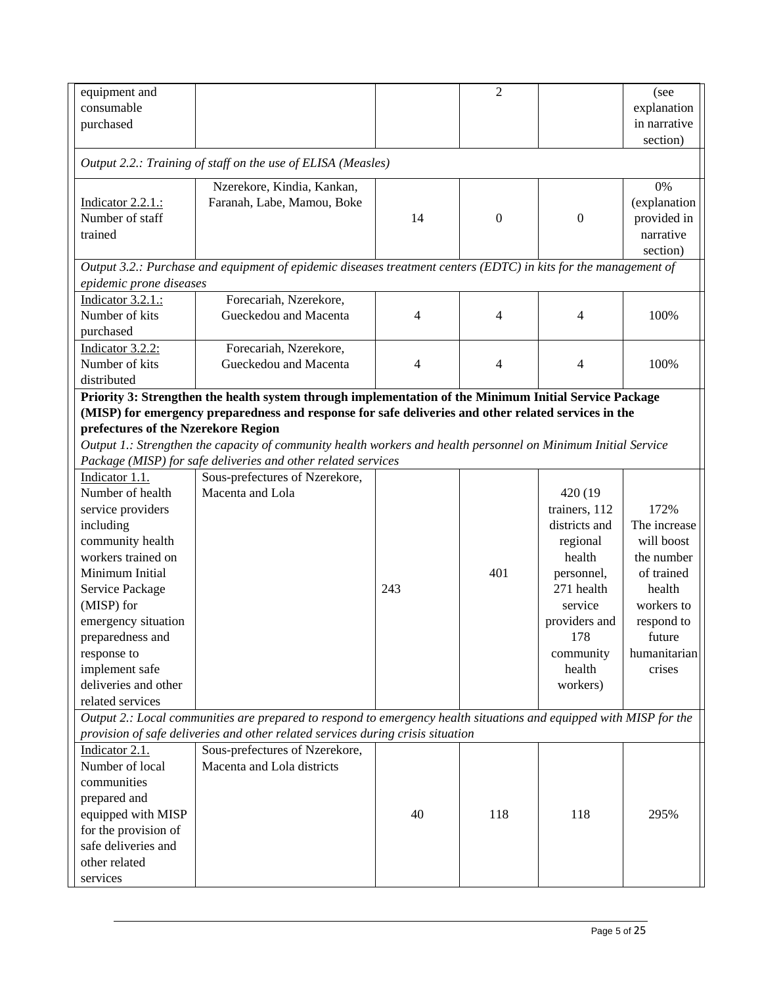| $\overline{2}$<br>equipment and<br>(see<br>consumable<br>explanation<br>in narrative<br>purchased<br>section)<br>Output 2.2.: Training of staff on the use of ELISA (Measles)<br>0%<br>Nzerekore, Kindia, Kankan,<br>Indicator 2.2.1.:<br>Faranah, Labe, Mamou, Boke<br>(explanation<br>Number of staff<br>14<br>$\boldsymbol{0}$<br>provided in<br>$\boldsymbol{0}$<br>trained<br>narrative<br>section)<br>Output 3.2.: Purchase and equipment of epidemic diseases treatment centers (EDTC) in kits for the management of<br>epidemic prone diseases<br>Forecariah, Nzerekore,<br>Indicator 3.2.1.:<br>Number of kits<br>Gueckedou and Macenta<br>$\overline{4}$<br>100%<br>4<br>4<br>purchased<br>Indicator 3.2.2:<br>Forecariah, Nzerekore,<br>Number of kits<br>Gueckedou and Macenta<br>4<br>4<br>4<br>100%<br>distributed<br>Priority 3: Strengthen the health system through implementation of the Minimum Initial Service Package<br>(MISP) for emergency preparedness and response for safe deliveries and other related services in the<br>prefectures of the Nzerekore Region<br>Output 1.: Strengthen the capacity of community health workers and health personnel on Minimum Initial Service<br>Package (MISP) for safe deliveries and other related services<br>Indicator 1.1.<br>Sous-prefectures of Nzerekore,<br>Number of health<br>Macenta and Lola<br>420 (19)<br>service providers<br>trainers, 112<br>172%<br>The increase<br>including<br>districts and<br>community health<br>will boost<br>regional<br>workers trained on<br>health<br>the number<br>Minimum Initial<br>401<br>of trained<br>personnel,<br>271 health<br>Service Package<br>243<br>health<br>(MISP) for<br>service<br>workers to<br>providers and<br>emergency situation<br>respond to<br>178<br>future<br>preparedness and<br>humanitarian<br>response to<br>community<br>implement safe<br>health<br>crises<br>deliveries and other<br>workers)<br>related services<br>Output 2.: Local communities are prepared to respond to emergency health situations and equipped with MISP for the<br>provision of safe deliveries and other related services during crisis situation<br>Indicator 2.1.<br>Sous-prefectures of Nzerekore,<br>Number of local<br>Macenta and Lola districts<br>communities<br>prepared and<br>equipped with MISP<br>40<br>118<br>118<br>295%<br>for the provision of<br>safe deliveries and<br>other related<br>services |  |  |  |  |  |  |  |  |
|---------------------------------------------------------------------------------------------------------------------------------------------------------------------------------------------------------------------------------------------------------------------------------------------------------------------------------------------------------------------------------------------------------------------------------------------------------------------------------------------------------------------------------------------------------------------------------------------------------------------------------------------------------------------------------------------------------------------------------------------------------------------------------------------------------------------------------------------------------------------------------------------------------------------------------------------------------------------------------------------------------------------------------------------------------------------------------------------------------------------------------------------------------------------------------------------------------------------------------------------------------------------------------------------------------------------------------------------------------------------------------------------------------------------------------------------------------------------------------------------------------------------------------------------------------------------------------------------------------------------------------------------------------------------------------------------------------------------------------------------------------------------------------------------------------------------------------------------------------------------------------------------------------------------------------------------------------------------------------------------------------------------------------------------------------------------------------------------------------------------------------------------------------------------------------------------------------------------------------------------------------------------------------------------------------------------------------------------------------------------------------------------------------------------------------------------|--|--|--|--|--|--|--|--|
|                                                                                                                                                                                                                                                                                                                                                                                                                                                                                                                                                                                                                                                                                                                                                                                                                                                                                                                                                                                                                                                                                                                                                                                                                                                                                                                                                                                                                                                                                                                                                                                                                                                                                                                                                                                                                                                                                                                                                                                                                                                                                                                                                                                                                                                                                                                                                                                                                                             |  |  |  |  |  |  |  |  |
|                                                                                                                                                                                                                                                                                                                                                                                                                                                                                                                                                                                                                                                                                                                                                                                                                                                                                                                                                                                                                                                                                                                                                                                                                                                                                                                                                                                                                                                                                                                                                                                                                                                                                                                                                                                                                                                                                                                                                                                                                                                                                                                                                                                                                                                                                                                                                                                                                                             |  |  |  |  |  |  |  |  |
|                                                                                                                                                                                                                                                                                                                                                                                                                                                                                                                                                                                                                                                                                                                                                                                                                                                                                                                                                                                                                                                                                                                                                                                                                                                                                                                                                                                                                                                                                                                                                                                                                                                                                                                                                                                                                                                                                                                                                                                                                                                                                                                                                                                                                                                                                                                                                                                                                                             |  |  |  |  |  |  |  |  |
|                                                                                                                                                                                                                                                                                                                                                                                                                                                                                                                                                                                                                                                                                                                                                                                                                                                                                                                                                                                                                                                                                                                                                                                                                                                                                                                                                                                                                                                                                                                                                                                                                                                                                                                                                                                                                                                                                                                                                                                                                                                                                                                                                                                                                                                                                                                                                                                                                                             |  |  |  |  |  |  |  |  |
|                                                                                                                                                                                                                                                                                                                                                                                                                                                                                                                                                                                                                                                                                                                                                                                                                                                                                                                                                                                                                                                                                                                                                                                                                                                                                                                                                                                                                                                                                                                                                                                                                                                                                                                                                                                                                                                                                                                                                                                                                                                                                                                                                                                                                                                                                                                                                                                                                                             |  |  |  |  |  |  |  |  |
|                                                                                                                                                                                                                                                                                                                                                                                                                                                                                                                                                                                                                                                                                                                                                                                                                                                                                                                                                                                                                                                                                                                                                                                                                                                                                                                                                                                                                                                                                                                                                                                                                                                                                                                                                                                                                                                                                                                                                                                                                                                                                                                                                                                                                                                                                                                                                                                                                                             |  |  |  |  |  |  |  |  |
|                                                                                                                                                                                                                                                                                                                                                                                                                                                                                                                                                                                                                                                                                                                                                                                                                                                                                                                                                                                                                                                                                                                                                                                                                                                                                                                                                                                                                                                                                                                                                                                                                                                                                                                                                                                                                                                                                                                                                                                                                                                                                                                                                                                                                                                                                                                                                                                                                                             |  |  |  |  |  |  |  |  |
|                                                                                                                                                                                                                                                                                                                                                                                                                                                                                                                                                                                                                                                                                                                                                                                                                                                                                                                                                                                                                                                                                                                                                                                                                                                                                                                                                                                                                                                                                                                                                                                                                                                                                                                                                                                                                                                                                                                                                                                                                                                                                                                                                                                                                                                                                                                                                                                                                                             |  |  |  |  |  |  |  |  |
|                                                                                                                                                                                                                                                                                                                                                                                                                                                                                                                                                                                                                                                                                                                                                                                                                                                                                                                                                                                                                                                                                                                                                                                                                                                                                                                                                                                                                                                                                                                                                                                                                                                                                                                                                                                                                                                                                                                                                                                                                                                                                                                                                                                                                                                                                                                                                                                                                                             |  |  |  |  |  |  |  |  |
|                                                                                                                                                                                                                                                                                                                                                                                                                                                                                                                                                                                                                                                                                                                                                                                                                                                                                                                                                                                                                                                                                                                                                                                                                                                                                                                                                                                                                                                                                                                                                                                                                                                                                                                                                                                                                                                                                                                                                                                                                                                                                                                                                                                                                                                                                                                                                                                                                                             |  |  |  |  |  |  |  |  |
|                                                                                                                                                                                                                                                                                                                                                                                                                                                                                                                                                                                                                                                                                                                                                                                                                                                                                                                                                                                                                                                                                                                                                                                                                                                                                                                                                                                                                                                                                                                                                                                                                                                                                                                                                                                                                                                                                                                                                                                                                                                                                                                                                                                                                                                                                                                                                                                                                                             |  |  |  |  |  |  |  |  |
|                                                                                                                                                                                                                                                                                                                                                                                                                                                                                                                                                                                                                                                                                                                                                                                                                                                                                                                                                                                                                                                                                                                                                                                                                                                                                                                                                                                                                                                                                                                                                                                                                                                                                                                                                                                                                                                                                                                                                                                                                                                                                                                                                                                                                                                                                                                                                                                                                                             |  |  |  |  |  |  |  |  |
|                                                                                                                                                                                                                                                                                                                                                                                                                                                                                                                                                                                                                                                                                                                                                                                                                                                                                                                                                                                                                                                                                                                                                                                                                                                                                                                                                                                                                                                                                                                                                                                                                                                                                                                                                                                                                                                                                                                                                                                                                                                                                                                                                                                                                                                                                                                                                                                                                                             |  |  |  |  |  |  |  |  |
|                                                                                                                                                                                                                                                                                                                                                                                                                                                                                                                                                                                                                                                                                                                                                                                                                                                                                                                                                                                                                                                                                                                                                                                                                                                                                                                                                                                                                                                                                                                                                                                                                                                                                                                                                                                                                                                                                                                                                                                                                                                                                                                                                                                                                                                                                                                                                                                                                                             |  |  |  |  |  |  |  |  |
|                                                                                                                                                                                                                                                                                                                                                                                                                                                                                                                                                                                                                                                                                                                                                                                                                                                                                                                                                                                                                                                                                                                                                                                                                                                                                                                                                                                                                                                                                                                                                                                                                                                                                                                                                                                                                                                                                                                                                                                                                                                                                                                                                                                                                                                                                                                                                                                                                                             |  |  |  |  |  |  |  |  |
|                                                                                                                                                                                                                                                                                                                                                                                                                                                                                                                                                                                                                                                                                                                                                                                                                                                                                                                                                                                                                                                                                                                                                                                                                                                                                                                                                                                                                                                                                                                                                                                                                                                                                                                                                                                                                                                                                                                                                                                                                                                                                                                                                                                                                                                                                                                                                                                                                                             |  |  |  |  |  |  |  |  |
|                                                                                                                                                                                                                                                                                                                                                                                                                                                                                                                                                                                                                                                                                                                                                                                                                                                                                                                                                                                                                                                                                                                                                                                                                                                                                                                                                                                                                                                                                                                                                                                                                                                                                                                                                                                                                                                                                                                                                                                                                                                                                                                                                                                                                                                                                                                                                                                                                                             |  |  |  |  |  |  |  |  |
|                                                                                                                                                                                                                                                                                                                                                                                                                                                                                                                                                                                                                                                                                                                                                                                                                                                                                                                                                                                                                                                                                                                                                                                                                                                                                                                                                                                                                                                                                                                                                                                                                                                                                                                                                                                                                                                                                                                                                                                                                                                                                                                                                                                                                                                                                                                                                                                                                                             |  |  |  |  |  |  |  |  |
|                                                                                                                                                                                                                                                                                                                                                                                                                                                                                                                                                                                                                                                                                                                                                                                                                                                                                                                                                                                                                                                                                                                                                                                                                                                                                                                                                                                                                                                                                                                                                                                                                                                                                                                                                                                                                                                                                                                                                                                                                                                                                                                                                                                                                                                                                                                                                                                                                                             |  |  |  |  |  |  |  |  |
|                                                                                                                                                                                                                                                                                                                                                                                                                                                                                                                                                                                                                                                                                                                                                                                                                                                                                                                                                                                                                                                                                                                                                                                                                                                                                                                                                                                                                                                                                                                                                                                                                                                                                                                                                                                                                                                                                                                                                                                                                                                                                                                                                                                                                                                                                                                                                                                                                                             |  |  |  |  |  |  |  |  |
|                                                                                                                                                                                                                                                                                                                                                                                                                                                                                                                                                                                                                                                                                                                                                                                                                                                                                                                                                                                                                                                                                                                                                                                                                                                                                                                                                                                                                                                                                                                                                                                                                                                                                                                                                                                                                                                                                                                                                                                                                                                                                                                                                                                                                                                                                                                                                                                                                                             |  |  |  |  |  |  |  |  |
|                                                                                                                                                                                                                                                                                                                                                                                                                                                                                                                                                                                                                                                                                                                                                                                                                                                                                                                                                                                                                                                                                                                                                                                                                                                                                                                                                                                                                                                                                                                                                                                                                                                                                                                                                                                                                                                                                                                                                                                                                                                                                                                                                                                                                                                                                                                                                                                                                                             |  |  |  |  |  |  |  |  |
|                                                                                                                                                                                                                                                                                                                                                                                                                                                                                                                                                                                                                                                                                                                                                                                                                                                                                                                                                                                                                                                                                                                                                                                                                                                                                                                                                                                                                                                                                                                                                                                                                                                                                                                                                                                                                                                                                                                                                                                                                                                                                                                                                                                                                                                                                                                                                                                                                                             |  |  |  |  |  |  |  |  |
|                                                                                                                                                                                                                                                                                                                                                                                                                                                                                                                                                                                                                                                                                                                                                                                                                                                                                                                                                                                                                                                                                                                                                                                                                                                                                                                                                                                                                                                                                                                                                                                                                                                                                                                                                                                                                                                                                                                                                                                                                                                                                                                                                                                                                                                                                                                                                                                                                                             |  |  |  |  |  |  |  |  |
|                                                                                                                                                                                                                                                                                                                                                                                                                                                                                                                                                                                                                                                                                                                                                                                                                                                                                                                                                                                                                                                                                                                                                                                                                                                                                                                                                                                                                                                                                                                                                                                                                                                                                                                                                                                                                                                                                                                                                                                                                                                                                                                                                                                                                                                                                                                                                                                                                                             |  |  |  |  |  |  |  |  |
|                                                                                                                                                                                                                                                                                                                                                                                                                                                                                                                                                                                                                                                                                                                                                                                                                                                                                                                                                                                                                                                                                                                                                                                                                                                                                                                                                                                                                                                                                                                                                                                                                                                                                                                                                                                                                                                                                                                                                                                                                                                                                                                                                                                                                                                                                                                                                                                                                                             |  |  |  |  |  |  |  |  |
|                                                                                                                                                                                                                                                                                                                                                                                                                                                                                                                                                                                                                                                                                                                                                                                                                                                                                                                                                                                                                                                                                                                                                                                                                                                                                                                                                                                                                                                                                                                                                                                                                                                                                                                                                                                                                                                                                                                                                                                                                                                                                                                                                                                                                                                                                                                                                                                                                                             |  |  |  |  |  |  |  |  |
|                                                                                                                                                                                                                                                                                                                                                                                                                                                                                                                                                                                                                                                                                                                                                                                                                                                                                                                                                                                                                                                                                                                                                                                                                                                                                                                                                                                                                                                                                                                                                                                                                                                                                                                                                                                                                                                                                                                                                                                                                                                                                                                                                                                                                                                                                                                                                                                                                                             |  |  |  |  |  |  |  |  |
|                                                                                                                                                                                                                                                                                                                                                                                                                                                                                                                                                                                                                                                                                                                                                                                                                                                                                                                                                                                                                                                                                                                                                                                                                                                                                                                                                                                                                                                                                                                                                                                                                                                                                                                                                                                                                                                                                                                                                                                                                                                                                                                                                                                                                                                                                                                                                                                                                                             |  |  |  |  |  |  |  |  |
|                                                                                                                                                                                                                                                                                                                                                                                                                                                                                                                                                                                                                                                                                                                                                                                                                                                                                                                                                                                                                                                                                                                                                                                                                                                                                                                                                                                                                                                                                                                                                                                                                                                                                                                                                                                                                                                                                                                                                                                                                                                                                                                                                                                                                                                                                                                                                                                                                                             |  |  |  |  |  |  |  |  |
|                                                                                                                                                                                                                                                                                                                                                                                                                                                                                                                                                                                                                                                                                                                                                                                                                                                                                                                                                                                                                                                                                                                                                                                                                                                                                                                                                                                                                                                                                                                                                                                                                                                                                                                                                                                                                                                                                                                                                                                                                                                                                                                                                                                                                                                                                                                                                                                                                                             |  |  |  |  |  |  |  |  |
|                                                                                                                                                                                                                                                                                                                                                                                                                                                                                                                                                                                                                                                                                                                                                                                                                                                                                                                                                                                                                                                                                                                                                                                                                                                                                                                                                                                                                                                                                                                                                                                                                                                                                                                                                                                                                                                                                                                                                                                                                                                                                                                                                                                                                                                                                                                                                                                                                                             |  |  |  |  |  |  |  |  |
|                                                                                                                                                                                                                                                                                                                                                                                                                                                                                                                                                                                                                                                                                                                                                                                                                                                                                                                                                                                                                                                                                                                                                                                                                                                                                                                                                                                                                                                                                                                                                                                                                                                                                                                                                                                                                                                                                                                                                                                                                                                                                                                                                                                                                                                                                                                                                                                                                                             |  |  |  |  |  |  |  |  |
|                                                                                                                                                                                                                                                                                                                                                                                                                                                                                                                                                                                                                                                                                                                                                                                                                                                                                                                                                                                                                                                                                                                                                                                                                                                                                                                                                                                                                                                                                                                                                                                                                                                                                                                                                                                                                                                                                                                                                                                                                                                                                                                                                                                                                                                                                                                                                                                                                                             |  |  |  |  |  |  |  |  |
|                                                                                                                                                                                                                                                                                                                                                                                                                                                                                                                                                                                                                                                                                                                                                                                                                                                                                                                                                                                                                                                                                                                                                                                                                                                                                                                                                                                                                                                                                                                                                                                                                                                                                                                                                                                                                                                                                                                                                                                                                                                                                                                                                                                                                                                                                                                                                                                                                                             |  |  |  |  |  |  |  |  |
|                                                                                                                                                                                                                                                                                                                                                                                                                                                                                                                                                                                                                                                                                                                                                                                                                                                                                                                                                                                                                                                                                                                                                                                                                                                                                                                                                                                                                                                                                                                                                                                                                                                                                                                                                                                                                                                                                                                                                                                                                                                                                                                                                                                                                                                                                                                                                                                                                                             |  |  |  |  |  |  |  |  |
|                                                                                                                                                                                                                                                                                                                                                                                                                                                                                                                                                                                                                                                                                                                                                                                                                                                                                                                                                                                                                                                                                                                                                                                                                                                                                                                                                                                                                                                                                                                                                                                                                                                                                                                                                                                                                                                                                                                                                                                                                                                                                                                                                                                                                                                                                                                                                                                                                                             |  |  |  |  |  |  |  |  |
|                                                                                                                                                                                                                                                                                                                                                                                                                                                                                                                                                                                                                                                                                                                                                                                                                                                                                                                                                                                                                                                                                                                                                                                                                                                                                                                                                                                                                                                                                                                                                                                                                                                                                                                                                                                                                                                                                                                                                                                                                                                                                                                                                                                                                                                                                                                                                                                                                                             |  |  |  |  |  |  |  |  |
|                                                                                                                                                                                                                                                                                                                                                                                                                                                                                                                                                                                                                                                                                                                                                                                                                                                                                                                                                                                                                                                                                                                                                                                                                                                                                                                                                                                                                                                                                                                                                                                                                                                                                                                                                                                                                                                                                                                                                                                                                                                                                                                                                                                                                                                                                                                                                                                                                                             |  |  |  |  |  |  |  |  |
|                                                                                                                                                                                                                                                                                                                                                                                                                                                                                                                                                                                                                                                                                                                                                                                                                                                                                                                                                                                                                                                                                                                                                                                                                                                                                                                                                                                                                                                                                                                                                                                                                                                                                                                                                                                                                                                                                                                                                                                                                                                                                                                                                                                                                                                                                                                                                                                                                                             |  |  |  |  |  |  |  |  |
|                                                                                                                                                                                                                                                                                                                                                                                                                                                                                                                                                                                                                                                                                                                                                                                                                                                                                                                                                                                                                                                                                                                                                                                                                                                                                                                                                                                                                                                                                                                                                                                                                                                                                                                                                                                                                                                                                                                                                                                                                                                                                                                                                                                                                                                                                                                                                                                                                                             |  |  |  |  |  |  |  |  |
|                                                                                                                                                                                                                                                                                                                                                                                                                                                                                                                                                                                                                                                                                                                                                                                                                                                                                                                                                                                                                                                                                                                                                                                                                                                                                                                                                                                                                                                                                                                                                                                                                                                                                                                                                                                                                                                                                                                                                                                                                                                                                                                                                                                                                                                                                                                                                                                                                                             |  |  |  |  |  |  |  |  |
|                                                                                                                                                                                                                                                                                                                                                                                                                                                                                                                                                                                                                                                                                                                                                                                                                                                                                                                                                                                                                                                                                                                                                                                                                                                                                                                                                                                                                                                                                                                                                                                                                                                                                                                                                                                                                                                                                                                                                                                                                                                                                                                                                                                                                                                                                                                                                                                                                                             |  |  |  |  |  |  |  |  |
|                                                                                                                                                                                                                                                                                                                                                                                                                                                                                                                                                                                                                                                                                                                                                                                                                                                                                                                                                                                                                                                                                                                                                                                                                                                                                                                                                                                                                                                                                                                                                                                                                                                                                                                                                                                                                                                                                                                                                                                                                                                                                                                                                                                                                                                                                                                                                                                                                                             |  |  |  |  |  |  |  |  |
|                                                                                                                                                                                                                                                                                                                                                                                                                                                                                                                                                                                                                                                                                                                                                                                                                                                                                                                                                                                                                                                                                                                                                                                                                                                                                                                                                                                                                                                                                                                                                                                                                                                                                                                                                                                                                                                                                                                                                                                                                                                                                                                                                                                                                                                                                                                                                                                                                                             |  |  |  |  |  |  |  |  |
|                                                                                                                                                                                                                                                                                                                                                                                                                                                                                                                                                                                                                                                                                                                                                                                                                                                                                                                                                                                                                                                                                                                                                                                                                                                                                                                                                                                                                                                                                                                                                                                                                                                                                                                                                                                                                                                                                                                                                                                                                                                                                                                                                                                                                                                                                                                                                                                                                                             |  |  |  |  |  |  |  |  |
|                                                                                                                                                                                                                                                                                                                                                                                                                                                                                                                                                                                                                                                                                                                                                                                                                                                                                                                                                                                                                                                                                                                                                                                                                                                                                                                                                                                                                                                                                                                                                                                                                                                                                                                                                                                                                                                                                                                                                                                                                                                                                                                                                                                                                                                                                                                                                                                                                                             |  |  |  |  |  |  |  |  |
|                                                                                                                                                                                                                                                                                                                                                                                                                                                                                                                                                                                                                                                                                                                                                                                                                                                                                                                                                                                                                                                                                                                                                                                                                                                                                                                                                                                                                                                                                                                                                                                                                                                                                                                                                                                                                                                                                                                                                                                                                                                                                                                                                                                                                                                                                                                                                                                                                                             |  |  |  |  |  |  |  |  |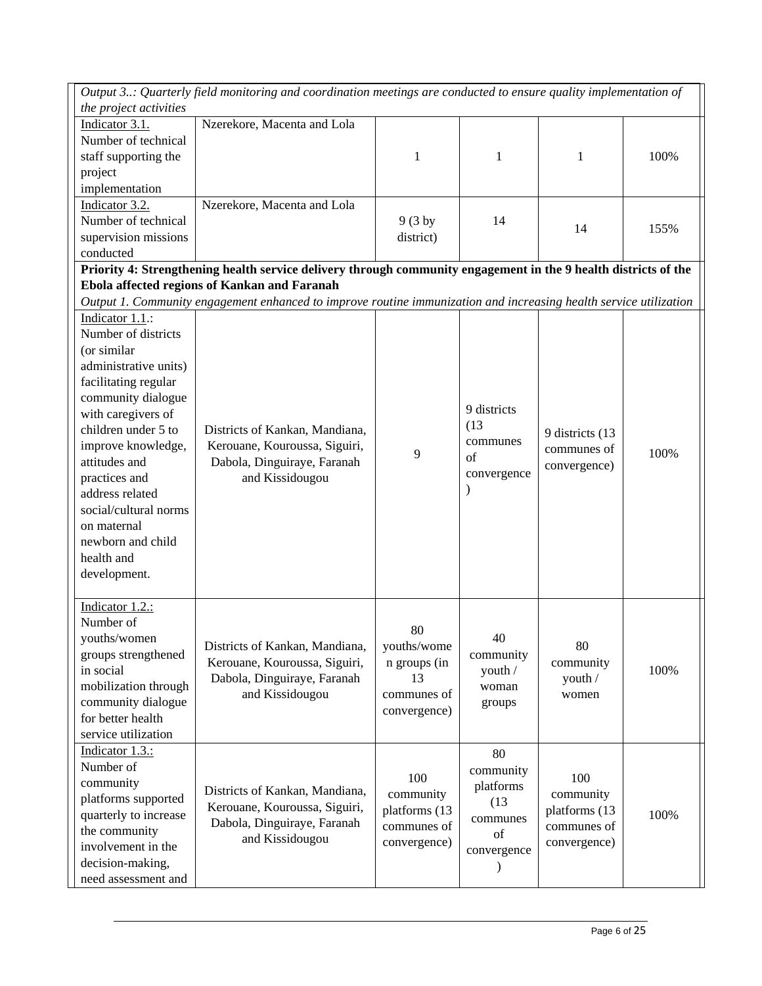| Output 3: Quarterly field monitoring and coordination meetings are conducted to ensure quality implementation of<br>the project activities<br>Indicator 3.1.<br>Nzerekore, Macenta and Lola<br>Number of technical<br>staff supporting the<br>100%<br>1<br>1<br>1<br>project<br>implementation<br>Indicator 3.2.<br>Nzerekore, Macenta and Lola<br>Number of technical<br>14<br>$9(3 \text{ by})$<br>14<br>155%<br>supervision missions<br>district)<br>conducted<br>Priority 4: Strengthening health service delivery through community engagement in the 9 health districts of the<br>Ebola affected regions of Kankan and Faranah<br>Output 1. Community engagement enhanced to improve routine immunization and increasing health service utilization<br>Indicator 1.1.:<br>Number of districts<br>(or similar<br>administrative units)<br>facilitating regular<br>community dialogue<br>9 districts<br>with caregivers of<br>(13)<br>children under 5 to<br>Districts of Kankan, Mandiana,<br>9 districts (13<br>communes<br>improve knowledge,<br>Kerouane, Kouroussa, Siguiri,<br>communes of<br>100%<br>9<br>of<br>attitudes and<br>Dabola, Dinguiraye, Faranah<br>convergence)<br>convergence<br>practices and<br>and Kissidougou<br>$\lambda$<br>address related<br>social/cultural norms<br>on maternal<br>newborn and child<br>health and<br>development.<br>Indicator 1.2.:<br>Number of<br>80<br>youths/women<br>40<br>80<br>Districts of Kankan, Mandiana,<br>youths/wome<br>groups strengthened<br>community<br>Kerouane, Kouroussa, Siguiri,<br>n groups (in<br>community<br>in social<br>100%<br>youth /<br>Dabola, Dinguiraye, Faranah<br>youth /<br>13<br>mobilization through<br>woman<br>and Kissidougou<br>communes of<br>women<br>community dialogue<br>groups<br>convergence)<br>for better health<br>service utilization<br>Indicator 1.3.:<br>80<br>Number of<br>community<br>100<br>100<br>community<br>platforms<br>Districts of Kankan, Mandiana,<br>community<br>community<br>platforms supported<br>(13)<br>Kerouane, Kouroussa, Siguiri,<br>platforms (13<br>platforms (13<br>100%<br>quarterly to increase<br>communes<br>Dabola, Dinguiraye, Faranah<br>communes of<br>communes of<br>the community<br>of<br>and Kissidougou<br>convergence)<br>convergence)<br>involvement in the<br>convergence<br>decision-making, |  |  |  |
|----------------------------------------------------------------------------------------------------------------------------------------------------------------------------------------------------------------------------------------------------------------------------------------------------------------------------------------------------------------------------------------------------------------------------------------------------------------------------------------------------------------------------------------------------------------------------------------------------------------------------------------------------------------------------------------------------------------------------------------------------------------------------------------------------------------------------------------------------------------------------------------------------------------------------------------------------------------------------------------------------------------------------------------------------------------------------------------------------------------------------------------------------------------------------------------------------------------------------------------------------------------------------------------------------------------------------------------------------------------------------------------------------------------------------------------------------------------------------------------------------------------------------------------------------------------------------------------------------------------------------------------------------------------------------------------------------------------------------------------------------------------------------------------------------------------------------------------------------------------------------------------------------------------------------------------------------------------------------------------------------------------------------------------------------------------------------------------------------------------------------------------------------------------------------------------------------------------------------------------------------------------------------------------------------------------------------------------------------------|--|--|--|
|                                                                                                                                                                                                                                                                                                                                                                                                                                                                                                                                                                                                                                                                                                                                                                                                                                                                                                                                                                                                                                                                                                                                                                                                                                                                                                                                                                                                                                                                                                                                                                                                                                                                                                                                                                                                                                                                                                                                                                                                                                                                                                                                                                                                                                                                                                                                                          |  |  |  |
|                                                                                                                                                                                                                                                                                                                                                                                                                                                                                                                                                                                                                                                                                                                                                                                                                                                                                                                                                                                                                                                                                                                                                                                                                                                                                                                                                                                                                                                                                                                                                                                                                                                                                                                                                                                                                                                                                                                                                                                                                                                                                                                                                                                                                                                                                                                                                          |  |  |  |
|                                                                                                                                                                                                                                                                                                                                                                                                                                                                                                                                                                                                                                                                                                                                                                                                                                                                                                                                                                                                                                                                                                                                                                                                                                                                                                                                                                                                                                                                                                                                                                                                                                                                                                                                                                                                                                                                                                                                                                                                                                                                                                                                                                                                                                                                                                                                                          |  |  |  |
|                                                                                                                                                                                                                                                                                                                                                                                                                                                                                                                                                                                                                                                                                                                                                                                                                                                                                                                                                                                                                                                                                                                                                                                                                                                                                                                                                                                                                                                                                                                                                                                                                                                                                                                                                                                                                                                                                                                                                                                                                                                                                                                                                                                                                                                                                                                                                          |  |  |  |
|                                                                                                                                                                                                                                                                                                                                                                                                                                                                                                                                                                                                                                                                                                                                                                                                                                                                                                                                                                                                                                                                                                                                                                                                                                                                                                                                                                                                                                                                                                                                                                                                                                                                                                                                                                                                                                                                                                                                                                                                                                                                                                                                                                                                                                                                                                                                                          |  |  |  |
|                                                                                                                                                                                                                                                                                                                                                                                                                                                                                                                                                                                                                                                                                                                                                                                                                                                                                                                                                                                                                                                                                                                                                                                                                                                                                                                                                                                                                                                                                                                                                                                                                                                                                                                                                                                                                                                                                                                                                                                                                                                                                                                                                                                                                                                                                                                                                          |  |  |  |
|                                                                                                                                                                                                                                                                                                                                                                                                                                                                                                                                                                                                                                                                                                                                                                                                                                                                                                                                                                                                                                                                                                                                                                                                                                                                                                                                                                                                                                                                                                                                                                                                                                                                                                                                                                                                                                                                                                                                                                                                                                                                                                                                                                                                                                                                                                                                                          |  |  |  |
|                                                                                                                                                                                                                                                                                                                                                                                                                                                                                                                                                                                                                                                                                                                                                                                                                                                                                                                                                                                                                                                                                                                                                                                                                                                                                                                                                                                                                                                                                                                                                                                                                                                                                                                                                                                                                                                                                                                                                                                                                                                                                                                                                                                                                                                                                                                                                          |  |  |  |
|                                                                                                                                                                                                                                                                                                                                                                                                                                                                                                                                                                                                                                                                                                                                                                                                                                                                                                                                                                                                                                                                                                                                                                                                                                                                                                                                                                                                                                                                                                                                                                                                                                                                                                                                                                                                                                                                                                                                                                                                                                                                                                                                                                                                                                                                                                                                                          |  |  |  |
|                                                                                                                                                                                                                                                                                                                                                                                                                                                                                                                                                                                                                                                                                                                                                                                                                                                                                                                                                                                                                                                                                                                                                                                                                                                                                                                                                                                                                                                                                                                                                                                                                                                                                                                                                                                                                                                                                                                                                                                                                                                                                                                                                                                                                                                                                                                                                          |  |  |  |
|                                                                                                                                                                                                                                                                                                                                                                                                                                                                                                                                                                                                                                                                                                                                                                                                                                                                                                                                                                                                                                                                                                                                                                                                                                                                                                                                                                                                                                                                                                                                                                                                                                                                                                                                                                                                                                                                                                                                                                                                                                                                                                                                                                                                                                                                                                                                                          |  |  |  |
|                                                                                                                                                                                                                                                                                                                                                                                                                                                                                                                                                                                                                                                                                                                                                                                                                                                                                                                                                                                                                                                                                                                                                                                                                                                                                                                                                                                                                                                                                                                                                                                                                                                                                                                                                                                                                                                                                                                                                                                                                                                                                                                                                                                                                                                                                                                                                          |  |  |  |
|                                                                                                                                                                                                                                                                                                                                                                                                                                                                                                                                                                                                                                                                                                                                                                                                                                                                                                                                                                                                                                                                                                                                                                                                                                                                                                                                                                                                                                                                                                                                                                                                                                                                                                                                                                                                                                                                                                                                                                                                                                                                                                                                                                                                                                                                                                                                                          |  |  |  |
|                                                                                                                                                                                                                                                                                                                                                                                                                                                                                                                                                                                                                                                                                                                                                                                                                                                                                                                                                                                                                                                                                                                                                                                                                                                                                                                                                                                                                                                                                                                                                                                                                                                                                                                                                                                                                                                                                                                                                                                                                                                                                                                                                                                                                                                                                                                                                          |  |  |  |
|                                                                                                                                                                                                                                                                                                                                                                                                                                                                                                                                                                                                                                                                                                                                                                                                                                                                                                                                                                                                                                                                                                                                                                                                                                                                                                                                                                                                                                                                                                                                                                                                                                                                                                                                                                                                                                                                                                                                                                                                                                                                                                                                                                                                                                                                                                                                                          |  |  |  |
|                                                                                                                                                                                                                                                                                                                                                                                                                                                                                                                                                                                                                                                                                                                                                                                                                                                                                                                                                                                                                                                                                                                                                                                                                                                                                                                                                                                                                                                                                                                                                                                                                                                                                                                                                                                                                                                                                                                                                                                                                                                                                                                                                                                                                                                                                                                                                          |  |  |  |
|                                                                                                                                                                                                                                                                                                                                                                                                                                                                                                                                                                                                                                                                                                                                                                                                                                                                                                                                                                                                                                                                                                                                                                                                                                                                                                                                                                                                                                                                                                                                                                                                                                                                                                                                                                                                                                                                                                                                                                                                                                                                                                                                                                                                                                                                                                                                                          |  |  |  |
|                                                                                                                                                                                                                                                                                                                                                                                                                                                                                                                                                                                                                                                                                                                                                                                                                                                                                                                                                                                                                                                                                                                                                                                                                                                                                                                                                                                                                                                                                                                                                                                                                                                                                                                                                                                                                                                                                                                                                                                                                                                                                                                                                                                                                                                                                                                                                          |  |  |  |
|                                                                                                                                                                                                                                                                                                                                                                                                                                                                                                                                                                                                                                                                                                                                                                                                                                                                                                                                                                                                                                                                                                                                                                                                                                                                                                                                                                                                                                                                                                                                                                                                                                                                                                                                                                                                                                                                                                                                                                                                                                                                                                                                                                                                                                                                                                                                                          |  |  |  |
|                                                                                                                                                                                                                                                                                                                                                                                                                                                                                                                                                                                                                                                                                                                                                                                                                                                                                                                                                                                                                                                                                                                                                                                                                                                                                                                                                                                                                                                                                                                                                                                                                                                                                                                                                                                                                                                                                                                                                                                                                                                                                                                                                                                                                                                                                                                                                          |  |  |  |
|                                                                                                                                                                                                                                                                                                                                                                                                                                                                                                                                                                                                                                                                                                                                                                                                                                                                                                                                                                                                                                                                                                                                                                                                                                                                                                                                                                                                                                                                                                                                                                                                                                                                                                                                                                                                                                                                                                                                                                                                                                                                                                                                                                                                                                                                                                                                                          |  |  |  |
|                                                                                                                                                                                                                                                                                                                                                                                                                                                                                                                                                                                                                                                                                                                                                                                                                                                                                                                                                                                                                                                                                                                                                                                                                                                                                                                                                                                                                                                                                                                                                                                                                                                                                                                                                                                                                                                                                                                                                                                                                                                                                                                                                                                                                                                                                                                                                          |  |  |  |
|                                                                                                                                                                                                                                                                                                                                                                                                                                                                                                                                                                                                                                                                                                                                                                                                                                                                                                                                                                                                                                                                                                                                                                                                                                                                                                                                                                                                                                                                                                                                                                                                                                                                                                                                                                                                                                                                                                                                                                                                                                                                                                                                                                                                                                                                                                                                                          |  |  |  |
|                                                                                                                                                                                                                                                                                                                                                                                                                                                                                                                                                                                                                                                                                                                                                                                                                                                                                                                                                                                                                                                                                                                                                                                                                                                                                                                                                                                                                                                                                                                                                                                                                                                                                                                                                                                                                                                                                                                                                                                                                                                                                                                                                                                                                                                                                                                                                          |  |  |  |
|                                                                                                                                                                                                                                                                                                                                                                                                                                                                                                                                                                                                                                                                                                                                                                                                                                                                                                                                                                                                                                                                                                                                                                                                                                                                                                                                                                                                                                                                                                                                                                                                                                                                                                                                                                                                                                                                                                                                                                                                                                                                                                                                                                                                                                                                                                                                                          |  |  |  |
|                                                                                                                                                                                                                                                                                                                                                                                                                                                                                                                                                                                                                                                                                                                                                                                                                                                                                                                                                                                                                                                                                                                                                                                                                                                                                                                                                                                                                                                                                                                                                                                                                                                                                                                                                                                                                                                                                                                                                                                                                                                                                                                                                                                                                                                                                                                                                          |  |  |  |
|                                                                                                                                                                                                                                                                                                                                                                                                                                                                                                                                                                                                                                                                                                                                                                                                                                                                                                                                                                                                                                                                                                                                                                                                                                                                                                                                                                                                                                                                                                                                                                                                                                                                                                                                                                                                                                                                                                                                                                                                                                                                                                                                                                                                                                                                                                                                                          |  |  |  |
|                                                                                                                                                                                                                                                                                                                                                                                                                                                                                                                                                                                                                                                                                                                                                                                                                                                                                                                                                                                                                                                                                                                                                                                                                                                                                                                                                                                                                                                                                                                                                                                                                                                                                                                                                                                                                                                                                                                                                                                                                                                                                                                                                                                                                                                                                                                                                          |  |  |  |
|                                                                                                                                                                                                                                                                                                                                                                                                                                                                                                                                                                                                                                                                                                                                                                                                                                                                                                                                                                                                                                                                                                                                                                                                                                                                                                                                                                                                                                                                                                                                                                                                                                                                                                                                                                                                                                                                                                                                                                                                                                                                                                                                                                                                                                                                                                                                                          |  |  |  |
|                                                                                                                                                                                                                                                                                                                                                                                                                                                                                                                                                                                                                                                                                                                                                                                                                                                                                                                                                                                                                                                                                                                                                                                                                                                                                                                                                                                                                                                                                                                                                                                                                                                                                                                                                                                                                                                                                                                                                                                                                                                                                                                                                                                                                                                                                                                                                          |  |  |  |
|                                                                                                                                                                                                                                                                                                                                                                                                                                                                                                                                                                                                                                                                                                                                                                                                                                                                                                                                                                                                                                                                                                                                                                                                                                                                                                                                                                                                                                                                                                                                                                                                                                                                                                                                                                                                                                                                                                                                                                                                                                                                                                                                                                                                                                                                                                                                                          |  |  |  |
|                                                                                                                                                                                                                                                                                                                                                                                                                                                                                                                                                                                                                                                                                                                                                                                                                                                                                                                                                                                                                                                                                                                                                                                                                                                                                                                                                                                                                                                                                                                                                                                                                                                                                                                                                                                                                                                                                                                                                                                                                                                                                                                                                                                                                                                                                                                                                          |  |  |  |
|                                                                                                                                                                                                                                                                                                                                                                                                                                                                                                                                                                                                                                                                                                                                                                                                                                                                                                                                                                                                                                                                                                                                                                                                                                                                                                                                                                                                                                                                                                                                                                                                                                                                                                                                                                                                                                                                                                                                                                                                                                                                                                                                                                                                                                                                                                                                                          |  |  |  |
|                                                                                                                                                                                                                                                                                                                                                                                                                                                                                                                                                                                                                                                                                                                                                                                                                                                                                                                                                                                                                                                                                                                                                                                                                                                                                                                                                                                                                                                                                                                                                                                                                                                                                                                                                                                                                                                                                                                                                                                                                                                                                                                                                                                                                                                                                                                                                          |  |  |  |
|                                                                                                                                                                                                                                                                                                                                                                                                                                                                                                                                                                                                                                                                                                                                                                                                                                                                                                                                                                                                                                                                                                                                                                                                                                                                                                                                                                                                                                                                                                                                                                                                                                                                                                                                                                                                                                                                                                                                                                                                                                                                                                                                                                                                                                                                                                                                                          |  |  |  |
|                                                                                                                                                                                                                                                                                                                                                                                                                                                                                                                                                                                                                                                                                                                                                                                                                                                                                                                                                                                                                                                                                                                                                                                                                                                                                                                                                                                                                                                                                                                                                                                                                                                                                                                                                                                                                                                                                                                                                                                                                                                                                                                                                                                                                                                                                                                                                          |  |  |  |
|                                                                                                                                                                                                                                                                                                                                                                                                                                                                                                                                                                                                                                                                                                                                                                                                                                                                                                                                                                                                                                                                                                                                                                                                                                                                                                                                                                                                                                                                                                                                                                                                                                                                                                                                                                                                                                                                                                                                                                                                                                                                                                                                                                                                                                                                                                                                                          |  |  |  |
|                                                                                                                                                                                                                                                                                                                                                                                                                                                                                                                                                                                                                                                                                                                                                                                                                                                                                                                                                                                                                                                                                                                                                                                                                                                                                                                                                                                                                                                                                                                                                                                                                                                                                                                                                                                                                                                                                                                                                                                                                                                                                                                                                                                                                                                                                                                                                          |  |  |  |
|                                                                                                                                                                                                                                                                                                                                                                                                                                                                                                                                                                                                                                                                                                                                                                                                                                                                                                                                                                                                                                                                                                                                                                                                                                                                                                                                                                                                                                                                                                                                                                                                                                                                                                                                                                                                                                                                                                                                                                                                                                                                                                                                                                                                                                                                                                                                                          |  |  |  |
|                                                                                                                                                                                                                                                                                                                                                                                                                                                                                                                                                                                                                                                                                                                                                                                                                                                                                                                                                                                                                                                                                                                                                                                                                                                                                                                                                                                                                                                                                                                                                                                                                                                                                                                                                                                                                                                                                                                                                                                                                                                                                                                                                                                                                                                                                                                                                          |  |  |  |
|                                                                                                                                                                                                                                                                                                                                                                                                                                                                                                                                                                                                                                                                                                                                                                                                                                                                                                                                                                                                                                                                                                                                                                                                                                                                                                                                                                                                                                                                                                                                                                                                                                                                                                                                                                                                                                                                                                                                                                                                                                                                                                                                                                                                                                                                                                                                                          |  |  |  |
|                                                                                                                                                                                                                                                                                                                                                                                                                                                                                                                                                                                                                                                                                                                                                                                                                                                                                                                                                                                                                                                                                                                                                                                                                                                                                                                                                                                                                                                                                                                                                                                                                                                                                                                                                                                                                                                                                                                                                                                                                                                                                                                                                                                                                                                                                                                                                          |  |  |  |
|                                                                                                                                                                                                                                                                                                                                                                                                                                                                                                                                                                                                                                                                                                                                                                                                                                                                                                                                                                                                                                                                                                                                                                                                                                                                                                                                                                                                                                                                                                                                                                                                                                                                                                                                                                                                                                                                                                                                                                                                                                                                                                                                                                                                                                                                                                                                                          |  |  |  |
|                                                                                                                                                                                                                                                                                                                                                                                                                                                                                                                                                                                                                                                                                                                                                                                                                                                                                                                                                                                                                                                                                                                                                                                                                                                                                                                                                                                                                                                                                                                                                                                                                                                                                                                                                                                                                                                                                                                                                                                                                                                                                                                                                                                                                                                                                                                                                          |  |  |  |
|                                                                                                                                                                                                                                                                                                                                                                                                                                                                                                                                                                                                                                                                                                                                                                                                                                                                                                                                                                                                                                                                                                                                                                                                                                                                                                                                                                                                                                                                                                                                                                                                                                                                                                                                                                                                                                                                                                                                                                                                                                                                                                                                                                                                                                                                                                                                                          |  |  |  |
|                                                                                                                                                                                                                                                                                                                                                                                                                                                                                                                                                                                                                                                                                                                                                                                                                                                                                                                                                                                                                                                                                                                                                                                                                                                                                                                                                                                                                                                                                                                                                                                                                                                                                                                                                                                                                                                                                                                                                                                                                                                                                                                                                                                                                                                                                                                                                          |  |  |  |
|                                                                                                                                                                                                                                                                                                                                                                                                                                                                                                                                                                                                                                                                                                                                                                                                                                                                                                                                                                                                                                                                                                                                                                                                                                                                                                                                                                                                                                                                                                                                                                                                                                                                                                                                                                                                                                                                                                                                                                                                                                                                                                                                                                                                                                                                                                                                                          |  |  |  |
|                                                                                                                                                                                                                                                                                                                                                                                                                                                                                                                                                                                                                                                                                                                                                                                                                                                                                                                                                                                                                                                                                                                                                                                                                                                                                                                                                                                                                                                                                                                                                                                                                                                                                                                                                                                                                                                                                                                                                                                                                                                                                                                                                                                                                                                                                                                                                          |  |  |  |
|                                                                                                                                                                                                                                                                                                                                                                                                                                                                                                                                                                                                                                                                                                                                                                                                                                                                                                                                                                                                                                                                                                                                                                                                                                                                                                                                                                                                                                                                                                                                                                                                                                                                                                                                                                                                                                                                                                                                                                                                                                                                                                                                                                                                                                                                                                                                                          |  |  |  |
| need assessment and                                                                                                                                                                                                                                                                                                                                                                                                                                                                                                                                                                                                                                                                                                                                                                                                                                                                                                                                                                                                                                                                                                                                                                                                                                                                                                                                                                                                                                                                                                                                                                                                                                                                                                                                                                                                                                                                                                                                                                                                                                                                                                                                                                                                                                                                                                                                      |  |  |  |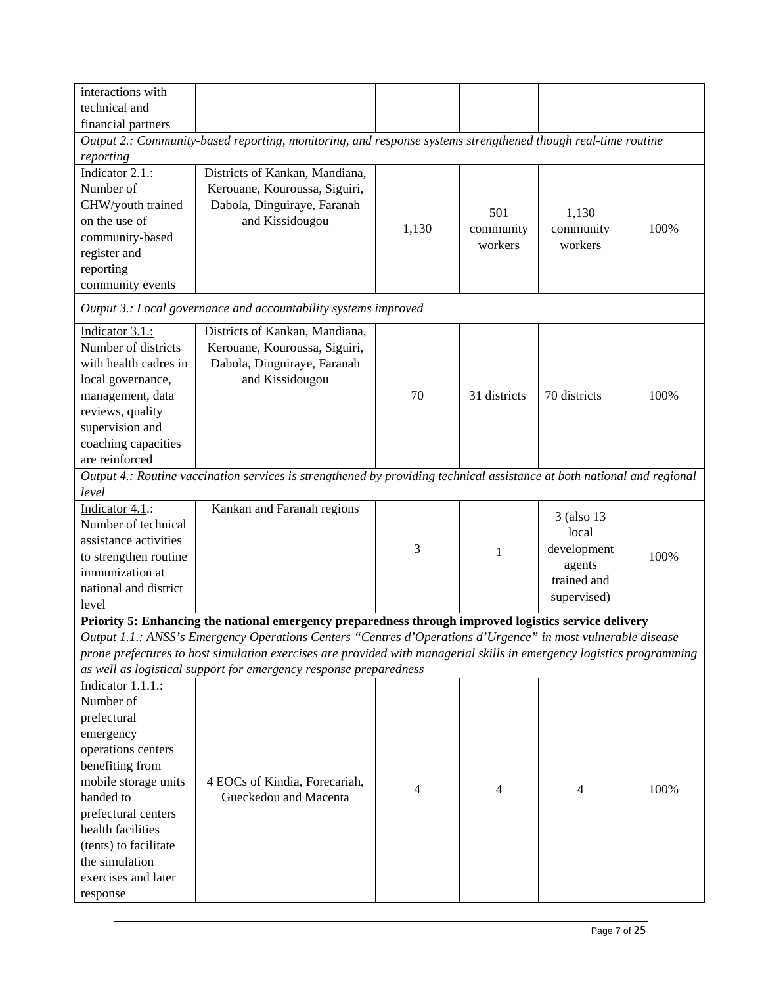| technical and<br>financial partners<br>Output 2.: Community-based reporting, monitoring, and response systems strengthened though real-time routine<br>reporting<br>Indicator 2.1.:<br>Districts of Kankan, Mandiana,<br>Number of<br>Kerouane, Kouroussa, Siguiri,<br>Dabola, Dinguiraye, Faranah<br>CHW/youth trained<br>501<br>1,130<br>on the use of<br>and Kissidougou<br>100%<br>1,130<br>community<br>community<br>community-based<br>workers<br>workers<br>register and<br>reporting<br>community events<br>Output 3.: Local governance and accountability systems improved<br>Indicator 3.1.:<br>Districts of Kankan, Mandiana,<br>Number of districts<br>Kerouane, Kouroussa, Siguiri,<br>with health cadres in<br>Dabola, Dinguiraye, Faranah<br>local governance,<br>and Kissidougou<br>70<br>31 districts<br>70 districts<br>100%<br>management, data<br>reviews, quality<br>supervision and<br>coaching capacities<br>are reinforced<br>Output 4.: Routine vaccination services is strengthened by providing technical assistance at both national and regional<br>level<br>Indicator 4.1.:<br>Kankan and Faranah regions<br>3 (also 13)<br>Number of technical<br>local<br>assistance activities<br>3<br>development<br>1<br>100%<br>to strengthen routine<br>agents<br>immunization at<br>trained and<br>national and district<br>supervised)<br>level<br>Priority 5: Enhancing the national emergency preparedness through improved logistics service delivery<br>Output 1.1.: ANSS's Emergency Operations Centers "Centres d'Operations d'Urgence" in most vulnerable disease<br>prone prefectures to host simulation exercises are provided with managerial skills in emergency logistics programming<br>as well as logistical support for emergency response preparedness<br>Indicator 1.1.1.:<br>Number of<br>prefectural<br>emergency<br>operations centers<br>benefiting from<br>mobile storage units<br>4 EOCs of Kindia, Forecariah,<br>100%<br>4<br>4<br>4<br>handed to<br>Gueckedou and Macenta<br>prefectural centers<br>health facilities<br>(tents) to facilitate | interactions with |  |  |  |
|-------------------------------------------------------------------------------------------------------------------------------------------------------------------------------------------------------------------------------------------------------------------------------------------------------------------------------------------------------------------------------------------------------------------------------------------------------------------------------------------------------------------------------------------------------------------------------------------------------------------------------------------------------------------------------------------------------------------------------------------------------------------------------------------------------------------------------------------------------------------------------------------------------------------------------------------------------------------------------------------------------------------------------------------------------------------------------------------------------------------------------------------------------------------------------------------------------------------------------------------------------------------------------------------------------------------------------------------------------------------------------------------------------------------------------------------------------------------------------------------------------------------------------------------------------------------------------------------------------------------------------------------------------------------------------------------------------------------------------------------------------------------------------------------------------------------------------------------------------------------------------------------------------------------------------------------------------------------------------------------------------------------------------------------------------------------------------------------------|-------------------|--|--|--|
|                                                                                                                                                                                                                                                                                                                                                                                                                                                                                                                                                                                                                                                                                                                                                                                                                                                                                                                                                                                                                                                                                                                                                                                                                                                                                                                                                                                                                                                                                                                                                                                                                                                                                                                                                                                                                                                                                                                                                                                                                                                                                                 |                   |  |  |  |
|                                                                                                                                                                                                                                                                                                                                                                                                                                                                                                                                                                                                                                                                                                                                                                                                                                                                                                                                                                                                                                                                                                                                                                                                                                                                                                                                                                                                                                                                                                                                                                                                                                                                                                                                                                                                                                                                                                                                                                                                                                                                                                 |                   |  |  |  |
|                                                                                                                                                                                                                                                                                                                                                                                                                                                                                                                                                                                                                                                                                                                                                                                                                                                                                                                                                                                                                                                                                                                                                                                                                                                                                                                                                                                                                                                                                                                                                                                                                                                                                                                                                                                                                                                                                                                                                                                                                                                                                                 |                   |  |  |  |
|                                                                                                                                                                                                                                                                                                                                                                                                                                                                                                                                                                                                                                                                                                                                                                                                                                                                                                                                                                                                                                                                                                                                                                                                                                                                                                                                                                                                                                                                                                                                                                                                                                                                                                                                                                                                                                                                                                                                                                                                                                                                                                 |                   |  |  |  |
|                                                                                                                                                                                                                                                                                                                                                                                                                                                                                                                                                                                                                                                                                                                                                                                                                                                                                                                                                                                                                                                                                                                                                                                                                                                                                                                                                                                                                                                                                                                                                                                                                                                                                                                                                                                                                                                                                                                                                                                                                                                                                                 |                   |  |  |  |
|                                                                                                                                                                                                                                                                                                                                                                                                                                                                                                                                                                                                                                                                                                                                                                                                                                                                                                                                                                                                                                                                                                                                                                                                                                                                                                                                                                                                                                                                                                                                                                                                                                                                                                                                                                                                                                                                                                                                                                                                                                                                                                 |                   |  |  |  |
|                                                                                                                                                                                                                                                                                                                                                                                                                                                                                                                                                                                                                                                                                                                                                                                                                                                                                                                                                                                                                                                                                                                                                                                                                                                                                                                                                                                                                                                                                                                                                                                                                                                                                                                                                                                                                                                                                                                                                                                                                                                                                                 |                   |  |  |  |
|                                                                                                                                                                                                                                                                                                                                                                                                                                                                                                                                                                                                                                                                                                                                                                                                                                                                                                                                                                                                                                                                                                                                                                                                                                                                                                                                                                                                                                                                                                                                                                                                                                                                                                                                                                                                                                                                                                                                                                                                                                                                                                 |                   |  |  |  |
|                                                                                                                                                                                                                                                                                                                                                                                                                                                                                                                                                                                                                                                                                                                                                                                                                                                                                                                                                                                                                                                                                                                                                                                                                                                                                                                                                                                                                                                                                                                                                                                                                                                                                                                                                                                                                                                                                                                                                                                                                                                                                                 |                   |  |  |  |
|                                                                                                                                                                                                                                                                                                                                                                                                                                                                                                                                                                                                                                                                                                                                                                                                                                                                                                                                                                                                                                                                                                                                                                                                                                                                                                                                                                                                                                                                                                                                                                                                                                                                                                                                                                                                                                                                                                                                                                                                                                                                                                 |                   |  |  |  |
|                                                                                                                                                                                                                                                                                                                                                                                                                                                                                                                                                                                                                                                                                                                                                                                                                                                                                                                                                                                                                                                                                                                                                                                                                                                                                                                                                                                                                                                                                                                                                                                                                                                                                                                                                                                                                                                                                                                                                                                                                                                                                                 |                   |  |  |  |
|                                                                                                                                                                                                                                                                                                                                                                                                                                                                                                                                                                                                                                                                                                                                                                                                                                                                                                                                                                                                                                                                                                                                                                                                                                                                                                                                                                                                                                                                                                                                                                                                                                                                                                                                                                                                                                                                                                                                                                                                                                                                                                 |                   |  |  |  |
|                                                                                                                                                                                                                                                                                                                                                                                                                                                                                                                                                                                                                                                                                                                                                                                                                                                                                                                                                                                                                                                                                                                                                                                                                                                                                                                                                                                                                                                                                                                                                                                                                                                                                                                                                                                                                                                                                                                                                                                                                                                                                                 |                   |  |  |  |
|                                                                                                                                                                                                                                                                                                                                                                                                                                                                                                                                                                                                                                                                                                                                                                                                                                                                                                                                                                                                                                                                                                                                                                                                                                                                                                                                                                                                                                                                                                                                                                                                                                                                                                                                                                                                                                                                                                                                                                                                                                                                                                 |                   |  |  |  |
|                                                                                                                                                                                                                                                                                                                                                                                                                                                                                                                                                                                                                                                                                                                                                                                                                                                                                                                                                                                                                                                                                                                                                                                                                                                                                                                                                                                                                                                                                                                                                                                                                                                                                                                                                                                                                                                                                                                                                                                                                                                                                                 |                   |  |  |  |
|                                                                                                                                                                                                                                                                                                                                                                                                                                                                                                                                                                                                                                                                                                                                                                                                                                                                                                                                                                                                                                                                                                                                                                                                                                                                                                                                                                                                                                                                                                                                                                                                                                                                                                                                                                                                                                                                                                                                                                                                                                                                                                 |                   |  |  |  |
|                                                                                                                                                                                                                                                                                                                                                                                                                                                                                                                                                                                                                                                                                                                                                                                                                                                                                                                                                                                                                                                                                                                                                                                                                                                                                                                                                                                                                                                                                                                                                                                                                                                                                                                                                                                                                                                                                                                                                                                                                                                                                                 |                   |  |  |  |
|                                                                                                                                                                                                                                                                                                                                                                                                                                                                                                                                                                                                                                                                                                                                                                                                                                                                                                                                                                                                                                                                                                                                                                                                                                                                                                                                                                                                                                                                                                                                                                                                                                                                                                                                                                                                                                                                                                                                                                                                                                                                                                 |                   |  |  |  |
|                                                                                                                                                                                                                                                                                                                                                                                                                                                                                                                                                                                                                                                                                                                                                                                                                                                                                                                                                                                                                                                                                                                                                                                                                                                                                                                                                                                                                                                                                                                                                                                                                                                                                                                                                                                                                                                                                                                                                                                                                                                                                                 |                   |  |  |  |
|                                                                                                                                                                                                                                                                                                                                                                                                                                                                                                                                                                                                                                                                                                                                                                                                                                                                                                                                                                                                                                                                                                                                                                                                                                                                                                                                                                                                                                                                                                                                                                                                                                                                                                                                                                                                                                                                                                                                                                                                                                                                                                 |                   |  |  |  |
|                                                                                                                                                                                                                                                                                                                                                                                                                                                                                                                                                                                                                                                                                                                                                                                                                                                                                                                                                                                                                                                                                                                                                                                                                                                                                                                                                                                                                                                                                                                                                                                                                                                                                                                                                                                                                                                                                                                                                                                                                                                                                                 |                   |  |  |  |
|                                                                                                                                                                                                                                                                                                                                                                                                                                                                                                                                                                                                                                                                                                                                                                                                                                                                                                                                                                                                                                                                                                                                                                                                                                                                                                                                                                                                                                                                                                                                                                                                                                                                                                                                                                                                                                                                                                                                                                                                                                                                                                 |                   |  |  |  |
|                                                                                                                                                                                                                                                                                                                                                                                                                                                                                                                                                                                                                                                                                                                                                                                                                                                                                                                                                                                                                                                                                                                                                                                                                                                                                                                                                                                                                                                                                                                                                                                                                                                                                                                                                                                                                                                                                                                                                                                                                                                                                                 |                   |  |  |  |
|                                                                                                                                                                                                                                                                                                                                                                                                                                                                                                                                                                                                                                                                                                                                                                                                                                                                                                                                                                                                                                                                                                                                                                                                                                                                                                                                                                                                                                                                                                                                                                                                                                                                                                                                                                                                                                                                                                                                                                                                                                                                                                 |                   |  |  |  |
|                                                                                                                                                                                                                                                                                                                                                                                                                                                                                                                                                                                                                                                                                                                                                                                                                                                                                                                                                                                                                                                                                                                                                                                                                                                                                                                                                                                                                                                                                                                                                                                                                                                                                                                                                                                                                                                                                                                                                                                                                                                                                                 |                   |  |  |  |
|                                                                                                                                                                                                                                                                                                                                                                                                                                                                                                                                                                                                                                                                                                                                                                                                                                                                                                                                                                                                                                                                                                                                                                                                                                                                                                                                                                                                                                                                                                                                                                                                                                                                                                                                                                                                                                                                                                                                                                                                                                                                                                 |                   |  |  |  |
|                                                                                                                                                                                                                                                                                                                                                                                                                                                                                                                                                                                                                                                                                                                                                                                                                                                                                                                                                                                                                                                                                                                                                                                                                                                                                                                                                                                                                                                                                                                                                                                                                                                                                                                                                                                                                                                                                                                                                                                                                                                                                                 |                   |  |  |  |
|                                                                                                                                                                                                                                                                                                                                                                                                                                                                                                                                                                                                                                                                                                                                                                                                                                                                                                                                                                                                                                                                                                                                                                                                                                                                                                                                                                                                                                                                                                                                                                                                                                                                                                                                                                                                                                                                                                                                                                                                                                                                                                 |                   |  |  |  |
|                                                                                                                                                                                                                                                                                                                                                                                                                                                                                                                                                                                                                                                                                                                                                                                                                                                                                                                                                                                                                                                                                                                                                                                                                                                                                                                                                                                                                                                                                                                                                                                                                                                                                                                                                                                                                                                                                                                                                                                                                                                                                                 |                   |  |  |  |
|                                                                                                                                                                                                                                                                                                                                                                                                                                                                                                                                                                                                                                                                                                                                                                                                                                                                                                                                                                                                                                                                                                                                                                                                                                                                                                                                                                                                                                                                                                                                                                                                                                                                                                                                                                                                                                                                                                                                                                                                                                                                                                 |                   |  |  |  |
|                                                                                                                                                                                                                                                                                                                                                                                                                                                                                                                                                                                                                                                                                                                                                                                                                                                                                                                                                                                                                                                                                                                                                                                                                                                                                                                                                                                                                                                                                                                                                                                                                                                                                                                                                                                                                                                                                                                                                                                                                                                                                                 |                   |  |  |  |
|                                                                                                                                                                                                                                                                                                                                                                                                                                                                                                                                                                                                                                                                                                                                                                                                                                                                                                                                                                                                                                                                                                                                                                                                                                                                                                                                                                                                                                                                                                                                                                                                                                                                                                                                                                                                                                                                                                                                                                                                                                                                                                 |                   |  |  |  |
|                                                                                                                                                                                                                                                                                                                                                                                                                                                                                                                                                                                                                                                                                                                                                                                                                                                                                                                                                                                                                                                                                                                                                                                                                                                                                                                                                                                                                                                                                                                                                                                                                                                                                                                                                                                                                                                                                                                                                                                                                                                                                                 |                   |  |  |  |
|                                                                                                                                                                                                                                                                                                                                                                                                                                                                                                                                                                                                                                                                                                                                                                                                                                                                                                                                                                                                                                                                                                                                                                                                                                                                                                                                                                                                                                                                                                                                                                                                                                                                                                                                                                                                                                                                                                                                                                                                                                                                                                 |                   |  |  |  |
|                                                                                                                                                                                                                                                                                                                                                                                                                                                                                                                                                                                                                                                                                                                                                                                                                                                                                                                                                                                                                                                                                                                                                                                                                                                                                                                                                                                                                                                                                                                                                                                                                                                                                                                                                                                                                                                                                                                                                                                                                                                                                                 |                   |  |  |  |
|                                                                                                                                                                                                                                                                                                                                                                                                                                                                                                                                                                                                                                                                                                                                                                                                                                                                                                                                                                                                                                                                                                                                                                                                                                                                                                                                                                                                                                                                                                                                                                                                                                                                                                                                                                                                                                                                                                                                                                                                                                                                                                 |                   |  |  |  |
|                                                                                                                                                                                                                                                                                                                                                                                                                                                                                                                                                                                                                                                                                                                                                                                                                                                                                                                                                                                                                                                                                                                                                                                                                                                                                                                                                                                                                                                                                                                                                                                                                                                                                                                                                                                                                                                                                                                                                                                                                                                                                                 |                   |  |  |  |
|                                                                                                                                                                                                                                                                                                                                                                                                                                                                                                                                                                                                                                                                                                                                                                                                                                                                                                                                                                                                                                                                                                                                                                                                                                                                                                                                                                                                                                                                                                                                                                                                                                                                                                                                                                                                                                                                                                                                                                                                                                                                                                 |                   |  |  |  |
|                                                                                                                                                                                                                                                                                                                                                                                                                                                                                                                                                                                                                                                                                                                                                                                                                                                                                                                                                                                                                                                                                                                                                                                                                                                                                                                                                                                                                                                                                                                                                                                                                                                                                                                                                                                                                                                                                                                                                                                                                                                                                                 |                   |  |  |  |
|                                                                                                                                                                                                                                                                                                                                                                                                                                                                                                                                                                                                                                                                                                                                                                                                                                                                                                                                                                                                                                                                                                                                                                                                                                                                                                                                                                                                                                                                                                                                                                                                                                                                                                                                                                                                                                                                                                                                                                                                                                                                                                 |                   |  |  |  |
|                                                                                                                                                                                                                                                                                                                                                                                                                                                                                                                                                                                                                                                                                                                                                                                                                                                                                                                                                                                                                                                                                                                                                                                                                                                                                                                                                                                                                                                                                                                                                                                                                                                                                                                                                                                                                                                                                                                                                                                                                                                                                                 |                   |  |  |  |
|                                                                                                                                                                                                                                                                                                                                                                                                                                                                                                                                                                                                                                                                                                                                                                                                                                                                                                                                                                                                                                                                                                                                                                                                                                                                                                                                                                                                                                                                                                                                                                                                                                                                                                                                                                                                                                                                                                                                                                                                                                                                                                 |                   |  |  |  |
|                                                                                                                                                                                                                                                                                                                                                                                                                                                                                                                                                                                                                                                                                                                                                                                                                                                                                                                                                                                                                                                                                                                                                                                                                                                                                                                                                                                                                                                                                                                                                                                                                                                                                                                                                                                                                                                                                                                                                                                                                                                                                                 |                   |  |  |  |
|                                                                                                                                                                                                                                                                                                                                                                                                                                                                                                                                                                                                                                                                                                                                                                                                                                                                                                                                                                                                                                                                                                                                                                                                                                                                                                                                                                                                                                                                                                                                                                                                                                                                                                                                                                                                                                                                                                                                                                                                                                                                                                 |                   |  |  |  |
|                                                                                                                                                                                                                                                                                                                                                                                                                                                                                                                                                                                                                                                                                                                                                                                                                                                                                                                                                                                                                                                                                                                                                                                                                                                                                                                                                                                                                                                                                                                                                                                                                                                                                                                                                                                                                                                                                                                                                                                                                                                                                                 |                   |  |  |  |
|                                                                                                                                                                                                                                                                                                                                                                                                                                                                                                                                                                                                                                                                                                                                                                                                                                                                                                                                                                                                                                                                                                                                                                                                                                                                                                                                                                                                                                                                                                                                                                                                                                                                                                                                                                                                                                                                                                                                                                                                                                                                                                 |                   |  |  |  |
| the simulation                                                                                                                                                                                                                                                                                                                                                                                                                                                                                                                                                                                                                                                                                                                                                                                                                                                                                                                                                                                                                                                                                                                                                                                                                                                                                                                                                                                                                                                                                                                                                                                                                                                                                                                                                                                                                                                                                                                                                                                                                                                                                  |                   |  |  |  |
| exercises and later                                                                                                                                                                                                                                                                                                                                                                                                                                                                                                                                                                                                                                                                                                                                                                                                                                                                                                                                                                                                                                                                                                                                                                                                                                                                                                                                                                                                                                                                                                                                                                                                                                                                                                                                                                                                                                                                                                                                                                                                                                                                             |                   |  |  |  |
| response                                                                                                                                                                                                                                                                                                                                                                                                                                                                                                                                                                                                                                                                                                                                                                                                                                                                                                                                                                                                                                                                                                                                                                                                                                                                                                                                                                                                                                                                                                                                                                                                                                                                                                                                                                                                                                                                                                                                                                                                                                                                                        |                   |  |  |  |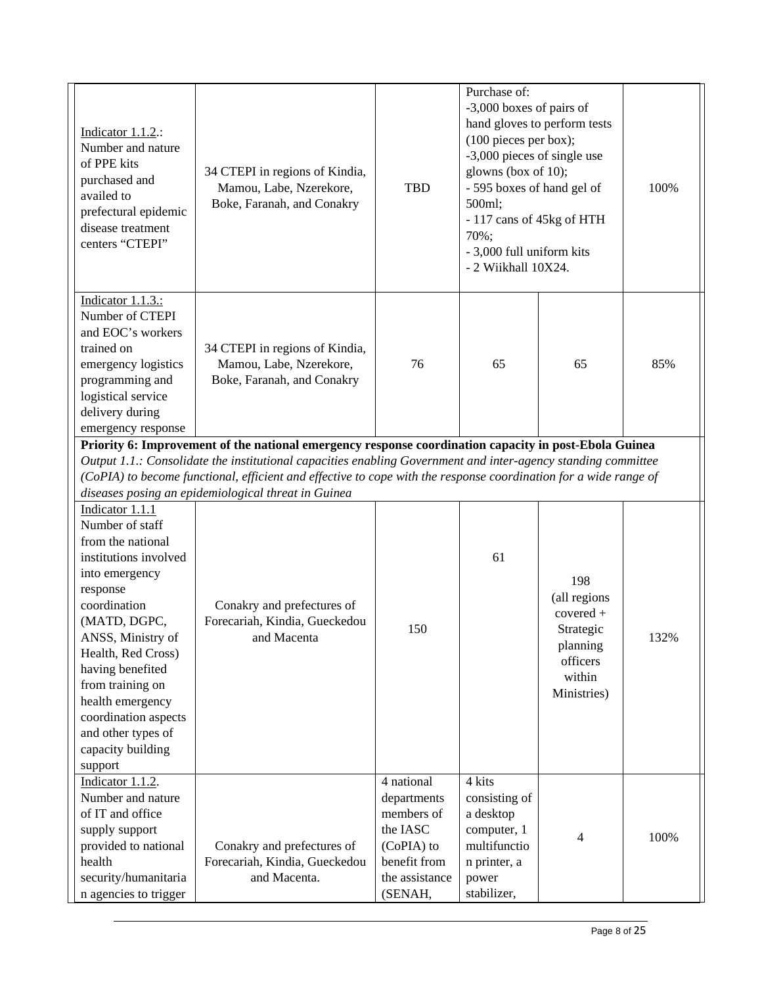| Indicator 1.1.2.:<br>Number and nature<br>of PPE kits<br>purchased and<br>availed to<br>prefectural epidemic<br>disease treatment<br>centers "CTEPI"                                                                                                                                                                                | 34 CTEPI in regions of Kindia,<br>Mamou, Labe, Nzerekore,<br>Boke, Faranah, and Conakry                                                                                                                                | <b>TBD</b>                                                                                                     | Purchase of:<br>-3,000 boxes of pairs of<br>(100 pieces per box);<br>-3,000 pieces of single use<br>glowns (box of 10);<br>- 595 boxes of hand gel of<br>500ml;<br>- 117 cans of 45kg of HTH<br>70%;<br>- 3,000 full uniform kits<br>- 2 Wiikhall 10X24. | hand gloves to perform tests                                                                     | 100% |
|-------------------------------------------------------------------------------------------------------------------------------------------------------------------------------------------------------------------------------------------------------------------------------------------------------------------------------------|------------------------------------------------------------------------------------------------------------------------------------------------------------------------------------------------------------------------|----------------------------------------------------------------------------------------------------------------|----------------------------------------------------------------------------------------------------------------------------------------------------------------------------------------------------------------------------------------------------------|--------------------------------------------------------------------------------------------------|------|
| Indicator 1.1.3.:<br>Number of CTEPI<br>and EOC's workers<br>trained on<br>emergency logistics<br>programming and<br>logistical service<br>delivery during<br>emergency response                                                                                                                                                    | 34 CTEPI in regions of Kindia,<br>Mamou, Labe, Nzerekore,<br>Boke, Faranah, and Conakry                                                                                                                                | 76                                                                                                             | 65                                                                                                                                                                                                                                                       | 65                                                                                               | 85%  |
|                                                                                                                                                                                                                                                                                                                                     | Priority 6: Improvement of the national emergency response coordination capacity in post-Ebola Guinea<br>Output 1.1.: Consolidate the institutional capacities enabling Government and inter-agency standing committee |                                                                                                                |                                                                                                                                                                                                                                                          |                                                                                                  |      |
|                                                                                                                                                                                                                                                                                                                                     | (CoPIA) to become functional, efficient and effective to cope with the response coordination for a wide range of                                                                                                       |                                                                                                                |                                                                                                                                                                                                                                                          |                                                                                                  |      |
|                                                                                                                                                                                                                                                                                                                                     | diseases posing an epidemiological threat in Guinea                                                                                                                                                                    |                                                                                                                |                                                                                                                                                                                                                                                          |                                                                                                  |      |
| Indicator 1.1.1<br>Number of staff<br>from the national<br>institutions involved<br>into emergency<br>response<br>coordination<br>(MATD, DGPC,<br>ANSS, Ministry of<br>Health, Red Cross)<br>having benefited<br>from training on<br>health emergency<br>coordination aspects<br>and other types of<br>capacity building<br>support | Conakry and prefectures of<br>Forecariah, Kindia, Gueckedou<br>and Macenta                                                                                                                                             | 150                                                                                                            | 61                                                                                                                                                                                                                                                       | 198<br>(all regions<br>$covered +$<br>Strategic<br>planning<br>officers<br>within<br>Ministries) | 132% |
| Indicator 1.1.2.<br>Number and nature<br>of IT and office<br>supply support<br>provided to national<br>health<br>security/humanitaria<br>n agencies to trigger                                                                                                                                                                      | Conakry and prefectures of<br>Forecariah, Kindia, Gueckedou<br>and Macenta.                                                                                                                                            | 4 national<br>departments<br>members of<br>the IASC<br>(CoPIA) to<br>benefit from<br>the assistance<br>(SENAH, | 4 kits<br>consisting of<br>a desktop<br>computer, 1<br>multifunctio<br>n printer, a<br>power<br>stabilizer,                                                                                                                                              | 4                                                                                                | 100% |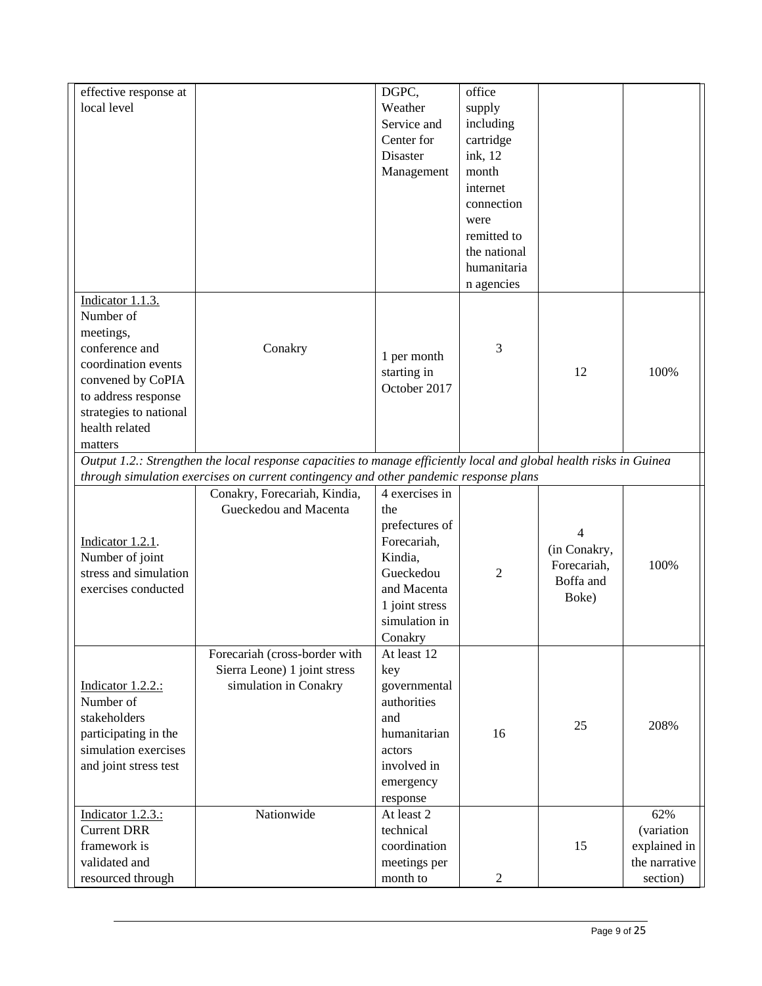| effective response at  |                                                                                                                     | DGPC,          | office         |                             |               |
|------------------------|---------------------------------------------------------------------------------------------------------------------|----------------|----------------|-----------------------------|---------------|
| local level            |                                                                                                                     | Weather        | supply         |                             |               |
|                        |                                                                                                                     | Service and    | including      |                             |               |
|                        |                                                                                                                     | Center for     | cartridge      |                             |               |
|                        |                                                                                                                     | Disaster       | ink, 12        |                             |               |
|                        |                                                                                                                     | Management     | month          |                             |               |
|                        |                                                                                                                     |                | internet       |                             |               |
|                        |                                                                                                                     |                | connection     |                             |               |
|                        |                                                                                                                     |                | were           |                             |               |
|                        |                                                                                                                     |                | remitted to    |                             |               |
|                        |                                                                                                                     |                | the national   |                             |               |
|                        |                                                                                                                     |                | humanitaria    |                             |               |
|                        |                                                                                                                     |                | n agencies     |                             |               |
| Indicator 1.1.3.       |                                                                                                                     |                |                |                             |               |
| Number of              |                                                                                                                     |                |                |                             |               |
| meetings,              |                                                                                                                     |                |                |                             |               |
| conference and         | Conakry                                                                                                             |                | 3              |                             |               |
| coordination events    |                                                                                                                     | 1 per month    |                |                             |               |
| convened by CoPIA      |                                                                                                                     | starting in    |                | 12                          | 100%          |
| to address response    |                                                                                                                     | October 2017   |                |                             |               |
| strategies to national |                                                                                                                     |                |                |                             |               |
| health related         |                                                                                                                     |                |                |                             |               |
| matters                |                                                                                                                     |                |                |                             |               |
|                        | Output 1.2.: Strengthen the local response capacities to manage efficiently local and global health risks in Guinea |                |                |                             |               |
|                        | through simulation exercises on current contingency and other pandemic response plans                               |                |                |                             |               |
|                        | Conakry, Forecariah, Kindia,                                                                                        | 4 exercises in |                |                             |               |
|                        | Gueckedou and Macenta                                                                                               | the            |                |                             |               |
|                        |                                                                                                                     | prefectures of |                | 4                           |               |
| Indicator 1.2.1.       |                                                                                                                     | Forecariah,    |                |                             |               |
| Number of joint        |                                                                                                                     | Kindia,        |                | (in Conakry,<br>Forecariah, | 100%          |
| stress and simulation  |                                                                                                                     | Gueckedou      | $\overline{c}$ | Boffa and                   |               |
| exercises conducted    |                                                                                                                     | and Macenta    |                | Boke)                       |               |
|                        |                                                                                                                     | 1 joint stress |                |                             |               |
|                        |                                                                                                                     | simulation in  |                |                             |               |
|                        |                                                                                                                     | Conakry        |                |                             |               |
|                        | Forecariah (cross-border with                                                                                       | At least 12    |                |                             |               |
|                        | Sierra Leone) 1 joint stress                                                                                        | key            |                |                             |               |
| Indicator 1.2.2.:      | simulation in Conakry                                                                                               | governmental   |                |                             |               |
| Number of              |                                                                                                                     | authorities    |                |                             |               |
| stakeholders           |                                                                                                                     | and            |                | 25                          | 208%          |
| participating in the   |                                                                                                                     | humanitarian   | 16             |                             |               |
| simulation exercises   |                                                                                                                     | actors         |                |                             |               |
| and joint stress test  |                                                                                                                     | involved in    |                |                             |               |
|                        |                                                                                                                     | emergency      |                |                             |               |
|                        |                                                                                                                     | response       |                |                             |               |
| Indicator 1.2.3.:      | Nationwide                                                                                                          | At least 2     |                |                             | 62%           |
| <b>Current DRR</b>     |                                                                                                                     | technical      |                |                             | (variation    |
| framework is           |                                                                                                                     | coordination   |                | 15                          | explained in  |
| validated and          |                                                                                                                     | meetings per   |                |                             | the narrative |
| resourced through      |                                                                                                                     | month to       | $\overline{c}$ |                             | section)      |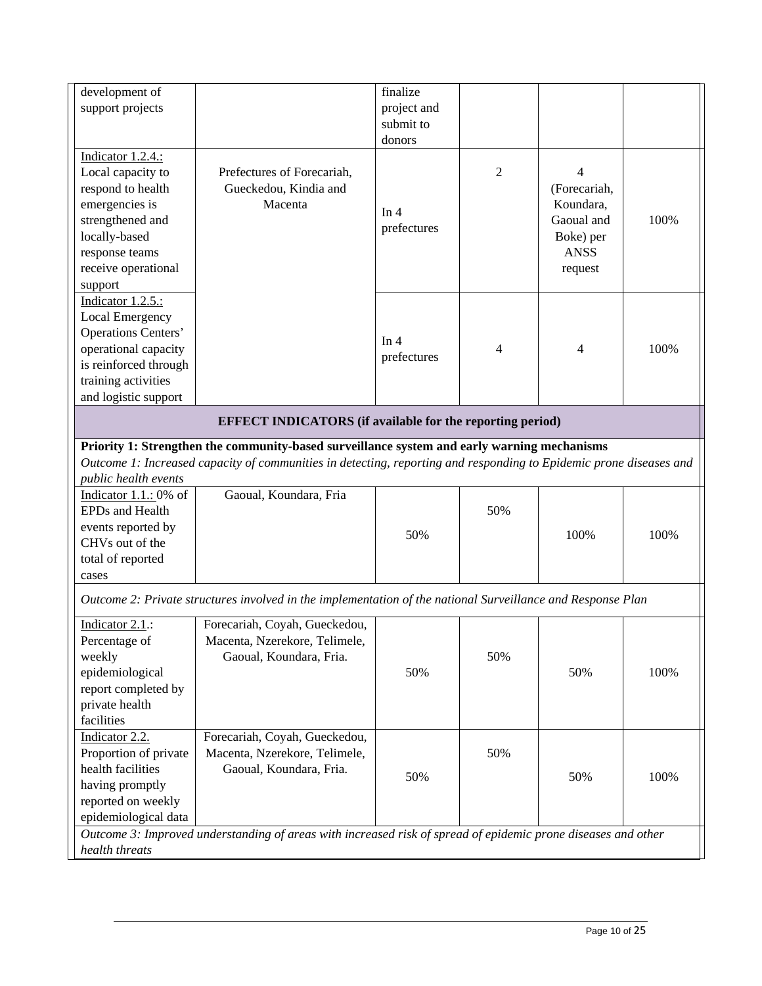| support projects<br>project and<br>submit to<br>donors<br>Indicator 1.2.4.:<br>Local capacity to<br>Prefectures of Forecariah,<br>$\overline{2}$<br>$\overline{4}$<br>respond to health<br>Gueckedou, Kindia and<br>(Forecariah,<br>emergencies is<br>Koundara,<br>Macenta<br>In $4$<br>strengthened and<br>Gaoual and<br>100%<br>prefectures<br>locally-based<br>Boke) per<br><b>ANSS</b><br>response teams<br>receive operational<br>request<br>support<br>Indicator 1.2.5.:<br><b>Local Emergency</b><br><b>Operations Centers'</b><br>In $4$<br>operational capacity<br>100%<br>4<br>4<br>prefectures<br>is reinforced through<br>training activities<br>and logistic support<br><b>EFFECT INDICATORS</b> (if available for the reporting period)<br>Priority 1: Strengthen the community-based surveillance system and early warning mechanisms<br>Outcome 1: Increased capacity of communities in detecting, reporting and responding to Epidemic prone diseases and<br>public health events<br>Indicator 1.1.: 0% of<br>Gaoual, Koundara, Fria<br>EPDs and Health<br>50%<br>events reported by<br>50%<br>100%<br>100%<br>CHVs out of the<br>total of reported<br>cases<br>Outcome 2: Private structures involved in the implementation of the national Surveillance and Response Plan<br>Indicator 2.1.:<br>Forecariah, Coyah, Gueckedou,<br>Macenta, Nzerekore, Telimele,<br>Percentage of<br>50%<br>weekly<br>Gaoual, Koundara, Fria.<br>epidemiological<br>50%<br>100%<br>50%<br>report completed by<br>private health<br>facilities<br>Indicator 2.2.<br>Forecariah, Coyah, Gueckedou,<br>Proportion of private<br>Macenta, Nzerekore, Telimele,<br>50%<br>health facilities<br>Gaoual, Koundara, Fria.<br>100%<br>50%<br>50%<br>having promptly<br>reported on weekly<br>epidemiological data<br>Outcome 3: Improved understanding of areas with increased risk of spread of epidemic prone diseases and other<br>health threats | development of | finalize |  |  |
|----------------------------------------------------------------------------------------------------------------------------------------------------------------------------------------------------------------------------------------------------------------------------------------------------------------------------------------------------------------------------------------------------------------------------------------------------------------------------------------------------------------------------------------------------------------------------------------------------------------------------------------------------------------------------------------------------------------------------------------------------------------------------------------------------------------------------------------------------------------------------------------------------------------------------------------------------------------------------------------------------------------------------------------------------------------------------------------------------------------------------------------------------------------------------------------------------------------------------------------------------------------------------------------------------------------------------------------------------------------------------------------------------------------------------------------------------------------------------------------------------------------------------------------------------------------------------------------------------------------------------------------------------------------------------------------------------------------------------------------------------------------------------------------------------------------------------------------------------------------------------------------------------------------------------------------------|----------------|----------|--|--|
|                                                                                                                                                                                                                                                                                                                                                                                                                                                                                                                                                                                                                                                                                                                                                                                                                                                                                                                                                                                                                                                                                                                                                                                                                                                                                                                                                                                                                                                                                                                                                                                                                                                                                                                                                                                                                                                                                                                                              |                |          |  |  |
|                                                                                                                                                                                                                                                                                                                                                                                                                                                                                                                                                                                                                                                                                                                                                                                                                                                                                                                                                                                                                                                                                                                                                                                                                                                                                                                                                                                                                                                                                                                                                                                                                                                                                                                                                                                                                                                                                                                                              |                |          |  |  |
|                                                                                                                                                                                                                                                                                                                                                                                                                                                                                                                                                                                                                                                                                                                                                                                                                                                                                                                                                                                                                                                                                                                                                                                                                                                                                                                                                                                                                                                                                                                                                                                                                                                                                                                                                                                                                                                                                                                                              |                |          |  |  |
|                                                                                                                                                                                                                                                                                                                                                                                                                                                                                                                                                                                                                                                                                                                                                                                                                                                                                                                                                                                                                                                                                                                                                                                                                                                                                                                                                                                                                                                                                                                                                                                                                                                                                                                                                                                                                                                                                                                                              |                |          |  |  |
|                                                                                                                                                                                                                                                                                                                                                                                                                                                                                                                                                                                                                                                                                                                                                                                                                                                                                                                                                                                                                                                                                                                                                                                                                                                                                                                                                                                                                                                                                                                                                                                                                                                                                                                                                                                                                                                                                                                                              |                |          |  |  |
|                                                                                                                                                                                                                                                                                                                                                                                                                                                                                                                                                                                                                                                                                                                                                                                                                                                                                                                                                                                                                                                                                                                                                                                                                                                                                                                                                                                                                                                                                                                                                                                                                                                                                                                                                                                                                                                                                                                                              |                |          |  |  |
|                                                                                                                                                                                                                                                                                                                                                                                                                                                                                                                                                                                                                                                                                                                                                                                                                                                                                                                                                                                                                                                                                                                                                                                                                                                                                                                                                                                                                                                                                                                                                                                                                                                                                                                                                                                                                                                                                                                                              |                |          |  |  |
|                                                                                                                                                                                                                                                                                                                                                                                                                                                                                                                                                                                                                                                                                                                                                                                                                                                                                                                                                                                                                                                                                                                                                                                                                                                                                                                                                                                                                                                                                                                                                                                                                                                                                                                                                                                                                                                                                                                                              |                |          |  |  |
|                                                                                                                                                                                                                                                                                                                                                                                                                                                                                                                                                                                                                                                                                                                                                                                                                                                                                                                                                                                                                                                                                                                                                                                                                                                                                                                                                                                                                                                                                                                                                                                                                                                                                                                                                                                                                                                                                                                                              |                |          |  |  |
|                                                                                                                                                                                                                                                                                                                                                                                                                                                                                                                                                                                                                                                                                                                                                                                                                                                                                                                                                                                                                                                                                                                                                                                                                                                                                                                                                                                                                                                                                                                                                                                                                                                                                                                                                                                                                                                                                                                                              |                |          |  |  |
|                                                                                                                                                                                                                                                                                                                                                                                                                                                                                                                                                                                                                                                                                                                                                                                                                                                                                                                                                                                                                                                                                                                                                                                                                                                                                                                                                                                                                                                                                                                                                                                                                                                                                                                                                                                                                                                                                                                                              |                |          |  |  |
|                                                                                                                                                                                                                                                                                                                                                                                                                                                                                                                                                                                                                                                                                                                                                                                                                                                                                                                                                                                                                                                                                                                                                                                                                                                                                                                                                                                                                                                                                                                                                                                                                                                                                                                                                                                                                                                                                                                                              |                |          |  |  |
|                                                                                                                                                                                                                                                                                                                                                                                                                                                                                                                                                                                                                                                                                                                                                                                                                                                                                                                                                                                                                                                                                                                                                                                                                                                                                                                                                                                                                                                                                                                                                                                                                                                                                                                                                                                                                                                                                                                                              |                |          |  |  |
|                                                                                                                                                                                                                                                                                                                                                                                                                                                                                                                                                                                                                                                                                                                                                                                                                                                                                                                                                                                                                                                                                                                                                                                                                                                                                                                                                                                                                                                                                                                                                                                                                                                                                                                                                                                                                                                                                                                                              |                |          |  |  |
|                                                                                                                                                                                                                                                                                                                                                                                                                                                                                                                                                                                                                                                                                                                                                                                                                                                                                                                                                                                                                                                                                                                                                                                                                                                                                                                                                                                                                                                                                                                                                                                                                                                                                                                                                                                                                                                                                                                                              |                |          |  |  |
|                                                                                                                                                                                                                                                                                                                                                                                                                                                                                                                                                                                                                                                                                                                                                                                                                                                                                                                                                                                                                                                                                                                                                                                                                                                                                                                                                                                                                                                                                                                                                                                                                                                                                                                                                                                                                                                                                                                                              |                |          |  |  |
|                                                                                                                                                                                                                                                                                                                                                                                                                                                                                                                                                                                                                                                                                                                                                                                                                                                                                                                                                                                                                                                                                                                                                                                                                                                                                                                                                                                                                                                                                                                                                                                                                                                                                                                                                                                                                                                                                                                                              |                |          |  |  |
|                                                                                                                                                                                                                                                                                                                                                                                                                                                                                                                                                                                                                                                                                                                                                                                                                                                                                                                                                                                                                                                                                                                                                                                                                                                                                                                                                                                                                                                                                                                                                                                                                                                                                                                                                                                                                                                                                                                                              |                |          |  |  |
|                                                                                                                                                                                                                                                                                                                                                                                                                                                                                                                                                                                                                                                                                                                                                                                                                                                                                                                                                                                                                                                                                                                                                                                                                                                                                                                                                                                                                                                                                                                                                                                                                                                                                                                                                                                                                                                                                                                                              |                |          |  |  |
|                                                                                                                                                                                                                                                                                                                                                                                                                                                                                                                                                                                                                                                                                                                                                                                                                                                                                                                                                                                                                                                                                                                                                                                                                                                                                                                                                                                                                                                                                                                                                                                                                                                                                                                                                                                                                                                                                                                                              |                |          |  |  |
|                                                                                                                                                                                                                                                                                                                                                                                                                                                                                                                                                                                                                                                                                                                                                                                                                                                                                                                                                                                                                                                                                                                                                                                                                                                                                                                                                                                                                                                                                                                                                                                                                                                                                                                                                                                                                                                                                                                                              |                |          |  |  |
|                                                                                                                                                                                                                                                                                                                                                                                                                                                                                                                                                                                                                                                                                                                                                                                                                                                                                                                                                                                                                                                                                                                                                                                                                                                                                                                                                                                                                                                                                                                                                                                                                                                                                                                                                                                                                                                                                                                                              |                |          |  |  |
|                                                                                                                                                                                                                                                                                                                                                                                                                                                                                                                                                                                                                                                                                                                                                                                                                                                                                                                                                                                                                                                                                                                                                                                                                                                                                                                                                                                                                                                                                                                                                                                                                                                                                                                                                                                                                                                                                                                                              |                |          |  |  |
|                                                                                                                                                                                                                                                                                                                                                                                                                                                                                                                                                                                                                                                                                                                                                                                                                                                                                                                                                                                                                                                                                                                                                                                                                                                                                                                                                                                                                                                                                                                                                                                                                                                                                                                                                                                                                                                                                                                                              |                |          |  |  |
|                                                                                                                                                                                                                                                                                                                                                                                                                                                                                                                                                                                                                                                                                                                                                                                                                                                                                                                                                                                                                                                                                                                                                                                                                                                                                                                                                                                                                                                                                                                                                                                                                                                                                                                                                                                                                                                                                                                                              |                |          |  |  |
|                                                                                                                                                                                                                                                                                                                                                                                                                                                                                                                                                                                                                                                                                                                                                                                                                                                                                                                                                                                                                                                                                                                                                                                                                                                                                                                                                                                                                                                                                                                                                                                                                                                                                                                                                                                                                                                                                                                                              |                |          |  |  |
|                                                                                                                                                                                                                                                                                                                                                                                                                                                                                                                                                                                                                                                                                                                                                                                                                                                                                                                                                                                                                                                                                                                                                                                                                                                                                                                                                                                                                                                                                                                                                                                                                                                                                                                                                                                                                                                                                                                                              |                |          |  |  |
|                                                                                                                                                                                                                                                                                                                                                                                                                                                                                                                                                                                                                                                                                                                                                                                                                                                                                                                                                                                                                                                                                                                                                                                                                                                                                                                                                                                                                                                                                                                                                                                                                                                                                                                                                                                                                                                                                                                                              |                |          |  |  |
|                                                                                                                                                                                                                                                                                                                                                                                                                                                                                                                                                                                                                                                                                                                                                                                                                                                                                                                                                                                                                                                                                                                                                                                                                                                                                                                                                                                                                                                                                                                                                                                                                                                                                                                                                                                                                                                                                                                                              |                |          |  |  |
|                                                                                                                                                                                                                                                                                                                                                                                                                                                                                                                                                                                                                                                                                                                                                                                                                                                                                                                                                                                                                                                                                                                                                                                                                                                                                                                                                                                                                                                                                                                                                                                                                                                                                                                                                                                                                                                                                                                                              |                |          |  |  |
|                                                                                                                                                                                                                                                                                                                                                                                                                                                                                                                                                                                                                                                                                                                                                                                                                                                                                                                                                                                                                                                                                                                                                                                                                                                                                                                                                                                                                                                                                                                                                                                                                                                                                                                                                                                                                                                                                                                                              |                |          |  |  |
|                                                                                                                                                                                                                                                                                                                                                                                                                                                                                                                                                                                                                                                                                                                                                                                                                                                                                                                                                                                                                                                                                                                                                                                                                                                                                                                                                                                                                                                                                                                                                                                                                                                                                                                                                                                                                                                                                                                                              |                |          |  |  |
|                                                                                                                                                                                                                                                                                                                                                                                                                                                                                                                                                                                                                                                                                                                                                                                                                                                                                                                                                                                                                                                                                                                                                                                                                                                                                                                                                                                                                                                                                                                                                                                                                                                                                                                                                                                                                                                                                                                                              |                |          |  |  |
|                                                                                                                                                                                                                                                                                                                                                                                                                                                                                                                                                                                                                                                                                                                                                                                                                                                                                                                                                                                                                                                                                                                                                                                                                                                                                                                                                                                                                                                                                                                                                                                                                                                                                                                                                                                                                                                                                                                                              |                |          |  |  |
|                                                                                                                                                                                                                                                                                                                                                                                                                                                                                                                                                                                                                                                                                                                                                                                                                                                                                                                                                                                                                                                                                                                                                                                                                                                                                                                                                                                                                                                                                                                                                                                                                                                                                                                                                                                                                                                                                                                                              |                |          |  |  |
|                                                                                                                                                                                                                                                                                                                                                                                                                                                                                                                                                                                                                                                                                                                                                                                                                                                                                                                                                                                                                                                                                                                                                                                                                                                                                                                                                                                                                                                                                                                                                                                                                                                                                                                                                                                                                                                                                                                                              |                |          |  |  |
|                                                                                                                                                                                                                                                                                                                                                                                                                                                                                                                                                                                                                                                                                                                                                                                                                                                                                                                                                                                                                                                                                                                                                                                                                                                                                                                                                                                                                                                                                                                                                                                                                                                                                                                                                                                                                                                                                                                                              |                |          |  |  |
|                                                                                                                                                                                                                                                                                                                                                                                                                                                                                                                                                                                                                                                                                                                                                                                                                                                                                                                                                                                                                                                                                                                                                                                                                                                                                                                                                                                                                                                                                                                                                                                                                                                                                                                                                                                                                                                                                                                                              |                |          |  |  |
|                                                                                                                                                                                                                                                                                                                                                                                                                                                                                                                                                                                                                                                                                                                                                                                                                                                                                                                                                                                                                                                                                                                                                                                                                                                                                                                                                                                                                                                                                                                                                                                                                                                                                                                                                                                                                                                                                                                                              |                |          |  |  |
|                                                                                                                                                                                                                                                                                                                                                                                                                                                                                                                                                                                                                                                                                                                                                                                                                                                                                                                                                                                                                                                                                                                                                                                                                                                                                                                                                                                                                                                                                                                                                                                                                                                                                                                                                                                                                                                                                                                                              |                |          |  |  |
|                                                                                                                                                                                                                                                                                                                                                                                                                                                                                                                                                                                                                                                                                                                                                                                                                                                                                                                                                                                                                                                                                                                                                                                                                                                                                                                                                                                                                                                                                                                                                                                                                                                                                                                                                                                                                                                                                                                                              |                |          |  |  |
|                                                                                                                                                                                                                                                                                                                                                                                                                                                                                                                                                                                                                                                                                                                                                                                                                                                                                                                                                                                                                                                                                                                                                                                                                                                                                                                                                                                                                                                                                                                                                                                                                                                                                                                                                                                                                                                                                                                                              |                |          |  |  |
|                                                                                                                                                                                                                                                                                                                                                                                                                                                                                                                                                                                                                                                                                                                                                                                                                                                                                                                                                                                                                                                                                                                                                                                                                                                                                                                                                                                                                                                                                                                                                                                                                                                                                                                                                                                                                                                                                                                                              |                |          |  |  |
|                                                                                                                                                                                                                                                                                                                                                                                                                                                                                                                                                                                                                                                                                                                                                                                                                                                                                                                                                                                                                                                                                                                                                                                                                                                                                                                                                                                                                                                                                                                                                                                                                                                                                                                                                                                                                                                                                                                                              |                |          |  |  |
|                                                                                                                                                                                                                                                                                                                                                                                                                                                                                                                                                                                                                                                                                                                                                                                                                                                                                                                                                                                                                                                                                                                                                                                                                                                                                                                                                                                                                                                                                                                                                                                                                                                                                                                                                                                                                                                                                                                                              |                |          |  |  |
|                                                                                                                                                                                                                                                                                                                                                                                                                                                                                                                                                                                                                                                                                                                                                                                                                                                                                                                                                                                                                                                                                                                                                                                                                                                                                                                                                                                                                                                                                                                                                                                                                                                                                                                                                                                                                                                                                                                                              |                |          |  |  |
|                                                                                                                                                                                                                                                                                                                                                                                                                                                                                                                                                                                                                                                                                                                                                                                                                                                                                                                                                                                                                                                                                                                                                                                                                                                                                                                                                                                                                                                                                                                                                                                                                                                                                                                                                                                                                                                                                                                                              |                |          |  |  |
|                                                                                                                                                                                                                                                                                                                                                                                                                                                                                                                                                                                                                                                                                                                                                                                                                                                                                                                                                                                                                                                                                                                                                                                                                                                                                                                                                                                                                                                                                                                                                                                                                                                                                                                                                                                                                                                                                                                                              |                |          |  |  |
|                                                                                                                                                                                                                                                                                                                                                                                                                                                                                                                                                                                                                                                                                                                                                                                                                                                                                                                                                                                                                                                                                                                                                                                                                                                                                                                                                                                                                                                                                                                                                                                                                                                                                                                                                                                                                                                                                                                                              |                |          |  |  |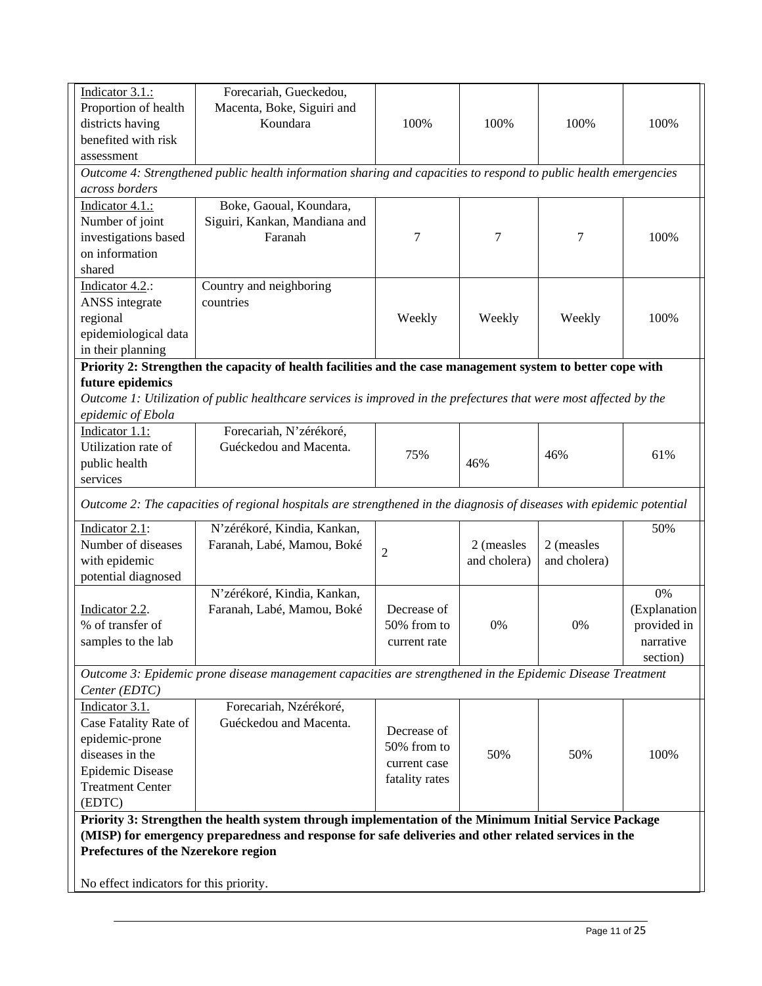| Indicator 3.1.:                                                                                        | Forecariah, Gueckedou,                                                                                                |                |                  |              |              |  |
|--------------------------------------------------------------------------------------------------------|-----------------------------------------------------------------------------------------------------------------------|----------------|------------------|--------------|--------------|--|
| Proportion of health                                                                                   | Macenta, Boke, Siguiri and                                                                                            |                |                  |              |              |  |
| districts having                                                                                       | Koundara                                                                                                              | 100%           | 100%             | 100%         | 100%         |  |
| benefited with risk                                                                                    |                                                                                                                       |                |                  |              |              |  |
| assessment                                                                                             |                                                                                                                       |                |                  |              |              |  |
|                                                                                                        | Outcome 4: Strengthened public health information sharing and capacities to respond to public health emergencies      |                |                  |              |              |  |
| across borders                                                                                         |                                                                                                                       |                |                  |              |              |  |
| Indicator 4.1.:                                                                                        | Boke, Gaoual, Koundara,                                                                                               |                |                  |              |              |  |
| Number of joint                                                                                        | Siguiri, Kankan, Mandiana and                                                                                         |                |                  |              |              |  |
| investigations based                                                                                   | Faranah                                                                                                               | 7              | $\boldsymbol{7}$ | 7            | 100%         |  |
| on information                                                                                         |                                                                                                                       |                |                  |              |              |  |
| shared                                                                                                 |                                                                                                                       |                |                  |              |              |  |
| Indicator 4.2.:                                                                                        | Country and neighboring                                                                                               |                |                  |              |              |  |
| ANSS integrate                                                                                         | countries                                                                                                             |                |                  |              |              |  |
| regional                                                                                               |                                                                                                                       | Weekly         | Weekly           | Weekly       | 100%         |  |
| epidemiological data                                                                                   |                                                                                                                       |                |                  |              |              |  |
| in their planning                                                                                      |                                                                                                                       |                |                  |              |              |  |
|                                                                                                        | Priority 2: Strengthen the capacity of health facilities and the case management system to better cope with           |                |                  |              |              |  |
| future epidemics                                                                                       |                                                                                                                       |                |                  |              |              |  |
|                                                                                                        | Outcome 1: Utilization of public healthcare services is improved in the prefectures that were most affected by the    |                |                  |              |              |  |
| epidemic of Ebola                                                                                      |                                                                                                                       |                |                  |              |              |  |
| Indicator 1.1:                                                                                         | Forecariah, N'zérékoré,                                                                                               |                |                  |              |              |  |
| Utilization rate of                                                                                    | Guéckedou and Macenta.                                                                                                | 75%            |                  | 46%          | 61%          |  |
| public health                                                                                          |                                                                                                                       |                | 46%              |              |              |  |
| services                                                                                               |                                                                                                                       |                |                  |              |              |  |
|                                                                                                        | Outcome 2: The capacities of regional hospitals are strengthened in the diagnosis of diseases with epidemic potential |                |                  |              |              |  |
| Indicator 2.1:                                                                                         | N'zérékoré, Kindia, Kankan,                                                                                           |                |                  |              | 50%          |  |
| Number of diseases                                                                                     | Faranah, Labé, Mamou, Boké                                                                                            | $\overline{c}$ | 2 (measles       | 2 (measles   |              |  |
| with epidemic                                                                                          |                                                                                                                       |                | and cholera)     | and cholera) |              |  |
| potential diagnosed                                                                                    |                                                                                                                       |                |                  |              |              |  |
|                                                                                                        | N'zérékoré, Kindia, Kankan,                                                                                           |                |                  |              | 0%           |  |
| Indicator 2.2.                                                                                         | Faranah, Labé, Mamou, Boké                                                                                            | Decrease of    |                  |              | (Explanation |  |
| % of transfer of                                                                                       |                                                                                                                       | 50% from to    | 0%               | 0%           | provided in  |  |
| samples to the lab                                                                                     |                                                                                                                       | current rate   |                  |              | narrative    |  |
|                                                                                                        |                                                                                                                       |                |                  |              | section)     |  |
|                                                                                                        | Outcome 3: Epidemic prone disease management capacities are strengthened in the Epidemic Disease Treatment            |                |                  |              |              |  |
| Center (EDTC)                                                                                          |                                                                                                                       |                |                  |              |              |  |
| Indicator 3.1.                                                                                         | Forecariah, Nzérékoré,                                                                                                |                |                  |              |              |  |
| Case Fatality Rate of                                                                                  | Guéckedou and Macenta.                                                                                                |                |                  |              |              |  |
| epidemic-prone                                                                                         |                                                                                                                       | Decrease of    |                  |              |              |  |
| diseases in the                                                                                        |                                                                                                                       | 50% from to    | 50%              | 50%          | 100%         |  |
| Epidemic Disease                                                                                       |                                                                                                                       | current case   |                  |              |              |  |
| <b>Treatment Center</b>                                                                                |                                                                                                                       | fatality rates |                  |              |              |  |
| (EDTC)                                                                                                 |                                                                                                                       |                |                  |              |              |  |
| Priority 3: Strengthen the health system through implementation of the Minimum Initial Service Package |                                                                                                                       |                |                  |              |              |  |
|                                                                                                        | (MISP) for emergency preparedness and response for safe deliveries and other related services in the                  |                |                  |              |              |  |
| Prefectures of the Nzerekore region                                                                    |                                                                                                                       |                |                  |              |              |  |
|                                                                                                        |                                                                                                                       |                |                  |              |              |  |
| No effect indicators for this priority.                                                                |                                                                                                                       |                |                  |              |              |  |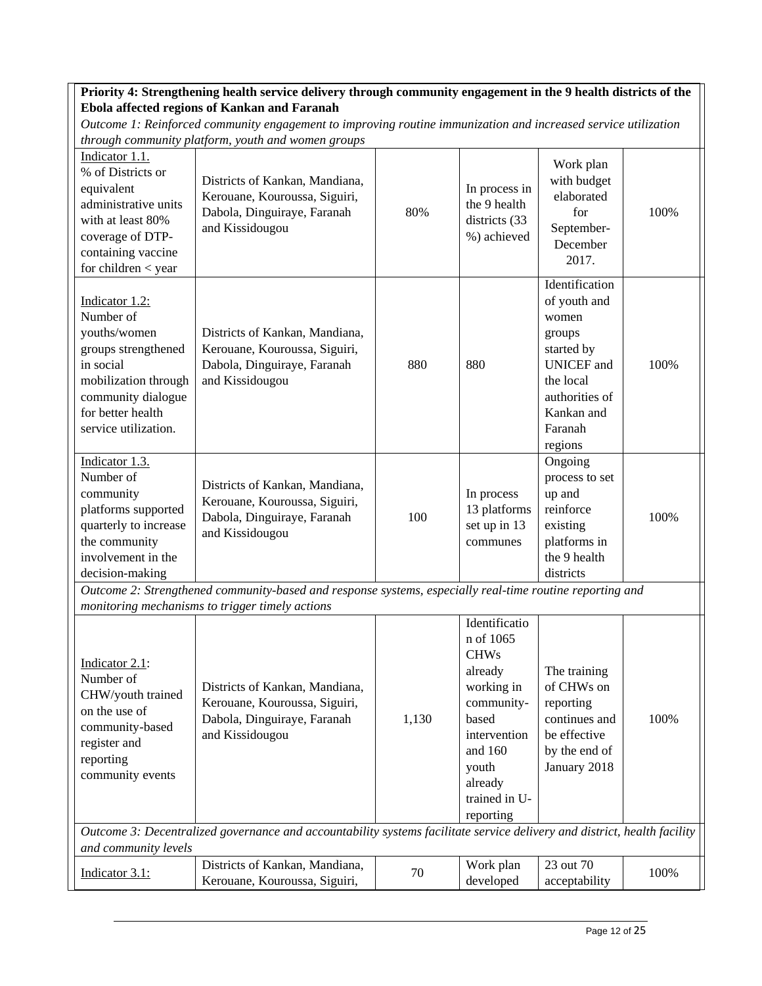## **Priority 4: Strengthening health service delivery through community engagement in the 9 health districts of the Ebola affected regions of Kankan and Faranah**

| Indicator 1.1.<br>% of Districts or<br>equivalent<br>administrative units<br>with at least 80%<br>coverage of DTP-<br>containing vaccine<br>for children $<$ year          | Districts of Kankan, Mandiana,<br>Kerouane, Kouroussa, Siguiri,<br>Dabola, Dinguiraye, Faranah<br>and Kissidougou                                           | 80%   | In process in<br>the 9 health<br>districts (33<br>%) achieved                                                                                                          | Work plan<br>with budget<br>elaborated<br>for<br>September-<br>December<br>2017.                                                                        | 100% |
|----------------------------------------------------------------------------------------------------------------------------------------------------------------------------|-------------------------------------------------------------------------------------------------------------------------------------------------------------|-------|------------------------------------------------------------------------------------------------------------------------------------------------------------------------|---------------------------------------------------------------------------------------------------------------------------------------------------------|------|
| Indicator 1.2:<br>Number of<br>youths/women<br>groups strengthened<br>in social<br>mobilization through<br>community dialogue<br>for better health<br>service utilization. | Districts of Kankan, Mandiana,<br>Kerouane, Kouroussa, Siguiri,<br>Dabola, Dinguiraye, Faranah<br>and Kissidougou                                           | 880   | 880                                                                                                                                                                    | Identification<br>of youth and<br>women<br>groups<br>started by<br><b>UNICEF</b> and<br>the local<br>authorities of<br>Kankan and<br>Faranah<br>regions | 100% |
| Indicator 1.3.<br>Number of<br>community<br>platforms supported<br>quarterly to increase<br>the community<br>involvement in the<br>decision-making                         | Districts of Kankan, Mandiana,<br>Kerouane, Kouroussa, Siguiri,<br>Dabola, Dinguiraye, Faranah<br>and Kissidougou                                           | 100   | In process<br>13 platforms<br>set up in 13<br>communes                                                                                                                 | Ongoing<br>process to set<br>up and<br>reinforce<br>existing<br>platforms in<br>the 9 health<br>districts                                               | 100% |
|                                                                                                                                                                            | Outcome 2: Strengthened community-based and response systems, especially real-time routine reporting and<br>monitoring mechanisms to trigger timely actions |       |                                                                                                                                                                        |                                                                                                                                                         |      |
| Indicator 2.1:<br>Number of<br>CHW/youth trained<br>on the use of<br>community-based<br>register and<br>reporting<br>community events                                      | Districts of Kankan, Mandiana,<br>Kerouane, Kouroussa, Siguiri,<br>Dabola, Dinguiraye, Faranah<br>and Kissidougou                                           | 1,130 | Identificatio<br>n of 1065<br><b>CHWs</b><br>already<br>working in<br>community-<br>based<br>intervention<br>and 160<br>youth<br>already<br>trained in U-<br>reporting | The training<br>of CHWs on<br>reporting<br>continues and<br>be effective<br>by the end of<br>January 2018                                               | 100% |
| and community levels                                                                                                                                                       | Outcome 3: Decentralized governance and accountability systems facilitate service delivery and district, health facility                                    |       |                                                                                                                                                                        |                                                                                                                                                         |      |
| Indicator 3.1:                                                                                                                                                             | Districts of Kankan, Mandiana,<br>Kerouane, Kouroussa, Siguiri,                                                                                             | 70    | Work plan<br>developed                                                                                                                                                 | 23 out 70<br>acceptability                                                                                                                              | 100% |

*Outcome 1: Reinforced community engagement to improving routine immunization and increased service utilization through community platform, youth and women groups*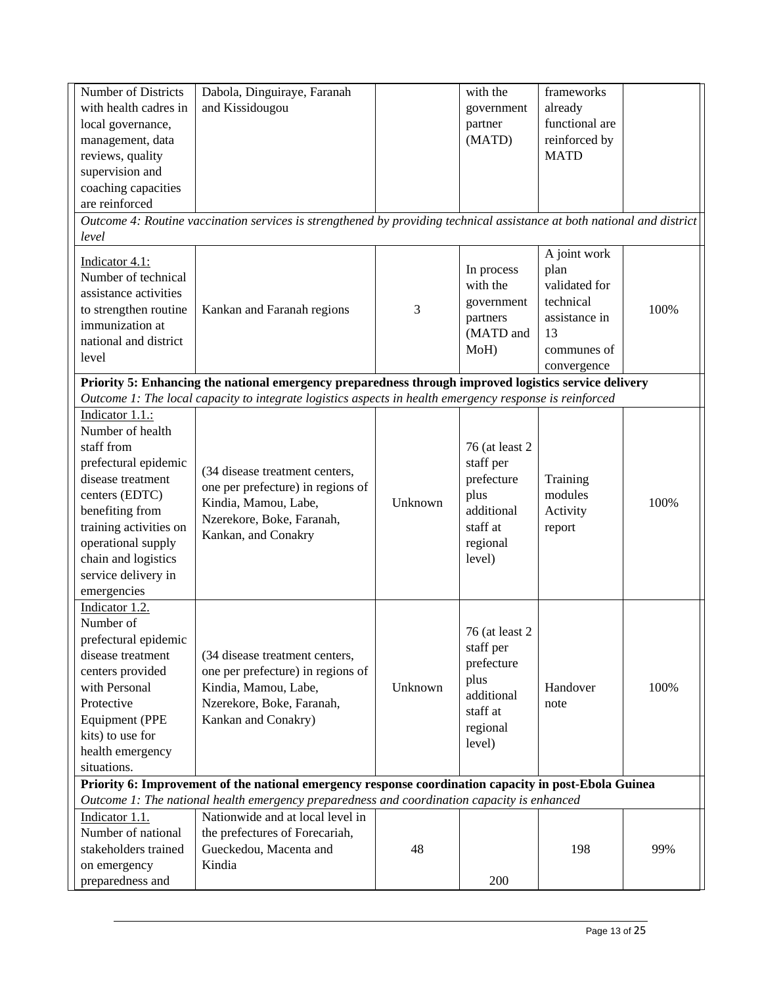| <b>Number of Districts</b>                                                                            | Dabola, Dinguiraye, Faranah                                                                                             |         | with the        | frameworks     |      |  |  |  |
|-------------------------------------------------------------------------------------------------------|-------------------------------------------------------------------------------------------------------------------------|---------|-----------------|----------------|------|--|--|--|
| with health cadres in                                                                                 | and Kissidougou                                                                                                         |         | government      | already        |      |  |  |  |
| local governance,                                                                                     |                                                                                                                         |         | partner         | functional are |      |  |  |  |
| management, data                                                                                      |                                                                                                                         |         | (MATD)          | reinforced by  |      |  |  |  |
| reviews, quality                                                                                      |                                                                                                                         |         |                 | <b>MATD</b>    |      |  |  |  |
| supervision and                                                                                       |                                                                                                                         |         |                 |                |      |  |  |  |
| coaching capacities                                                                                   |                                                                                                                         |         |                 |                |      |  |  |  |
| are reinforced                                                                                        |                                                                                                                         |         |                 |                |      |  |  |  |
|                                                                                                       | Outcome 4: Routine vaccination services is strengthened by providing technical assistance at both national and district |         |                 |                |      |  |  |  |
| level                                                                                                 |                                                                                                                         |         |                 |                |      |  |  |  |
| Indicator 4.1:                                                                                        |                                                                                                                         |         |                 | A joint work   |      |  |  |  |
| Number of technical                                                                                   |                                                                                                                         |         | In process      | plan           |      |  |  |  |
| assistance activities                                                                                 |                                                                                                                         |         | with the        | validated for  |      |  |  |  |
| to strengthen routine                                                                                 | Kankan and Faranah regions                                                                                              | 3       | government      | technical      | 100% |  |  |  |
| immunization at                                                                                       |                                                                                                                         |         | partners        | assistance in  |      |  |  |  |
| national and district                                                                                 |                                                                                                                         |         | (MATD and       | 13             |      |  |  |  |
| level                                                                                                 |                                                                                                                         |         | MoH)            | communes of    |      |  |  |  |
|                                                                                                       |                                                                                                                         |         |                 | convergence    |      |  |  |  |
|                                                                                                       | Priority 5: Enhancing the national emergency preparedness through improved logistics service delivery                   |         |                 |                |      |  |  |  |
|                                                                                                       | Outcome 1: The local capacity to integrate logistics aspects in health emergency response is reinforced                 |         |                 |                |      |  |  |  |
| Indicator 1.1.:                                                                                       |                                                                                                                         |         |                 |                |      |  |  |  |
| Number of health                                                                                      |                                                                                                                         |         |                 |                |      |  |  |  |
| staff from                                                                                            |                                                                                                                         |         | 76 (at least 2) |                |      |  |  |  |
| prefectural epidemic                                                                                  | (34 disease treatment centers,                                                                                          |         | staff per       |                |      |  |  |  |
| disease treatment                                                                                     |                                                                                                                         |         | prefecture      | Training       |      |  |  |  |
| centers (EDTC)                                                                                        | one per prefecture) in regions of                                                                                       |         | plus            | modules        |      |  |  |  |
| benefiting from                                                                                       | Kindia, Mamou, Labe,                                                                                                    | Unknown | additional      | Activity       | 100% |  |  |  |
| training activities on                                                                                | Nzerekore, Boke, Faranah,                                                                                               |         | staff at        | report         |      |  |  |  |
| operational supply                                                                                    | Kankan, and Conakry                                                                                                     |         | regional        |                |      |  |  |  |
| chain and logistics                                                                                   |                                                                                                                         |         | level)          |                |      |  |  |  |
| service delivery in                                                                                   |                                                                                                                         |         |                 |                |      |  |  |  |
| emergencies                                                                                           |                                                                                                                         |         |                 |                |      |  |  |  |
| Indicator 1.2.                                                                                        |                                                                                                                         |         |                 |                |      |  |  |  |
| Number of                                                                                             |                                                                                                                         |         |                 |                |      |  |  |  |
| prefectural epidemic                                                                                  |                                                                                                                         |         | 76 (at least 2) |                |      |  |  |  |
| disease treatment                                                                                     | (34 disease treatment centers,                                                                                          |         | staff per       |                |      |  |  |  |
| centers provided                                                                                      | one per prefecture) in regions of                                                                                       |         | prefecture      |                |      |  |  |  |
| with Personal                                                                                         | Kindia, Mamou, Labe,                                                                                                    | Unknown | plus            | Handover       | 100% |  |  |  |
| Protective                                                                                            | Nzerekore, Boke, Faranah,                                                                                               |         | additional      | note           |      |  |  |  |
| <b>Equipment (PPE</b>                                                                                 | Kankan and Conakry)                                                                                                     |         | staff at        |                |      |  |  |  |
| kits) to use for                                                                                      |                                                                                                                         |         | regional        |                |      |  |  |  |
| health emergency                                                                                      |                                                                                                                         |         | level)          |                |      |  |  |  |
| situations.                                                                                           |                                                                                                                         |         |                 |                |      |  |  |  |
| Priority 6: Improvement of the national emergency response coordination capacity in post-Ebola Guinea |                                                                                                                         |         |                 |                |      |  |  |  |
|                                                                                                       | Outcome 1: The national health emergency preparedness and coordination capacity is enhanced                             |         |                 |                |      |  |  |  |
| Indicator 1.1.                                                                                        | Nationwide and at local level in                                                                                        |         |                 |                |      |  |  |  |
| Number of national                                                                                    | the prefectures of Forecariah,                                                                                          |         |                 |                |      |  |  |  |
| stakeholders trained                                                                                  | Gueckedou, Macenta and                                                                                                  | 48      |                 | 198            | 99%  |  |  |  |
| on emergency                                                                                          | Kindia                                                                                                                  |         |                 |                |      |  |  |  |
| preparedness and                                                                                      |                                                                                                                         |         | 200             |                |      |  |  |  |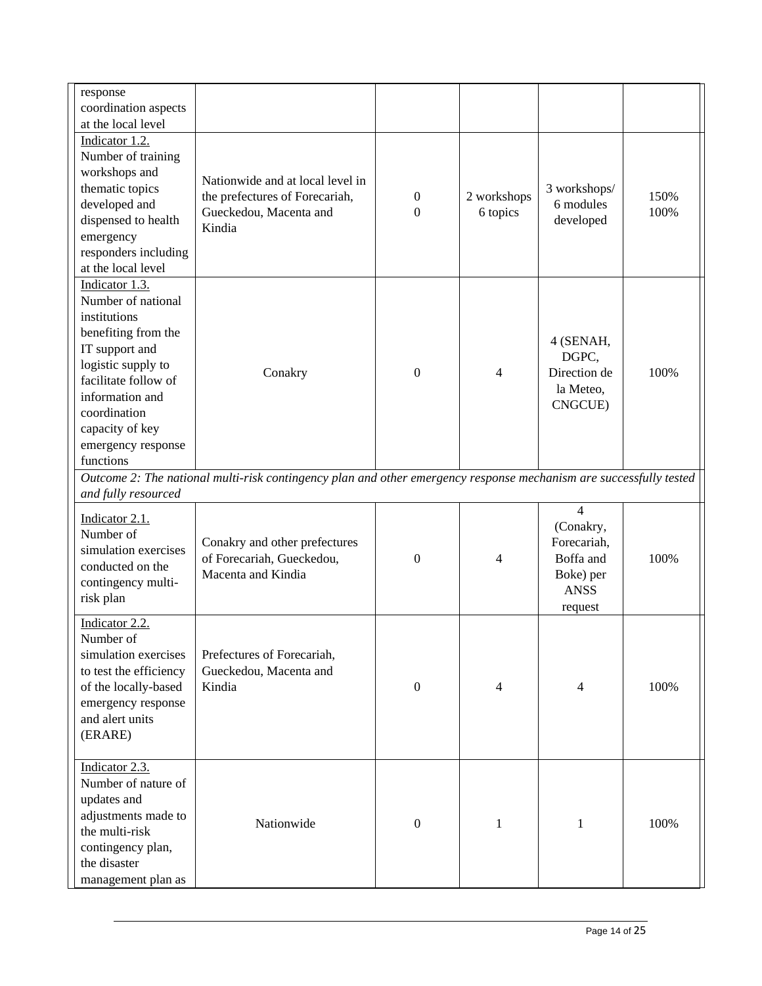| response<br>coordination aspects                                                                                                                                                                                                     |                                                                                                                    |                              |                         |                                                                                                |              |
|--------------------------------------------------------------------------------------------------------------------------------------------------------------------------------------------------------------------------------------|--------------------------------------------------------------------------------------------------------------------|------------------------------|-------------------------|------------------------------------------------------------------------------------------------|--------------|
| at the local level                                                                                                                                                                                                                   |                                                                                                                    |                              |                         |                                                                                                |              |
| Indicator 1.2.<br>Number of training<br>workshops and<br>thematic topics<br>developed and<br>dispensed to health<br>emergency<br>responders including<br>at the local level                                                          | Nationwide and at local level in<br>the prefectures of Forecariah,<br>Gueckedou, Macenta and<br>Kindia             | $\boldsymbol{0}$<br>$\Omega$ | 2 workshops<br>6 topics | 3 workshops/<br>6 modules<br>developed                                                         | 150%<br>100% |
| Indicator 1.3.<br>Number of national<br>institutions<br>benefiting from the<br>IT support and<br>logistic supply to<br>facilitate follow of<br>information and<br>coordination<br>capacity of key<br>emergency response<br>functions | Conakry                                                                                                            | $\Omega$                     | 4                       | 4 (SENAH,<br>DGPC,<br>Direction de<br>la Meteo,<br>CNGCUE)                                     | 100%         |
|                                                                                                                                                                                                                                      | Outcome 2: The national multi-risk contingency plan and other emergency response mechanism are successfully tested |                              |                         |                                                                                                |              |
| and fully resourced<br>Indicator 2.1.<br>Number of<br>simulation exercises<br>conducted on the<br>contingency multi-<br>risk plan                                                                                                    | Conakry and other prefectures<br>of Forecariah, Gueckedou,<br>Macenta and Kindia                                   | $\overline{0}$               | 4                       | $\overline{4}$<br>(Conakry,<br>Forecariah,<br>Boffa and<br>Boke) per<br><b>ANSS</b><br>request | 100%         |
| Indicator 2.2.<br>Number of<br>simulation exercises<br>to test the efficiency<br>of the locally-based<br>emergency response<br>and alert units<br>(ERARE)                                                                            | Prefectures of Forecariah,<br>Gueckedou, Macenta and<br>Kindia                                                     | $\mathbf{0}$                 | 4                       | 4                                                                                              | 100%         |
| Indicator 2.3.<br>Number of nature of<br>updates and<br>adjustments made to<br>the multi-risk<br>contingency plan,<br>the disaster<br>management plan as                                                                             | Nationwide                                                                                                         | $\mathbf{0}$                 | 1                       | $\mathbf{1}$                                                                                   | 100%         |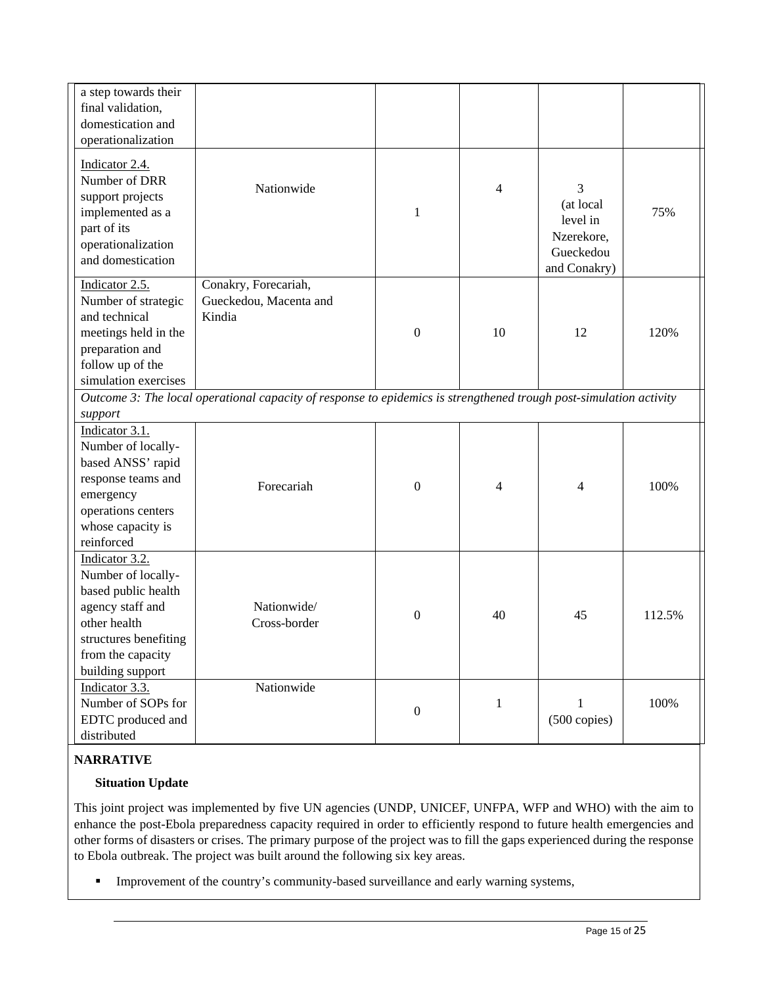| a step towards their<br>final validation,<br>domestication and                                                                                                    |                                                                                                                    |                  |              |                                                                       |        |
|-------------------------------------------------------------------------------------------------------------------------------------------------------------------|--------------------------------------------------------------------------------------------------------------------|------------------|--------------|-----------------------------------------------------------------------|--------|
| operationalization<br>Indicator 2.4.<br>Number of DRR<br>support projects<br>implemented as a<br>part of its<br>operationalization<br>and domestication           | Nationwide                                                                                                         | $\mathbf{1}$     | 4            | 3<br>(at local<br>level in<br>Nzerekore,<br>Gueckedou<br>and Conakry) | 75%    |
| Indicator 2.5.<br>Number of strategic<br>and technical<br>meetings held in the<br>preparation and<br>follow up of the<br>simulation exercises                     | Conakry, Forecariah,<br>Gueckedou, Macenta and<br>Kindia                                                           | $\boldsymbol{0}$ | 10           | 12                                                                    | 120%   |
| support                                                                                                                                                           | Outcome 3: The local operational capacity of response to epidemics is strengthened trough post-simulation activity |                  |              |                                                                       |        |
| Indicator 3.1.<br>Number of locally-<br>based ANSS' rapid<br>response teams and<br>emergency<br>operations centers<br>whose capacity is<br>reinforced             | Forecariah                                                                                                         | $\boldsymbol{0}$ | 4            | 4                                                                     | 100%   |
| Indicator 3.2.<br>Number of locally-<br>based public health<br>agency staff and<br>other health<br>structures benefiting<br>from the capacity<br>building support | Nationwide/<br>Cross-border                                                                                        | $\boldsymbol{0}$ | 40           | 45                                                                    | 112.5% |
| Indicator 3.3.<br>Number of SOPs for<br>EDTC produced and<br>distributed                                                                                          | Nationwide                                                                                                         | $\boldsymbol{0}$ | $\mathbf{1}$ | 1<br>$(500 \text{ copies})$                                           | 100%   |

# **NARRATIVE**

## **Situation Update**

This joint project was implemented by five UN agencies (UNDP, UNICEF, UNFPA, WFP and WHO) with the aim to enhance the post-Ebola preparedness capacity required in order to efficiently respond to future health emergencies and other forms of disasters or crises. The primary purpose of the project was to fill the gaps experienced during the response to Ebola outbreak. The project was built around the following six key areas.

**Improvement of the country's community-based surveillance and early warning systems,**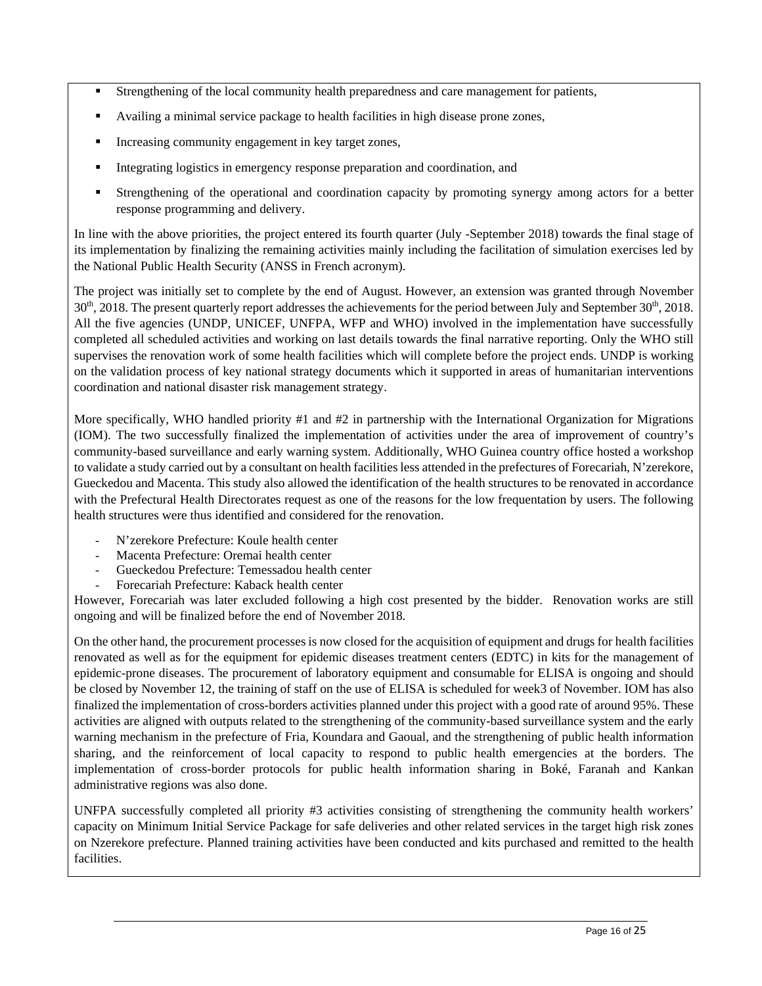- Strengthening of the local community health preparedness and care management for patients,
- Availing a minimal service package to health facilities in high disease prone zones,
- **Increasing community engagement in key target zones,**
- Integrating logistics in emergency response preparation and coordination, and
- Strengthening of the operational and coordination capacity by promoting synergy among actors for a better response programming and delivery.

In line with the above priorities, the project entered its fourth quarter (July -September 2018) towards the final stage of its implementation by finalizing the remaining activities mainly including the facilitation of simulation exercises led by the National Public Health Security (ANSS in French acronym).

The project was initially set to complete by the end of August. However, an extension was granted through November  $30<sup>th</sup>$ , 2018. The present quarterly report addresses the achievements for the period between July and September  $30<sup>th</sup>$ , 2018. All the five agencies (UNDP, UNICEF, UNFPA, WFP and WHO) involved in the implementation have successfully completed all scheduled activities and working on last details towards the final narrative reporting. Only the WHO still supervises the renovation work of some health facilities which will complete before the project ends. UNDP is working on the validation process of key national strategy documents which it supported in areas of humanitarian interventions coordination and national disaster risk management strategy.

More specifically, WHO handled priority #1 and #2 in partnership with the International Organization for Migrations (IOM). The two successfully finalized the implementation of activities under the area of improvement of country's community-based surveillance and early warning system. Additionally, WHO Guinea country office hosted a workshop to validate a study carried out by a consultant on health facilities less attended in the prefectures of Forecariah, N'zerekore, Gueckedou and Macenta. This study also allowed the identification of the health structures to be renovated in accordance with the Prefectural Health Directorates request as one of the reasons for the low frequentation by users. The following health structures were thus identified and considered for the renovation.

- N'zerekore Prefecture: Koule health center
- Macenta Prefecture: Oremai health center
- Gueckedou Prefecture: Temessadou health center
- Forecariah Prefecture: Kaback health center

However, Forecariah was later excluded following a high cost presented by the bidder. Renovation works are still ongoing and will be finalized before the end of November 2018.

On the other hand, the procurement processes is now closed for the acquisition of equipment and drugs for health facilities renovated as well as for the equipment for epidemic diseases treatment centers (EDTC) in kits for the management of epidemic-prone diseases. The procurement of laboratory equipment and consumable for ELISA is ongoing and should be closed by November 12, the training of staff on the use of ELISA is scheduled for week3 of November. IOM has also finalized the implementation of cross-borders activities planned under this project with a good rate of around 95%. These activities are aligned with outputs related to the strengthening of the community-based surveillance system and the early warning mechanism in the prefecture of Fria, Koundara and Gaoual, and the strengthening of public health information sharing, and the reinforcement of local capacity to respond to public health emergencies at the borders. The implementation of cross-border protocols for public health information sharing in Boké, Faranah and Kankan administrative regions was also done.

UNFPA successfully completed all priority #3 activities consisting of strengthening the community health workers' capacity on Minimum Initial Service Package for safe deliveries and other related services in the target high risk zones on Nzerekore prefecture. Planned training activities have been conducted and kits purchased and remitted to the health facilities.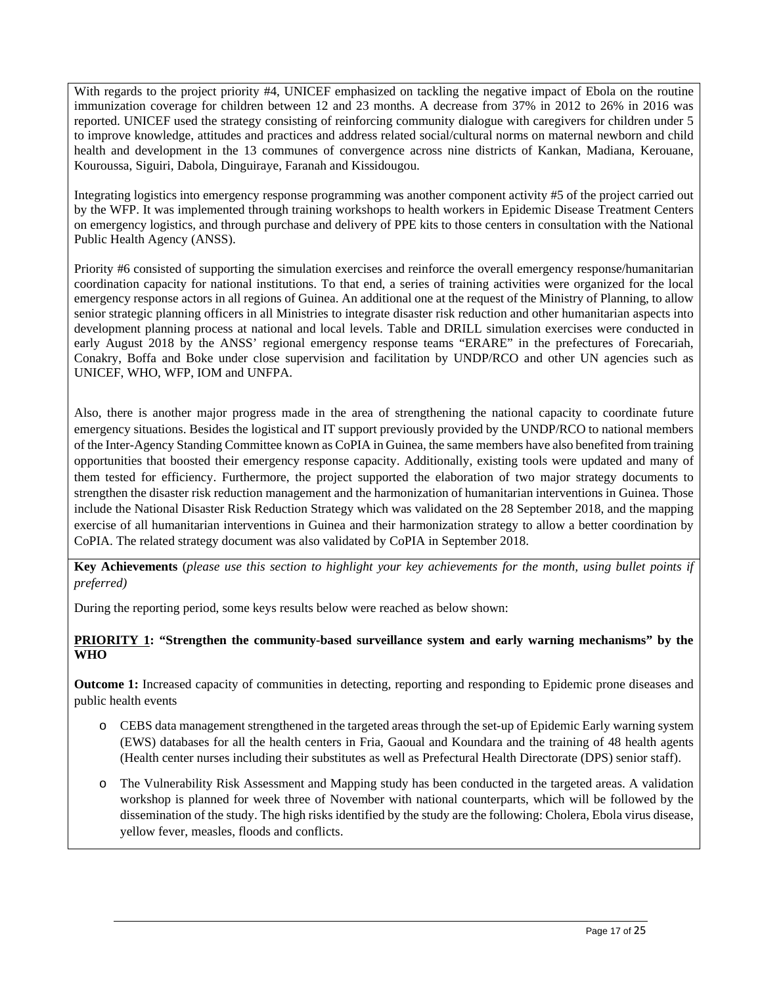With regards to the project priority #4, UNICEF emphasized on tackling the negative impact of Ebola on the routine immunization coverage for children between 12 and 23 months. A decrease from 37% in 2012 to 26% in 2016 was reported. UNICEF used the strategy consisting of reinforcing community dialogue with caregivers for children under 5 to improve knowledge, attitudes and practices and address related social/cultural norms on maternal newborn and child health and development in the 13 communes of convergence across nine districts of Kankan, Madiana, Kerouane, Kouroussa, Siguiri, Dabola, Dinguiraye, Faranah and Kissidougou.

Integrating logistics into emergency response programming was another component activity #5 of the project carried out by the WFP. It was implemented through training workshops to health workers in Epidemic Disease Treatment Centers on emergency logistics, and through purchase and delivery of PPE kits to those centers in consultation with the National Public Health Agency (ANSS).

Priority #6 consisted of supporting the simulation exercises and reinforce the overall emergency response/humanitarian coordination capacity for national institutions. To that end, a series of training activities were organized for the local emergency response actors in all regions of Guinea. An additional one at the request of the Ministry of Planning, to allow senior strategic planning officers in all Ministries to integrate disaster risk reduction and other humanitarian aspects into development planning process at national and local levels. Table and DRILL simulation exercises were conducted in early August 2018 by the ANSS' regional emergency response teams "ERARE" in the prefectures of Forecariah, Conakry, Boffa and Boke under close supervision and facilitation by UNDP/RCO and other UN agencies such as UNICEF, WHO, WFP, IOM and UNFPA.

Also, there is another major progress made in the area of strengthening the national capacity to coordinate future emergency situations. Besides the logistical and IT support previously provided by the UNDP/RCO to national members of the Inter-Agency Standing Committee known as CoPIA in Guinea, the same members have also benefited from training opportunities that boosted their emergency response capacity. Additionally, existing tools were updated and many of them tested for efficiency. Furthermore, the project supported the elaboration of two major strategy documents to strengthen the disaster risk reduction management and the harmonization of humanitarian interventions in Guinea. Those include the National Disaster Risk Reduction Strategy which was validated on the 28 September 2018, and the mapping exercise of all humanitarian interventions in Guinea and their harmonization strategy to allow a better coordination by CoPIA. The related strategy document was also validated by CoPIA in September 2018.

**Key Achievements** (*please use this section to highlight your key achievements for the month, using bullet points if preferred)* 

During the reporting period, some keys results below were reached as below shown:

## **PRIORITY 1: "Strengthen the community-based surveillance system and early warning mechanisms" by the WHO**

**Outcome 1:** Increased capacity of communities in detecting, reporting and responding to Epidemic prone diseases and public health events

- o CEBS data management strengthened in the targeted areas through the set-up of Epidemic Early warning system (EWS) databases for all the health centers in Fria, Gaoual and Koundara and the training of 48 health agents (Health center nurses including their substitutes as well as Prefectural Health Directorate (DPS) senior staff).
- o The Vulnerability Risk Assessment and Mapping study has been conducted in the targeted areas. A validation workshop is planned for week three of November with national counterparts, which will be followed by the dissemination of the study. The high risks identified by the study are the following: Cholera, Ebola virus disease, yellow fever, measles, floods and conflicts.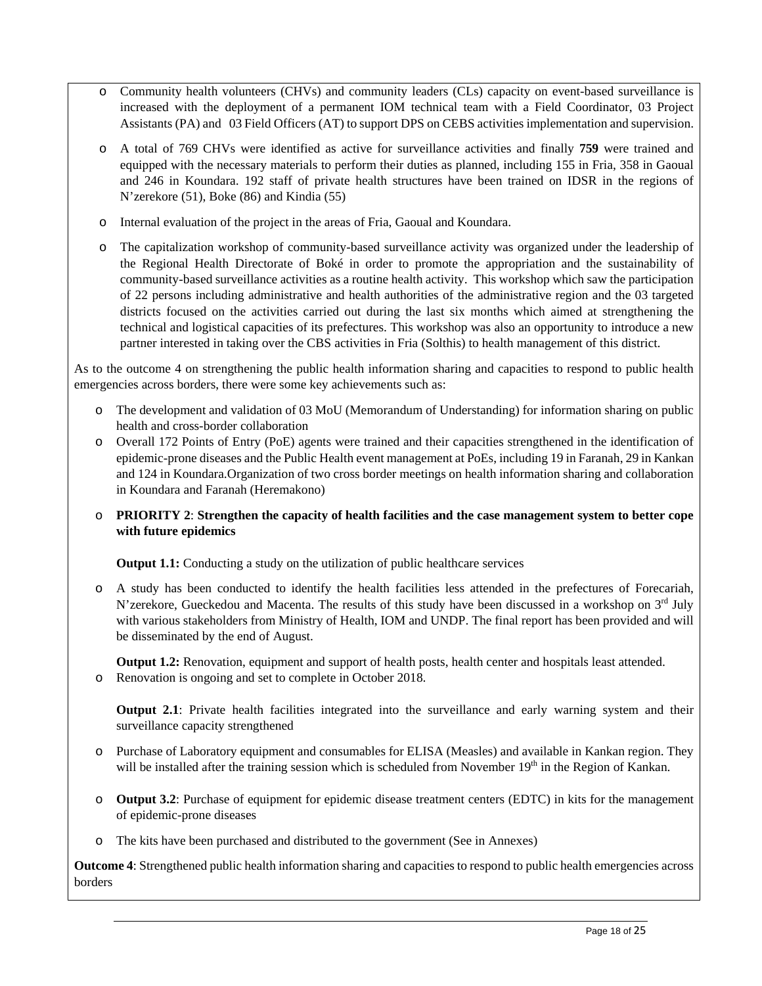- o Community health volunteers (CHVs) and community leaders (CLs) capacity on event-based surveillance is increased with the deployment of a permanent IOM technical team with a Field Coordinator, 03 Project Assistants (PA) and 03 Field Officers (AT) to support DPS on CEBS activities implementation and supervision.
- o A total of 769 CHVs were identified as active for surveillance activities and finally **759** were trained and equipped with the necessary materials to perform their duties as planned, including 155 in Fria, 358 in Gaoual and 246 in Koundara. 192 staff of private health structures have been trained on IDSR in the regions of N'zerekore (51), Boke (86) and Kindia (55)
- o Internal evaluation of the project in the areas of Fria, Gaoual and Koundara.
- o The capitalization workshop of community-based surveillance activity was organized under the leadership of the Regional Health Directorate of Boké in order to promote the appropriation and the sustainability of community-based surveillance activities as a routine health activity. This workshop which saw the participation of 22 persons including administrative and health authorities of the administrative region and the 03 targeted districts focused on the activities carried out during the last six months which aimed at strengthening the technical and logistical capacities of its prefectures. This workshop was also an opportunity to introduce a new partner interested in taking over the CBS activities in Fria (Solthis) to health management of this district.

As to the outcome 4 on strengthening the public health information sharing and capacities to respond to public health emergencies across borders, there were some key achievements such as:

- o The development and validation of 03 MoU (Memorandum of Understanding) for information sharing on public health and cross-border collaboration
- o Overall 172 Points of Entry (PoE) agents were trained and their capacities strengthened in the identification of epidemic-prone diseases and the Public Health event management at PoEs, including 19 in Faranah, 29 in Kankan and 124 in Koundara.Organization of two cross border meetings on health information sharing and collaboration in Koundara and Faranah (Heremakono)
- o **PRIORITY 2**: **Strengthen the capacity of health facilities and the case management system to better cope with future epidemics**

**Output 1.1:** Conducting a study on the utilization of public healthcare services

o A study has been conducted to identify the health facilities less attended in the prefectures of Forecariah, N'zerekore, Gueckedou and Macenta. The results of this study have been discussed in a workshop on 3<sup>rd</sup> July with various stakeholders from Ministry of Health, IOM and UNDP. The final report has been provided and will be disseminated by the end of August.

**Output 1.2:** Renovation, equipment and support of health posts, health center and hospitals least attended. o Renovation is ongoing and set to complete in October 2018.

**Output 2.1**: Private health facilities integrated into the surveillance and early warning system and their surveillance capacity strengthened

- o Purchase of Laboratory equipment and consumables for ELISA (Measles) and available in Kankan region. They will be installed after the training session which is scheduled from November 19<sup>th</sup> in the Region of Kankan.
- o **Output 3.2**: Purchase of equipment for epidemic disease treatment centers (EDTC) in kits for the management of epidemic-prone diseases
- o The kits have been purchased and distributed to the government (See in Annexes)

**Outcome 4**: Strengthened public health information sharing and capacities to respond to public health emergencies across borders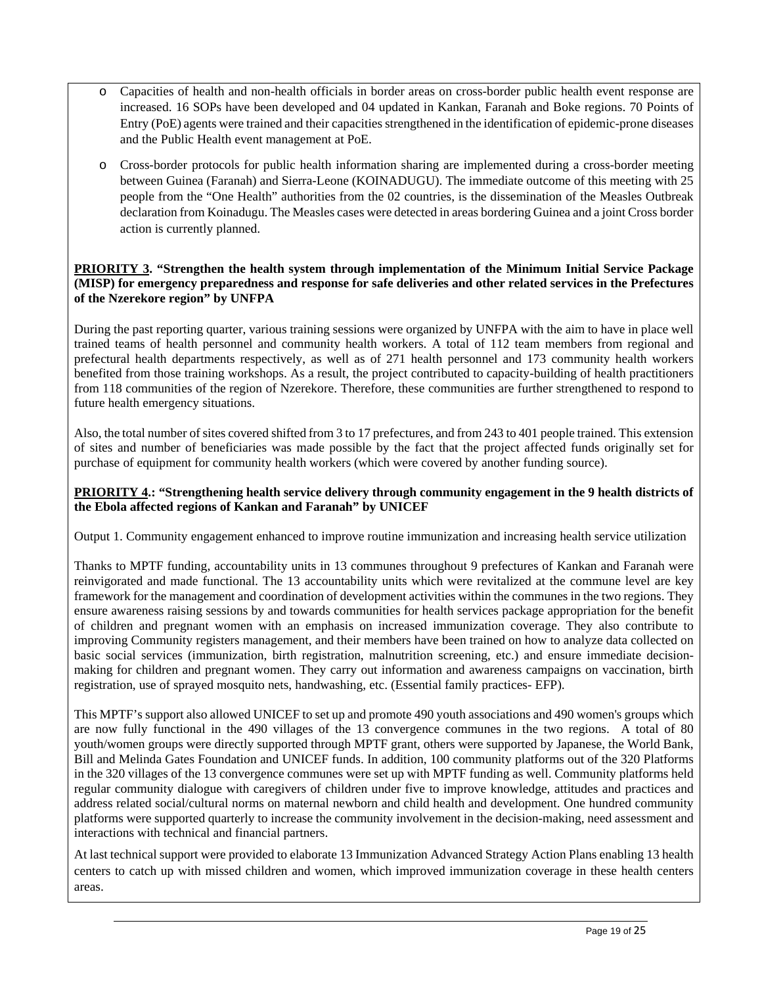- o Capacities of health and non-health officials in border areas on cross-border public health event response are increased. 16 SOPs have been developed and 04 updated in Kankan, Faranah and Boke regions. 70 Points of Entry (PoE) agents were trained and their capacities strengthened in the identification of epidemic-prone diseases and the Public Health event management at PoE.
- o Cross-border protocols for public health information sharing are implemented during a cross-border meeting between Guinea (Faranah) and Sierra-Leone (KOINADUGU). The immediate outcome of this meeting with 25 people from the "One Health" authorities from the 02 countries, is the dissemination of the Measles Outbreak declaration from Koinadugu. The Measles cases were detected in areas bordering Guinea and a joint Cross border action is currently planned.

## **PRIORITY 3. "Strengthen the health system through implementation of the Minimum Initial Service Package (MISP) for emergency preparedness and response for safe deliveries and other related services in the Prefectures of the Nzerekore region" by UNFPA**

During the past reporting quarter, various training sessions were organized by UNFPA with the aim to have in place well trained teams of health personnel and community health workers. A total of 112 team members from regional and prefectural health departments respectively, as well as of 271 health personnel and 173 community health workers benefited from those training workshops. As a result, the project contributed to capacity-building of health practitioners from 118 communities of the region of Nzerekore. Therefore, these communities are further strengthened to respond to future health emergency situations.

Also, the total number of sites covered shifted from 3 to 17 prefectures, and from 243 to 401 people trained. This extension of sites and number of beneficiaries was made possible by the fact that the project affected funds originally set for purchase of equipment for community health workers (which were covered by another funding source).

## **PRIORITY 4.: "Strengthening health service delivery through community engagement in the 9 health districts of the Ebola affected regions of Kankan and Faranah" by UNICEF**

Output 1. Community engagement enhanced to improve routine immunization and increasing health service utilization

Thanks to MPTF funding, accountability units in 13 communes throughout 9 prefectures of Kankan and Faranah were reinvigorated and made functional. The 13 accountability units which were revitalized at the commune level are key framework for the management and coordination of development activities within the communes in the two regions. They ensure awareness raising sessions by and towards communities for health services package appropriation for the benefit of children and pregnant women with an emphasis on increased immunization coverage. They also contribute to improving Community registers management, and their members have been trained on how to analyze data collected on basic social services (immunization, birth registration, malnutrition screening, etc.) and ensure immediate decisionmaking for children and pregnant women. They carry out information and awareness campaigns on vaccination, birth registration, use of sprayed mosquito nets, handwashing, etc. (Essential family practices- EFP).

This MPTF's support also allowed UNICEF to set up and promote 490 youth associations and 490 women's groups which are now fully functional in the 490 villages of the 13 convergence communes in the two regions. A total of 80 youth/women groups were directly supported through MPTF grant, others were supported by Japanese, the World Bank, Bill and Melinda Gates Foundation and UNICEF funds. In addition, 100 community platforms out of the 320 Platforms in the 320 villages of the 13 convergence communes were set up with MPTF funding as well. Community platforms held regular community dialogue with caregivers of children under five to improve knowledge, attitudes and practices and address related social/cultural norms on maternal newborn and child health and development. One hundred community platforms were supported quarterly to increase the community involvement in the decision-making, need assessment and interactions with technical and financial partners.

At last technical support were provided to elaborate 13 Immunization Advanced Strategy Action Plans enabling 13 health centers to catch up with missed children and women, which improved immunization coverage in these health centers areas.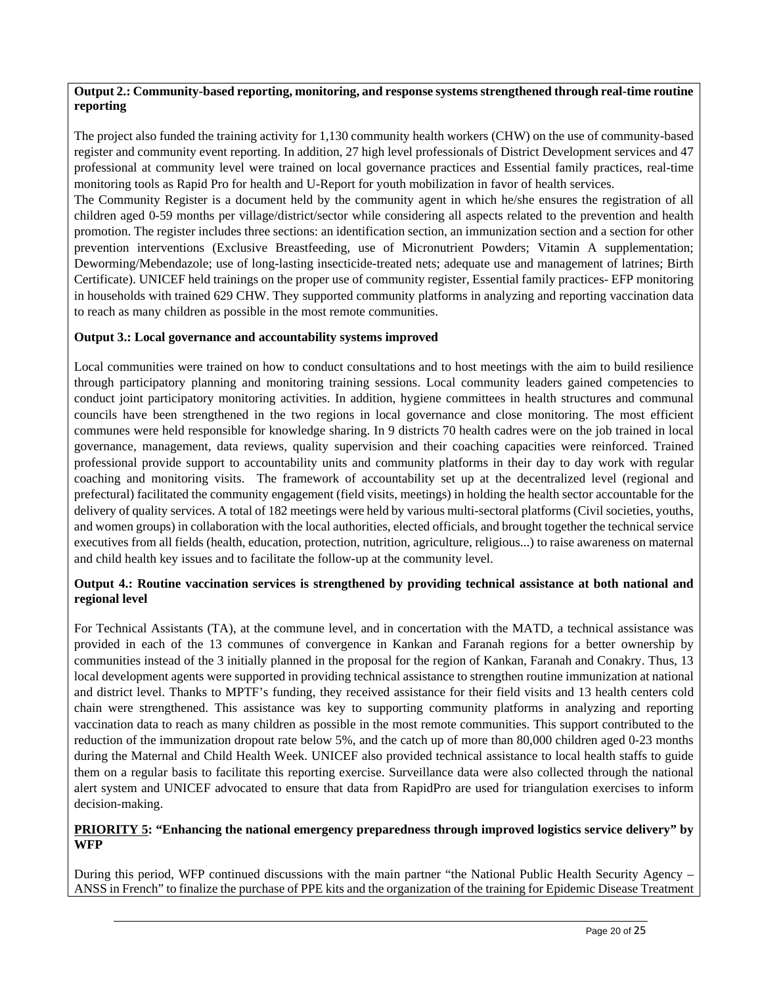#### **Output 2.: Community-based reporting, monitoring, and response systems strengthened through real-time routine reporting**

The project also funded the training activity for 1,130 community health workers (CHW) on the use of community-based register and community event reporting. In addition, 27 high level professionals of District Development services and 47 professional at community level were trained on local governance practices and Essential family practices, real-time monitoring tools as Rapid Pro for health and U-Report for youth mobilization in favor of health services.

The Community Register is a document held by the community agent in which he/she ensures the registration of all children aged 0-59 months per village/district/sector while considering all aspects related to the prevention and health promotion. The register includes three sections: an identification section, an immunization section and a section for other prevention interventions (Exclusive Breastfeeding, use of Micronutrient Powders; Vitamin A supplementation; Deworming/Mebendazole; use of long-lasting insecticide-treated nets; adequate use and management of latrines; Birth Certificate). UNICEF held trainings on the proper use of community register, Essential family practices- EFP monitoring in households with trained 629 CHW. They supported community platforms in analyzing and reporting vaccination data to reach as many children as possible in the most remote communities.

## **Output 3.: Local governance and accountability systems improved**

Local communities were trained on how to conduct consultations and to host meetings with the aim to build resilience through participatory planning and monitoring training sessions. Local community leaders gained competencies to conduct joint participatory monitoring activities. In addition, hygiene committees in health structures and communal councils have been strengthened in the two regions in local governance and close monitoring. The most efficient communes were held responsible for knowledge sharing. In 9 districts 70 health cadres were on the job trained in local governance, management, data reviews, quality supervision and their coaching capacities were reinforced. Trained professional provide support to accountability units and community platforms in their day to day work with regular coaching and monitoring visits. The framework of accountability set up at the decentralized level (regional and prefectural) facilitated the community engagement (field visits, meetings) in holding the health sector accountable for the delivery of quality services. A total of 182 meetings were held by various multi-sectoral platforms (Civil societies, youths, and women groups) in collaboration with the local authorities, elected officials, and brought together the technical service executives from all fields (health, education, protection, nutrition, agriculture, religious...) to raise awareness on maternal and child health key issues and to facilitate the follow-up at the community level.

## **Output 4.: Routine vaccination services is strengthened by providing technical assistance at both national and regional level**

For Technical Assistants (TA), at the commune level, and in concertation with the MATD, a technical assistance was provided in each of the 13 communes of convergence in Kankan and Faranah regions for a better ownership by communities instead of the 3 initially planned in the proposal for the region of Kankan, Faranah and Conakry. Thus, 13 local development agents were supported in providing technical assistance to strengthen routine immunization at national and district level. Thanks to MPTF's funding, they received assistance for their field visits and 13 health centers cold chain were strengthened. This assistance was key to supporting community platforms in analyzing and reporting vaccination data to reach as many children as possible in the most remote communities. This support contributed to the reduction of the immunization dropout rate below 5%, and the catch up of more than 80,000 children aged 0-23 months during the Maternal and Child Health Week. UNICEF also provided technical assistance to local health staffs to guide them on a regular basis to facilitate this reporting exercise. Surveillance data were also collected through the national alert system and UNICEF advocated to ensure that data from RapidPro are used for triangulation exercises to inform decision-making.

#### **PRIORITY 5: "Enhancing the national emergency preparedness through improved logistics service delivery" by WFP**

During this period, WFP continued discussions with the main partner "the National Public Health Security Agency – ANSS in French" to finalize the purchase of PPE kits and the organization of the training for Epidemic Disease Treatment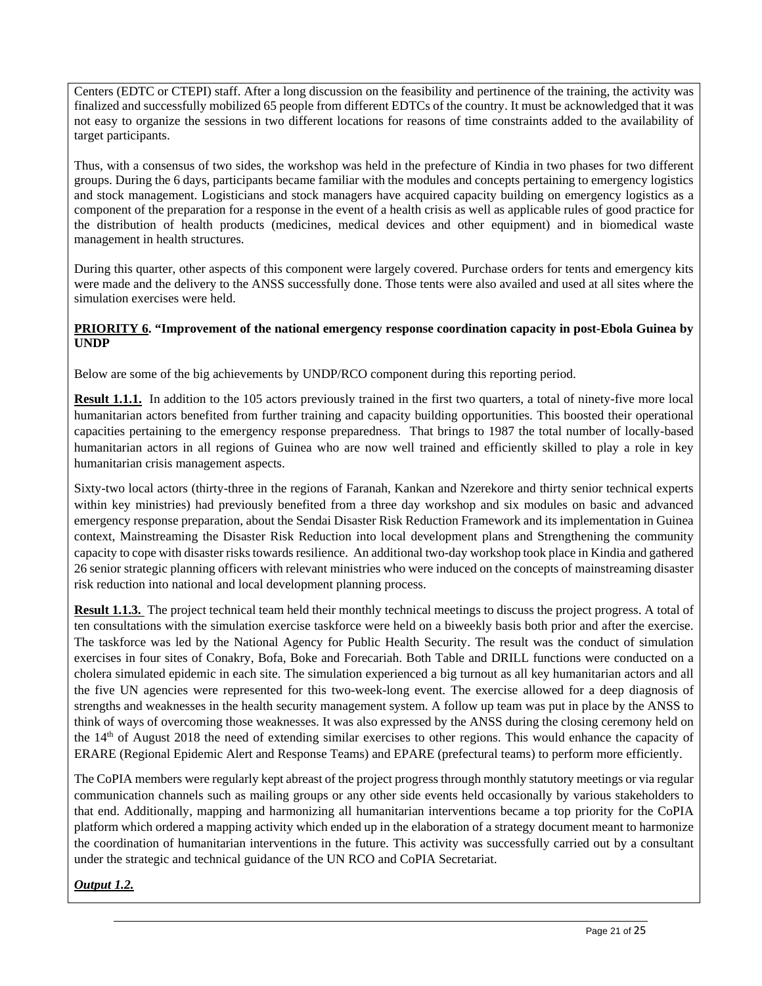Centers (EDTC or CTEPI) staff. After a long discussion on the feasibility and pertinence of the training, the activity was finalized and successfully mobilized 65 people from different EDTCs of the country. It must be acknowledged that it was not easy to organize the sessions in two different locations for reasons of time constraints added to the availability of target participants.

Thus, with a consensus of two sides, the workshop was held in the prefecture of Kindia in two phases for two different groups. During the 6 days, participants became familiar with the modules and concepts pertaining to emergency logistics and stock management. Logisticians and stock managers have acquired capacity building on emergency logistics as a component of the preparation for a response in the event of a health crisis as well as applicable rules of good practice for the distribution of health products (medicines, medical devices and other equipment) and in biomedical waste management in health structures.

During this quarter, other aspects of this component were largely covered. Purchase orders for tents and emergency kits were made and the delivery to the ANSS successfully done. Those tents were also availed and used at all sites where the simulation exercises were held.

## **PRIORITY 6. "Improvement of the national emergency response coordination capacity in post-Ebola Guinea by UNDP**

Below are some of the big achievements by UNDP/RCO component during this reporting period.

**Result 1.1.1.** In addition to the 105 actors previously trained in the first two quarters, a total of ninety-five more local humanitarian actors benefited from further training and capacity building opportunities. This boosted their operational capacities pertaining to the emergency response preparedness. That brings to 1987 the total number of locally-based humanitarian actors in all regions of Guinea who are now well trained and efficiently skilled to play a role in key humanitarian crisis management aspects.

Sixty-two local actors (thirty-three in the regions of Faranah, Kankan and Nzerekore and thirty senior technical experts within key ministries) had previously benefited from a three day workshop and six modules on basic and advanced emergency response preparation, about the Sendai Disaster Risk Reduction Framework and its implementation in Guinea context, Mainstreaming the Disaster Risk Reduction into local development plans and Strengthening the community capacity to cope with disaster risks towards resilience. An additional two-day workshop took place in Kindia and gathered 26 senior strategic planning officers with relevant ministries who were induced on the concepts of mainstreaming disaster risk reduction into national and local development planning process.

**Result 1.1.3.** The project technical team held their monthly technical meetings to discuss the project progress. A total of ten consultations with the simulation exercise taskforce were held on a biweekly basis both prior and after the exercise. The taskforce was led by the National Agency for Public Health Security. The result was the conduct of simulation exercises in four sites of Conakry, Bofa, Boke and Forecariah. Both Table and DRILL functions were conducted on a cholera simulated epidemic in each site. The simulation experienced a big turnout as all key humanitarian actors and all the five UN agencies were represented for this two-week-long event. The exercise allowed for a deep diagnosis of strengths and weaknesses in the health security management system. A follow up team was put in place by the ANSS to think of ways of overcoming those weaknesses. It was also expressed by the ANSS during the closing ceremony held on the 14<sup>th</sup> of August 2018 the need of extending similar exercises to other regions. This would enhance the capacity of ERARE (Regional Epidemic Alert and Response Teams) and EPARE (prefectural teams) to perform more efficiently.

The CoPIA members were regularly kept abreast of the project progress through monthly statutory meetings or via regular communication channels such as mailing groups or any other side events held occasionally by various stakeholders to that end. Additionally, mapping and harmonizing all humanitarian interventions became a top priority for the CoPIA platform which ordered a mapping activity which ended up in the elaboration of a strategy document meant to harmonize the coordination of humanitarian interventions in the future. This activity was successfully carried out by a consultant under the strategic and technical guidance of the UN RCO and CoPIA Secretariat.

*Output 1.2.*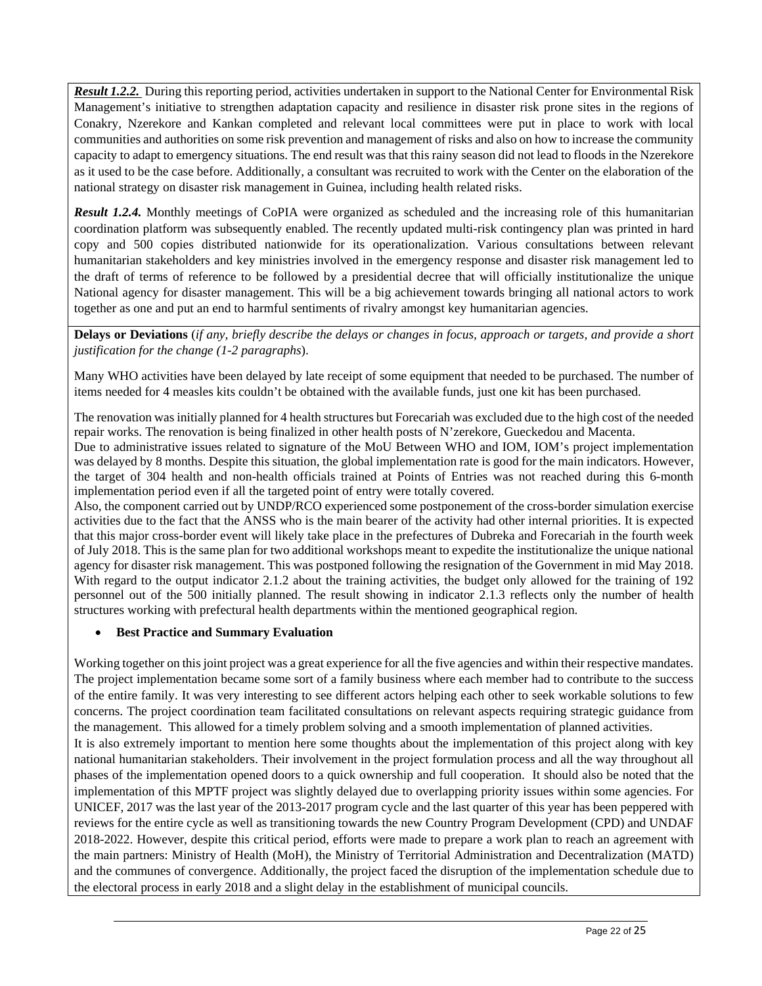*Result 1.2.2.* During this reporting period, activities undertaken in support to the National Center for Environmental Risk Management's initiative to strengthen adaptation capacity and resilience in disaster risk prone sites in the regions of Conakry, Nzerekore and Kankan completed and relevant local committees were put in place to work with local communities and authorities on some risk prevention and management of risks and also on how to increase the community capacity to adapt to emergency situations. The end result was that this rainy season did not lead to floods in the Nzerekore as it used to be the case before. Additionally, a consultant was recruited to work with the Center on the elaboration of the national strategy on disaster risk management in Guinea, including health related risks.

*Result 1.2.4.* Monthly meetings of CoPIA were organized as scheduled and the increasing role of this humanitarian coordination platform was subsequently enabled. The recently updated multi-risk contingency plan was printed in hard copy and 500 copies distributed nationwide for its operationalization. Various consultations between relevant humanitarian stakeholders and key ministries involved in the emergency response and disaster risk management led to the draft of terms of reference to be followed by a presidential decree that will officially institutionalize the unique National agency for disaster management. This will be a big achievement towards bringing all national actors to work together as one and put an end to harmful sentiments of rivalry amongst key humanitarian agencies.

**Delays or Deviations** (*if any, briefly describe the delays or changes in focus, approach or targets, and provide a short justification for the change (1-2 paragraphs*).

Many WHO activities have been delayed by late receipt of some equipment that needed to be purchased. The number of items needed for 4 measles kits couldn't be obtained with the available funds, just one kit has been purchased.

The renovation was initially planned for 4 health structures but Forecariah was excluded due to the high cost of the needed repair works. The renovation is being finalized in other health posts of N'zerekore, Gueckedou and Macenta.

Due to administrative issues related to signature of the MoU Between WHO and IOM, IOM's project implementation was delayed by 8 months. Despite this situation, the global implementation rate is good for the main indicators. However, the target of 304 health and non-health officials trained at Points of Entries was not reached during this 6-month implementation period even if all the targeted point of entry were totally covered.

Also, the component carried out by UNDP/RCO experienced some postponement of the cross-border simulation exercise activities due to the fact that the ANSS who is the main bearer of the activity had other internal priorities. It is expected that this major cross-border event will likely take place in the prefectures of Dubreka and Forecariah in the fourth week of July 2018. This is the same plan for two additional workshops meant to expedite the institutionalize the unique national agency for disaster risk management. This was postponed following the resignation of the Government in mid May 2018. With regard to the output indicator 2.1.2 about the training activities, the budget only allowed for the training of 192 personnel out of the 500 initially planned. The result showing in indicator 2.1.3 reflects only the number of health structures working with prefectural health departments within the mentioned geographical region.

## **Best Practice and Summary Evaluation**

Working together on this joint project was a great experience for all the five agencies and within their respective mandates. The project implementation became some sort of a family business where each member had to contribute to the success of the entire family. It was very interesting to see different actors helping each other to seek workable solutions to few concerns. The project coordination team facilitated consultations on relevant aspects requiring strategic guidance from the management. This allowed for a timely problem solving and a smooth implementation of planned activities. It is also extremely important to mention here some thoughts about the implementation of this project along with key national humanitarian stakeholders. Their involvement in the project formulation process and all the way throughout all phases of the implementation opened doors to a quick ownership and full cooperation. It should also be noted that the

implementation of this MPTF project was slightly delayed due to overlapping priority issues within some agencies. For UNICEF, 2017 was the last year of the 2013-2017 program cycle and the last quarter of this year has been peppered with reviews for the entire cycle as well as transitioning towards the new Country Program Development (CPD) and UNDAF 2018-2022. However, despite this critical period, efforts were made to prepare a work plan to reach an agreement with the main partners: Ministry of Health (MoH), the Ministry of Territorial Administration and Decentralization (MATD) and the communes of convergence. Additionally, the project faced the disruption of the implementation schedule due to the electoral process in early 2018 and a slight delay in the establishment of municipal councils.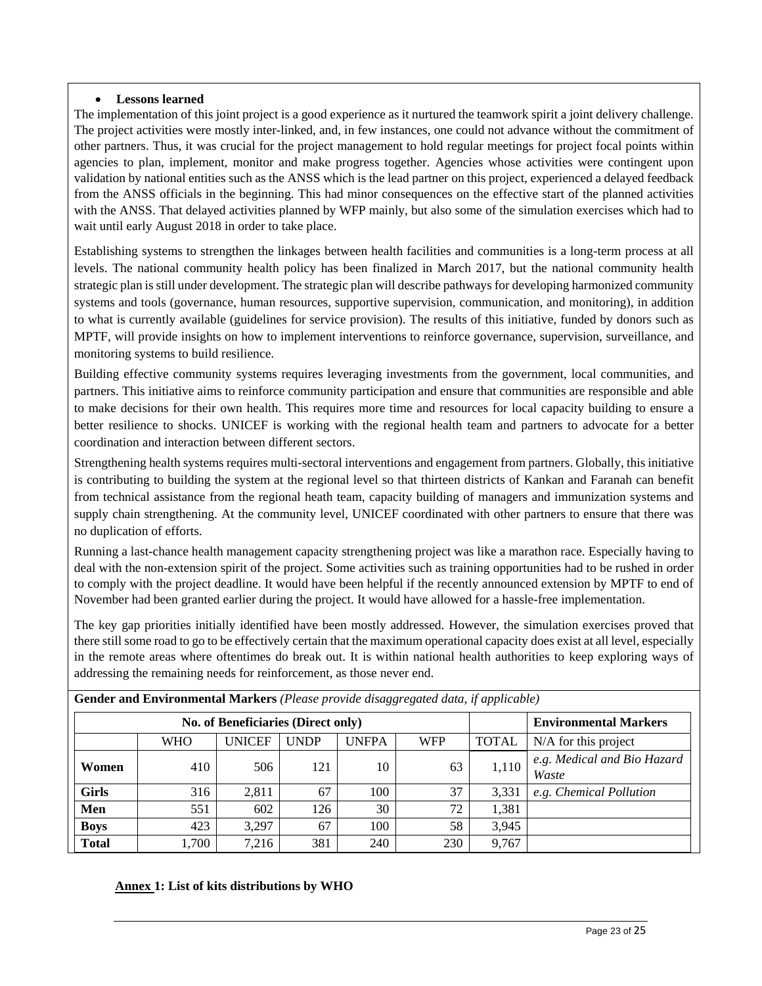## **Lessons learned**

The implementation of this joint project is a good experience as it nurtured the teamwork spirit a joint delivery challenge. The project activities were mostly inter-linked, and, in few instances, one could not advance without the commitment of other partners. Thus, it was crucial for the project management to hold regular meetings for project focal points within agencies to plan, implement, monitor and make progress together. Agencies whose activities were contingent upon validation by national entities such as the ANSS which is the lead partner on this project, experienced a delayed feedback from the ANSS officials in the beginning. This had minor consequences on the effective start of the planned activities with the ANSS. That delayed activities planned by WFP mainly, but also some of the simulation exercises which had to wait until early August 2018 in order to take place.

Establishing systems to strengthen the linkages between health facilities and communities is a long-term process at all levels. The national community health policy has been finalized in March 2017, but the national community health strategic plan is still under development. The strategic plan will describe pathways for developing harmonized community systems and tools (governance, human resources, supportive supervision, communication, and monitoring), in addition to what is currently available (guidelines for service provision). The results of this initiative, funded by donors such as MPTF, will provide insights on how to implement interventions to reinforce governance, supervision, surveillance, and monitoring systems to build resilience.

Building effective community systems requires leveraging investments from the government, local communities, and partners. This initiative aims to reinforce community participation and ensure that communities are responsible and able to make decisions for their own health. This requires more time and resources for local capacity building to ensure a better resilience to shocks. UNICEF is working with the regional health team and partners to advocate for a better coordination and interaction between different sectors.

Strengthening health systems requires multi-sectoral interventions and engagement from partners. Globally, this initiative is contributing to building the system at the regional level so that thirteen districts of Kankan and Faranah can benefit from technical assistance from the regional heath team, capacity building of managers and immunization systems and supply chain strengthening. At the community level, UNICEF coordinated with other partners to ensure that there was no duplication of efforts.

Running a last-chance health management capacity strengthening project was like a marathon race. Especially having to deal with the non-extension spirit of the project. Some activities such as training opportunities had to be rushed in order to comply with the project deadline. It would have been helpful if the recently announced extension by MPTF to end of November had been granted earlier during the project. It would have allowed for a hassle-free implementation.

The key gap priorities initially identified have been mostly addressed. However, the simulation exercises proved that there still some road to go to be effectively certain that the maximum operational capacity does exist at all level, especially in the remote areas where oftentimes do break out. It is within national health authorities to keep exploring ways of addressing the remaining needs for reinforcement, as those never end.

|              |       | <b>No. of Beneficiaries (Direct only)</b> |             | <b>Environmental Markers</b> |            |              |                                      |  |  |  |
|--------------|-------|-------------------------------------------|-------------|------------------------------|------------|--------------|--------------------------------------|--|--|--|
|              | WHO   | <b>UNICEF</b>                             | <b>UNDP</b> | <b>UNFPA</b>                 | <b>WFP</b> | <b>TOTAL</b> | $N/A$ for this project               |  |  |  |
| Women        | 410   | 506                                       | 121         | 10                           | 63         | 1,110        | e.g. Medical and Bio Hazard<br>Waste |  |  |  |
| <b>Girls</b> | 316   | 2.811                                     | 67          | 100                          | 37         | 3.331        | e.g. Chemical Pollution              |  |  |  |
| Men          | 551   | 602                                       | 126         | 30                           | 72         | 1,381        |                                      |  |  |  |
| <b>Boys</b>  | 423   | 3,297                                     | 67          | 100                          | 58         | 3,945        |                                      |  |  |  |
| <b>Total</b> | 1,700 | 7,216                                     | 381         | 240                          | 230        | 9,767        |                                      |  |  |  |

**Gender and Environmental Markers** *(Please provide disaggregated data, if applicable)* 

## **Annex 1: List of kits distributions by WHO**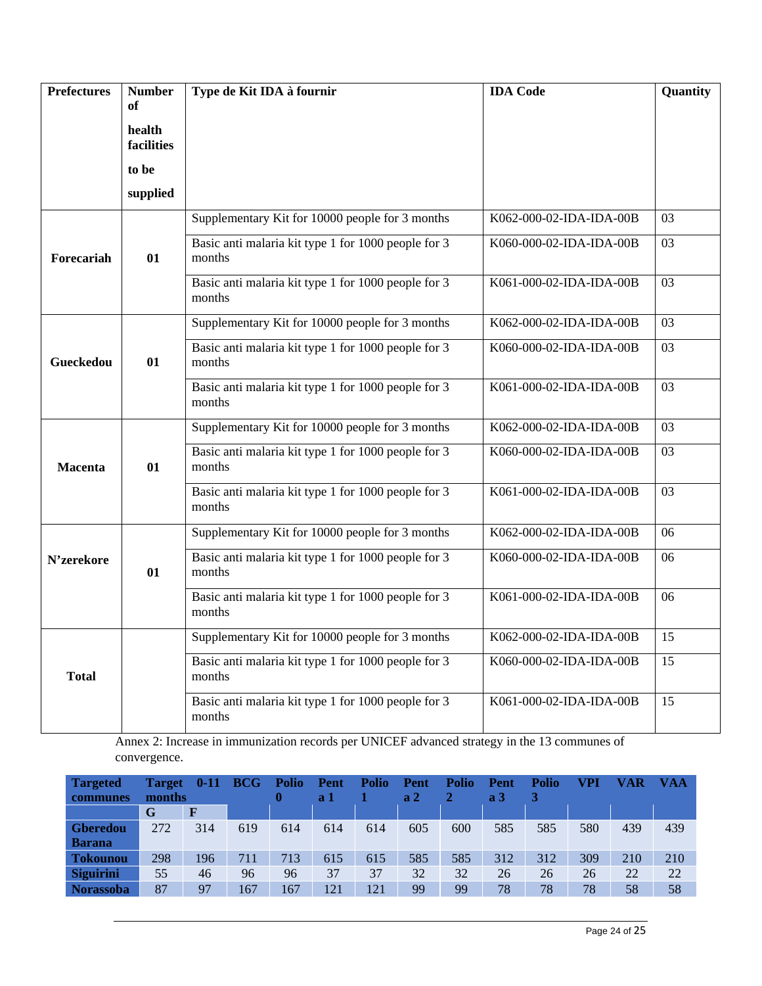| <b>Prefectures</b> | <b>Number</b><br>of  | Type de Kit IDA à fournir                                     | <b>IDA</b> Code         | Quantity |
|--------------------|----------------------|---------------------------------------------------------------|-------------------------|----------|
|                    |                      |                                                               |                         |          |
|                    | health<br>facilities |                                                               |                         |          |
|                    | to be                |                                                               |                         |          |
|                    | supplied             |                                                               |                         |          |
|                    |                      | Supplementary Kit for 10000 people for 3 months               | K062-000-02-IDA-IDA-00B | 03       |
| Forecariah         | $\mathbf{01}$        | Basic anti malaria kit type 1 for 1000 people for 3<br>months | K060-000-02-IDA-IDA-00B | 03       |
|                    |                      | Basic anti malaria kit type 1 for 1000 people for 3<br>months | K061-000-02-IDA-IDA-00B | 03       |
|                    |                      | Supplementary Kit for 10000 people for 3 months               | K062-000-02-IDA-IDA-00B | 03       |
| Gueckedou          | $\mathbf{01}$        | Basic anti malaria kit type 1 for 1000 people for 3<br>months | K060-000-02-IDA-IDA-00B | 03       |
|                    |                      | Basic anti malaria kit type 1 for 1000 people for 3<br>months | K061-000-02-IDA-IDA-00B | 03       |
|                    |                      | Supplementary Kit for 10000 people for 3 months               | K062-000-02-IDA-IDA-00B | 03       |
| <b>Macenta</b>     | $\mathbf{01}$        | Basic anti malaria kit type 1 for 1000 people for 3<br>months | K060-000-02-IDA-IDA-00B | 03       |
|                    |                      | Basic anti malaria kit type 1 for 1000 people for 3<br>months | K061-000-02-IDA-IDA-00B | 03       |
|                    |                      | Supplementary Kit for 10000 people for 3 months               | K062-000-02-IDA-IDA-00B | 06       |
| N'zerekore         | 01                   | Basic anti malaria kit type 1 for 1000 people for 3<br>months | K060-000-02-IDA-IDA-00B | 06       |
|                    |                      | Basic anti malaria kit type 1 for 1000 people for 3<br>months | K061-000-02-IDA-IDA-00B | 06       |
|                    |                      | Supplementary Kit for 10000 people for 3 months               | K062-000-02-IDA-IDA-00B | 15       |
| <b>Total</b>       |                      | Basic anti malaria kit type 1 for 1000 people for 3<br>months | K060-000-02-IDA-IDA-00B | 15       |
|                    |                      | Basic anti malaria kit type 1 for 1000 people for 3<br>months | K061-000-02-IDA-IDA-00B | 15       |

Annex 2: Increase in immunization records per UNICEF advanced strategy in the 13 communes of convergence.

| <b>Targeted</b><br><b>communes</b> | <b>Target</b><br>months | $0-11$ | <b>BCG</b> | <b>Polio</b> | Pent<br>a <sub>1</sub> | <b>Polio</b> | Pent<br>a <sub>2</sub> | <b>Polio</b> | Pent<br>a <sub>3</sub> | <b>Polio</b> | VPI | VAR | <b>VAA</b> |
|------------------------------------|-------------------------|--------|------------|--------------|------------------------|--------------|------------------------|--------------|------------------------|--------------|-----|-----|------------|
|                                    | G                       | F      |            |              |                        |              |                        |              |                        |              |     |     |            |
| <b>Gberedou</b>                    | 272                     | 314    | 619        | 614          | 614                    | 614          | 605                    | 600          | 585                    | 585          | 580 | 439 | 439        |
| <b>Barana</b>                      |                         |        |            |              |                        |              |                        |              |                        |              |     |     |            |
| <b>Tokounou</b>                    | 298                     | 196    | 711        | 713          | 615                    | 615          | 585                    | 585          | 312                    | 312          | 309 | 210 | 210        |
| <b>Siguirini</b>                   | 55                      | 46     | 96         | 96           | 37                     | 37           | 32                     | 32           | 26                     | 26           | 26  | 22  | 22         |
| <b>Norassoba</b>                   | 87                      | 97     | 167        | 167          | 121                    | 121          | 99                     | 99           | 78                     | 78           | 78  | 58  | 58         |